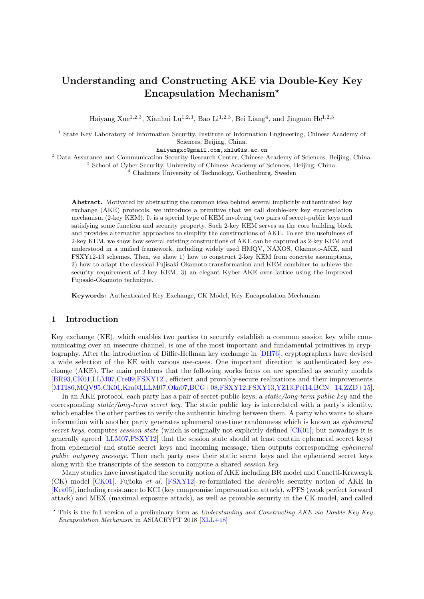# Understanding and Constructing AKE via Double-Key Key Encapsulation Mechanism?

Haiyang Xue<sup>1,2,3</sup>, Xianhui Lu<sup>1,2,3</sup>, Bao Li<sup>1,2,3</sup>, Bei Liang<sup>4</sup>, and Jingnan He<sup>1,2,3</sup>

<sup>1</sup> State Key Laboratory of Information Security, Institute of Information Engineering, Chinese Academy of Sciences, Beijing, China.

haiyangxc@gmail.com,xhlu@is.ac.cn

<sup>2</sup> Data Assurance and Communication Security Research Center, Chinese Academy of Sciences, Beijing, China.

<sup>3</sup> School of Cyber Security, University of Chinese Academy of Sciences, Beijing, China.

<sup>4</sup> Chalmers University of Technology, Gothenburg, Sweden

Abstract. Motivated by abstracting the common idea behind several implicitly authenticated key exchange (AKE) protocols, we introduce a primitive that we call double-key key encapsulation mechanism (2-key KEM). It is a special type of KEM involving two pairs of secret-public keys and satisfying some function and security property. Such 2-key KEM serves as the core building block and provides alternative approaches to simplify the constructions of AKE. To see the usefulness of 2-key KEM, we show how several existing constructions of AKE can be captured as 2-key KEM and understood in a unified framework, including widely used HMQV, NAXOS, Okamoto-AKE, and FSXY12-13 schemes. Then, we show 1) how to construct 2-key KEM from concrete assumptions, 2) how to adapt the classical Fujisaki-Okamoto transformation and KEM combiner to achieve the security requirement of 2-key KEM, 3) an elegant Kyber-AKE over lattice using the improved Fujisaki-Okamoto technique.

Keywords: Authenticated Key Exchange, CK Model, Key Encapsulation Mechanism

# 1 Introduction

Key exchange (KE), which enables two parties to securely establish a common session key while communicating over an insecure channel, is one of the most important and fundamental primitives in cryptography. After the introduction of Diffie-Hellman key exchange in [\[DH76\]](#page-24-0), cryptographers have devised a wide selection of the KE with various use-cases. One important direction is authenticated key exchange (AKE). The main problems that the following works focus on are specified as security models [\[BR93,](#page-23-0)[CK01,](#page-24-1)[LLM07,](#page-24-2)[Cre09](#page-23-1)[,FSXY12\]](#page-24-3), efficient and provably-secure realizations and their improvements [\[MTI86](#page-24-4)[,MQV95,](#page-24-5)[CK01](#page-24-1)[,Kra03,](#page-24-6)[LLM07,](#page-24-2)[Oka07](#page-24-7)[,BCG+08,](#page-23-2)[FSXY12,](#page-24-3)[FSXY13,](#page-24-8)[YZ13,](#page-25-0)[Pei14,](#page-24-9)[BCN+14,](#page-23-3)[ZZD+15\]](#page-25-1).

In an AKE protocol, each party has a pair of secret-public keys, a *static/long-term public key* and the corresponding static/long-term secret key. The static public key is interrelated with a party's identity, which enables the other parties to verify the authentic binding between them. A party who wants to share information with another party generates ephemeral one-time randomness which is known as ephemeral secret keys, computes session state (which is originally not explicitly defined [\[CK01\]](#page-24-1), but nowadays it is generally agreed [\[LLM07](#page-24-2)[,FSXY12\]](#page-24-3) that the session state should at least contain ephemeral secret keys) from ephemeral and static secret keys and incoming message, then outputs corresponding ephemeral public outgoing message. Then each party uses their static secret keys and the ephemeral secret keys along with the transcripts of the session to compute a shared session key.

Many studies have investigated the security notion of AKE including BR model and Canetti-Krawczyk (CK) model [\[CK01\]](#page-24-1). Fujioka et al. [\[FSXY12\]](#page-24-3) re-formulated the desirable security notion of AKE in [\[Kra05\]](#page-24-10), including resistance to KCI (key compromise impersonation attack), wPFS (weak perfect forward attack) and MEX (maximal exposure attack), as well as provable security in the CK model, and called

<sup>?</sup> This is the full version of a preliminary form as Understanding and Constructing AKE via Double-Key Key Encapsulation Mechanism in ASIACRYPT 2018 [\[XLL+18\]](#page-25-2)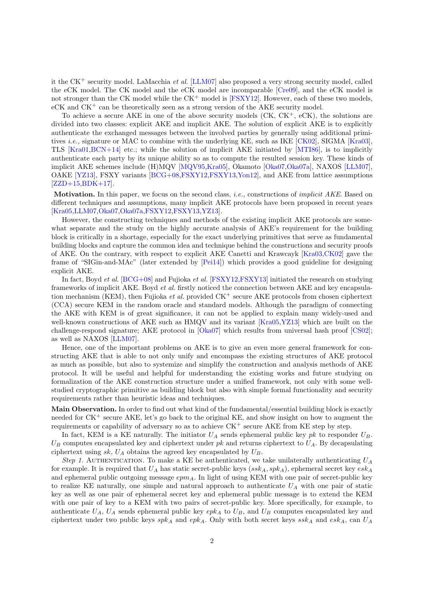it the CK<sup>+</sup> security model. LaMacchia et al. [\[LLM07\]](#page-24-2) also proposed a very strong security model, called the eCK model. The CK model and the eCK model are incomparable [\[Cre09\]](#page-23-1), and the eCK model is not stronger than the CK model while the  $CK^+$  model is [\[FSXY12\]](#page-24-3). However, each of these two models,  $eCK$  and  $CK<sup>+</sup>$  can be theoretically seen as a strong version of the AKE security model.

To achieve a secure  $AKE$  in one of the above security models  $(CK, CK^+, eCK)$ , the solutions are divided into two classes: explicit AKE and implicit AKE. The solution of explicit AKE is to explicitly authenticate the exchanged messages between the involved parties by generally using additional primitives i.e., signature or MAC to combine with the underlying KE, such as IKE [\[CK02\]](#page-24-11), SIGMA [\[Kra03\]](#page-24-6), TLS [\[Kra01,](#page-24-12)[BCN+14\]](#page-23-3) etc.; while the solution of implicit AKE initiated by [\[MTI86\]](#page-24-4), is to implicitly authenticate each party by its unique ability so as to compute the resulted session key. These kinds of implicit AKE schemes include (H)MQV [\[MQV95,](#page-24-5)[Kra05\]](#page-24-10), Okamoto [\[Oka07,](#page-24-7)[Oka07a\]](#page-24-13), NAXOS [\[LLM07\]](#page-24-2), OAKE [\[YZ13\]](#page-25-0), FSXY variants [\[BCG+08,](#page-23-2)[FSXY12](#page-24-3)[,FSXY13,](#page-24-8)[Yon12\]](#page-25-3), and AKE from lattice assumptions [\[ZZD+15](#page-25-1)[,BDK+17\]](#page-23-4).

Motivation. In this paper, we focus on the second class, *i.e.*, constructions of *implicit AKE*. Based on different techniques and assumptions, many implicit AKE protocols have been proposed in recent years [\[Kra05](#page-24-10)[,LLM07](#page-24-2)[,Oka07,](#page-24-7)[Oka07a,](#page-24-13)[FSXY12,](#page-24-3)[FSXY13](#page-24-8)[,YZ13\]](#page-25-0).

However, the constructing techniques and methods of the existing implicit AKE protocols are somewhat separate and the study on the highly accurate analysis of AKE's requirement for the building block is critically in a shortage, especially for the exact underlying primitives that serve as fundamental building blocks and capture the common idea and technique behind the constructions and security proofs of AKE. On the contrary, with respect to explicit AKE Canetti and Krawcayk [\[Kra03](#page-24-6)[,CK02\]](#page-24-11) gave the frame of "SIGin-and-MAc" (later extended by [\[Pei14\]](#page-24-9)) which provides a good guideline for designing explicit AKE.

In fact, Boyd *et al.* [\[BCG+08\]](#page-23-2) and Fujioka *et al.* [\[FSXY12](#page-24-3)[,FSXY13\]](#page-24-8) initiated the research on studying frameworks of implicit AKE. Boyd et al. firstly noticed the connection between AKE and key encapsulation mechanism (KEM), then Fujioka *et al.* provided  $CK^+$  secure AKE protocols from chosen ciphertext (CCA) secure KEM in the random oracle and standard models. Although the paradigm of connecting the AKE with KEM is of great significance, it can not be applied to explain many widely-used and well-known constructions of AKE such as HMQV and its variant [\[Kra05,](#page-24-10)[YZ13\]](#page-25-0) which are built on the challenge-respond signature; AKE protocol in [\[Oka07\]](#page-24-7) which results from universal hash proof [\[CS02\]](#page-24-14); as well as NAXOS [\[LLM07\]](#page-24-2).

Hence, one of the important problems on AKE is to give an even more general framework for constructing AKE that is able to not only unify and encompass the existing structures of AKE protocol as much as possible, but also to systemize and simplify the construction and analysis methods of AKE protocol. It will be useful and helpful for understanding the existing works and future studying on formalization of the AKE construction structure under a unified framework, not only with some wellstudied cryptographic primitive as building block but also with simple formal functionality and security requirements rather than heuristic ideas and techniques.

Main Observation. In order to find out what kind of the fundamental/essential building block is exactly needed for  $CK^+$  secure AKE, let's go back to the original KE, and show insight on how to augment the requirements or capability of adversary so as to achieve  $CK^+$  secure AKE from KE step by step.

In fact, KEM is a KE naturally. The initiator  $U_A$  sends ephemeral public key pk to responder  $U_B$ .  $U_B$  computes encapsulated key and ciphertext under pk and returns ciphertext to  $U_A$ . By decapsulating ciphertext using sk,  $U_A$  obtains the agreed key encapsulated by  $U_B$ .

Step 1. AUTHENTICATION. To make a KE be authenticated, we take unilaterally authenticating  $U_A$ for example. It is required that  $U_A$  has static secret-public keys ( $ssk_A, spk_A$ ), ephemeral secret key  $esk_A$ and ephemeral public outgoing message  $epm_A$ . In light of using KEM with one pair of secret-public key to realize KE naturally, one simple and natural approach to authenticate  $U_A$  with one pair of static key as well as one pair of ephemeral secret key and ephemeral public message is to extend the KEM with one pair of key to a KEM with two pairs of secret-public key. More specifically, for example, to authenticate  $U_A$ ,  $U_A$  sends ephemeral public key  $epk_A$  to  $U_B$ , and  $U_B$  computes encapsulated key and ciphertext under two public keys  $spk_A$  and  $epk_A$ . Only with both secret keys  $ssk_A$  and  $esk_A$ , can  $U_A$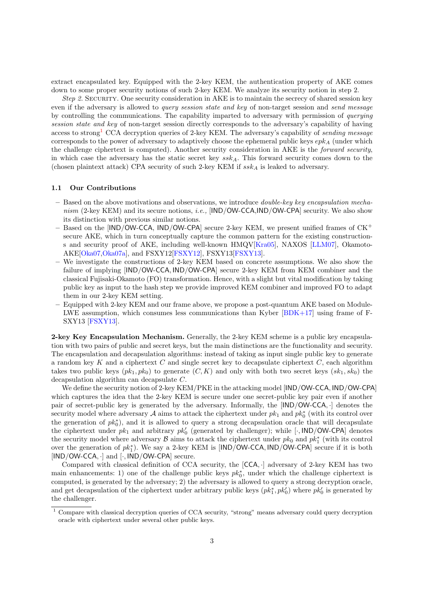extract encapsulated key. Equipped with the 2-key KEM, the authentication property of AKE comes down to some proper security notions of such 2-key KEM. We analyze its security notion in step 2.

Step 2. SECURITY. One security consideration in AKE is to maintain the secrecy of shared session key even if the adversary is allowed to query session state and key of non-target session and send message by controlling the communications. The capability imparted to adversary with permission of querying session state and key of non-target session directly corresponds to the adversary's capability of having access to strong<sup>[1](#page-2-0)</sup> CCA decryption queries of 2-key KEM. The adversary's capability of *sending message* corresponds to the power of adversary to adaptively choose the ephemeral public keys  $epk_A$  (under which the challenge ciphertext is computed). Another security consideration in AKE is the forward security, in which case the adversary has the static secret key  $ssk_A$ . This forward security comes down to the (chosen plaintext attack) CPA security of such 2-key KEM if  $ssk_A$  is leaked to adversary.

### 1.1 Our Contributions

- $-$  Based on the above motivations and observations, we introduce *double-key key encapsulation mecha*nism (2-key KEM) and its secure notions, *i.e.*,  $[IND/OW-CCA, IND/OW-CPA]$  security. We also show its distinction with previous similar notions.
- Based on the  $[IND/OW-CCA, IND/OW-CPA]$  secure 2-key KEM, we present unified frames of  $CK^+$ secure AKE, which in turn conceptually capture the common pattern for the existing constructions and security proof of AKE, including well-known HMQV[\[Kra05\]](#page-24-10), NAXOS [\[LLM07\]](#page-24-2), Okamoto-AKE[\[Oka07,](#page-24-7)[Oka07a\]](#page-24-13), and FSXY12[\[FSXY12\]](#page-24-3), FSXY13[\[FSXY13\]](#page-24-8).
- We investigate the constructions of 2-key KEM based on concrete assumptions. We also show the failure of implying [IND/OW-CCA, IND/OW-CPA] secure 2-key KEM from KEM combiner and the classical Fujisaki-Okamoto (FO) transformation. Hence, with a slight but vital modification by taking public key as input to the hash step we provide improved KEM combiner and improved FO to adapt them in our 2-key KEM setting.
- Equipped with 2-key KEM and our frame above, we propose a post-quantum AKE based on Module-LWE assumption, which consumes less communications than Kyber  $[BDK+17]$  using frame of F-SXY13 [\[FSXY13\]](#page-24-8).

2-key Key Encapsulation Mechanism. Generally, the 2-key KEM scheme is a public key encapsulation with two pairs of public and secret keys, but the main distinctions are the functionality and security. The encapsulation and decapsulation algorithms: instead of taking as input single public key to generate a random key K and a ciphertext  $C$  and single secret key to decapsulate ciphertext  $C$ , each algorithm takes two public keys  $(pk_1, pk_0)$  to generate  $(C, K)$  and only with both two secret keys  $(sk_1, sk_0)$  the decapsulation algorithm can decapsulate C.

We define the security notion of 2-key KEM/PKE in the attacking model [IND/OW-CCA, IND/OW-CPA] which captures the idea that the 2-key KEM is secure under one secret-public key pair even if another pair of secret-public key is generated by the adversary. Informally, the [IND/OW-CCA, ·] denotes the security model where adversary  $\mathcal A$  aims to attack the ciphertext under  $pk_1$  and  $pk_0^*$  (with its control over the generation of  $pk_0^*$ ), and it is allowed to query a strong decapsulation oracle that will decapsulate the ciphertext under  $pk_1$  and arbitrary  $pk'_0$  (generated by challenger); while [ $\cdot$ , IND/OW-CPA] denotes the security model where adversary  $\mathcal B$  aims to attack the ciphertext under  $pk_0$  and  $pk_1^*$  (with its control over the generation of  $pk_1^*$ ). We say a 2-key KEM is [IND/OW-CCA, IND/OW-CPA] secure if it is both  $[IND/OW-CCA.]$  and  $[.,IND/OW-CPA]$  secure.

Compared with classical definition of CCA security, the [CCA, ·] adversary of 2-key KEM has two main enhancements: 1) one of the challenge public keys  $pk_0^*$ , under which the challenge ciphertext is computed, is generated by the adversary; 2) the adversary is allowed to query a strong decryption oracle, and get decapsulation of the ciphertext under arbitrary public keys  $(pk_1^*, pk_0')$  where  $pk_0'$  is generated by the challenger.

<span id="page-2-0"></span><sup>&</sup>lt;sup>1</sup> Compare with classical decryption queries of CCA security, "strong" means adversary could query decryption oracle with ciphertext under several other public keys.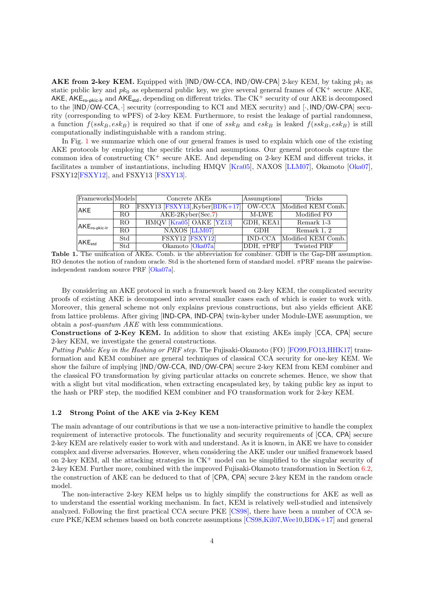AKE from 2-key KEM. Equipped with  $[IND/OW-CCA, IND/OW-CPA]$  2-key KEM, by taking  $pk_1$  as static public key and  $pk_0$  as ephemeral public key, we give several general frames of  $CK^+$  secure AKE, AKE,  $AKE_{ro-pkic-lr}$  and  $AKE_{std}$ , depending on different tricks. The  $CK^+$  security of our  $AKE$  is decomposed to the [IND/OW-CCA, ·] security (corresponding to KCI and MEX security) and [·, IND/OW-CPA] security (corresponding to wPFS) of 2-key KEM. Furthermore, to resist the leakage of partial randomness, a function  $f(ssk_B, esk_B)$  is required so that if one of  $ssk_B$  and  $esk_B$  is leaked  $f(ssk_B, esk_B)$  is still computationally indistinguishable with a random string.

In Fig. [1](#page-3-0) we summarize which one of our general frames is used to explain which one of the existing AKE protocols by employing the specific tricks and assumptions. Our general protocols capture the common idea of constructing CK<sup>+</sup> secure AKE. And depending on 2-key KEM and different tricks, it facilitates a number of instantiations, including HMQV [\[Kra05\]](#page-24-10), NAXOS [\[LLM07\]](#page-24-2), Okamoto [\[Oka07\]](#page-24-7), FSXY12[\[FSXY12\]](#page-24-3), and FSXY13 [\[FSXY13\]](#page-24-8).

| Frameworks Models                    |                 | Concrete AKEs                      | Assumptions    | <b>Tricks</b>      |
|--------------------------------------|-----------------|------------------------------------|----------------|--------------------|
| AKE                                  | RO              | $FSXY13$ [FSXY13], Kyber [BDK+17]] | OW-CCA         | Modified KEM Comb. |
|                                      | RO              | $AKE-2Kyber(Sec.7)$                | M-LWE          | Modified FO        |
| $AKE_{\sf ro\text{-}pkic\text{-}lr}$ | RO.             | HMQV [Kra05] OAKE [YZ13]           | GDH, KEA1      | Remark 1-3         |
|                                      | $\overline{RO}$ | NAXOS [LLM07]                      | <b>GDH</b>     | Remark 1, 2        |
| AKE <sub>std</sub>                   | Std             | FSXY12 [FSXY12]                    | <b>IND-CCA</b> | Modified KEM Comb. |
|                                      | Std             | Okamoto Oka07a                     | DDH, $\pi$ PRF | Twisted PRF        |

<span id="page-3-0"></span>Table 1. The unification of AKEs. Comb. is the abbreviation for combiner. GDH is the Gap-DH assumption. RO denotes the notion of random oracle. Std is the shortened form of standard model. πPRF means the pairwiseindependent random source PRF [\[Oka07a\]](#page-24-13).

By considering an AKE protocol in such a framework based on 2-key KEM, the complicated security proofs of existing AKE is decomposed into several smaller cases each of which is easier to work with. Moreover, this general scheme not only explains previous constructions, but also yields efficient AKE from lattice problems. After giving [IND-CPA, IND-CPA] twin-kyber under Module-LWE assumption, we obtain a post-quantum AKE with less communications.

Constructions of 2-Key KEM. In addition to show that existing AKEs imply [CCA, CPA] secure 2-key KEM, we investigate the general constructions.

Putting Public Key in the Hashing or PRF step. The Fujisaki-Okamoto (FO) [\[FO99,](#page-24-15)[FO13,](#page-24-16)[HHK17\]](#page-24-17) transformation and KEM combiner are general techniques of classical CCA security for one-key KEM. We show the failure of implying [IND/OW-CCA, IND/OW-CPA] secure 2-key KEM from KEM combiner and the classical FO transformation by giving particular attacks on concrete schemes. Hence, we show that with a slight but vital modification, when extracting encapsulated key, by taking public key as input to the hash or PRF step, the modified KEM combiner and FO transformation work for 2-key KEM.

### 1.2 Strong Point of the AKE via 2-Key KEM

The main advantage of our contributions is that we use a non-interactive primitive to handle the complex requirement of interactive protocols. The functionality and security requirements of [CCA, CPA] secure 2-key KEM are relatively easier to work with and understand. As it is known, in AKE we have to consider complex and diverse adversaries. However, when considering the AKE under our unified framework based on 2-key KEM, all the attacking strategies in  $CK^+$  model can be simplified to the singular security of 2-key KEM. Further more, combined with the improved Fujisaki-Okamoto transformation in Section [6.2,](#page-19-0) the construction of AKE can be deduced to that of [CPA, CPA] secure 2-key KEM in the random oracle model.

The non-interactive 2-key KEM helps us to highly simplify the constructions for AKE as well as to understand the essential working mechanism. In fact, KEM is relatively well-studied and intensively analyzed. Following the first practical CCA secure PKE [\[CS98\]](#page-24-18), there have been a number of CCA secure PKE/KEM schemes based on both concrete assumptions [\[CS98,](#page-24-18)[Kil07,](#page-24-19)[Wee10,](#page-24-20)[BDK+17\]](#page-23-4) and general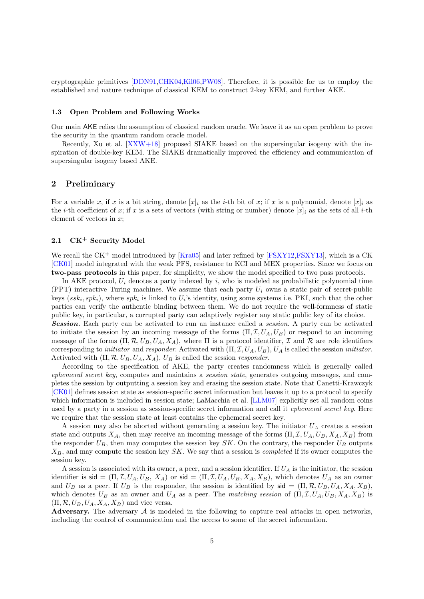cryptographic primitives [\[DDN91,](#page-24-21)[CHK04,](#page-23-5)[Kil06,](#page-24-22)[PW08\]](#page-24-23). Therefore, it is possible for us to employ the established and nature technique of classical KEM to construct 2-key KEM, and further AKE.

### 1.3 Open Problem and Following Works

Our main AKE relies the assumption of classical random oracle. We leave it as an open problem to prove the security in the quantum random oracle model.

Recently, Xu et al. [\[XXW+18\]](#page-25-4) proposed SIAKE based on the supersingular isogeny with the inspiration of double-key KEM. The SIAKE dramatically improved the efficiency and communication of supersingular isogeny based AKE.

# 2 Preliminary

For a variable x, if x is a bit string, denote  $[x]_i$  as the *i*-th bit of x; if x is a polynomial, denote  $[x]_i$  as the *i*-th coefficient of x; if x is a sets of vectors (with string or number) denote  $[x]_i$  as the sets of all *i*-th element of vectors in  $x$ ;

# 2.1 CK<sup>+</sup> Security Model

We recall the  $CK^+$  model introduced by  $[Kra05]$  and later refined by  $[FSXY12.FSXY13]$  $[FSXY12.FSXY13]$ , which is a CK [\[CK01\]](#page-24-1) model integrated with the weak PFS, resistance to KCI and MEX properties. Since we focus on two-pass protocols in this paper, for simplicity, we show the model specified to two pass protocols.

In AKE protocol,  $U_i$  denotes a party indexed by i, who is modeled as probabilistic polynomial time (PPT) interactive Turing machines. We assume that each party  $U_i$  owns a static pair of secret-public keys  $(ssk_i, sph_i)$ , where  $spk_i$  is linked to  $U_i$ 's identity, using some systems i.e. PKI, such that the other parties can verify the authentic binding between them. We do not require the well-formness of static public key, in particular, a corrupted party can adaptively register any static public key of its choice. **Session.** Each party can be activated to run an instance called a *session*. A party can be activated

to initiate the session by an incoming message of the forms  $(\Pi, \mathcal{I}, U_A, U_B)$  or respond to an incoming message of the forms  $(\Pi, \mathcal{R}, U_B, U_A, X_A)$ , where  $\Pi$  is a protocol identifier,  $\mathcal I$  and  $\mathcal R$  are role identifiers corresponding to *initiator* and *responder*. Activated with  $(\Pi, \mathcal{I}, U_A, U_B)$ ,  $U_A$  is called the session *initiator*. Activated with  $(\Pi, \mathcal{R}, U_B, U_A, X_A)$ ,  $U_B$  is called the session *responder*.

According to the specification of AKE, the party creates randomness which is generally called ephemeral secret key, computes and maintains a session state, generates outgoing messages, and completes the session by outputting a session key and erasing the session state. Note that Canetti-Krawczyk [\[CK01\]](#page-24-1) defines session state as session-specific secret information but leaves it up to a protocol to specify which information is included in session state; LaMacchia et al. [\[LLM07\]](#page-24-2) explicitly set all random coins used by a party in a session as session-specific secret information and call it *ephemeral secret key*. Here we require that the session state at least contains the ephemeral secret key.

A session may also be aborted without generating a session key. The initiator  $U_A$  creates a session state and outputs  $X_A$ , then may receive an incoming message of the forms  $(\Pi, \mathcal{I}, U_A, U_B, X_A, X_B)$  from the responder  $U_B$ , then may computes the session key SK. On the contrary, the responder  $U_B$  outputs  $X_B$ , and may compute the session key  $SK$ . We say that a session is *completed* if its owner computes the session key.

A session is associated with its owner, a peer, and a session identifier. If  $U_A$  is the initiator, the session identifier is  $\mathsf{sid} = (\Pi, \mathcal{I}, U_A, U_B, X_A)$  or  $\mathsf{sid} = (\Pi, \mathcal{I}, U_A, U_B, X_A, X_B)$ , which denotes  $U_A$  as an owner and  $U_B$  as a peer. If  $U_B$  is the responder, the session is identified by  $\mathsf{sid} = (\Pi, \mathcal{R}, U_B, U_A, X_A, X_B)$ , which denotes  $U_B$  as an owner and  $U_A$  as a peer. The matching session of  $(\Pi, \mathcal{I}, U_A, U_B, X_A, X_B)$  is  $(\Pi, \mathcal{R}, U_B, U_A, X_A, X_B)$  and vice versa.

Adversary. The adversary  $A$  is modeled in the following to capture real attacks in open networks, including the control of communication and the access to some of the secret information.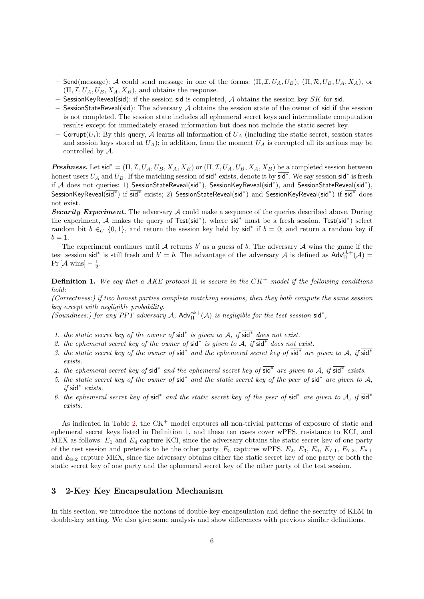- Send(message): A could send message in one of the forms:  $(\Pi, \mathcal{I}, U_A, U_B)$ ,  $(\Pi, \mathcal{R}, U_B, U_A, X_A)$ , or  $(\Pi, \mathcal{I}, U_A, U_B, X_A, X_B)$ , and obtains the response.
- SessionKeyReveal(sid): if the session sid is completed, A obtains the session key  $SK$  for sid.
- $-$  SessionStateReveal(sid): The adversary A obtains the session state of the owner of sid if the session is not completed. The session state includes all ephemeral secret keys and intermediate computation results except for immediately erased information but does not include the static secret key.
- Corrupt $(U_i)$ : By this query, A learns all information of  $U_A$  (including the static secret, session states and session keys stored at  $U_A$ ); in addition, from the moment  $U_A$  is corrupted all its actions may be controlled by A.

**Freshness.** Let  $\text{sid}^* = (\Pi, \mathcal{I}, U_A, U_B, X_A, X_B)$  or  $(\Pi, \mathcal{I}, U_A, U_B, X_A, X_B)$  be a completed session between honest users  $U_A$  and  $U_B$ . If the matching session of sid<sup>\*</sup> exists, denote it by  $\overline{\text{sid}^*}$ . We say session sid<sup>\*</sup> is fresh if A does not queries: 1) SessionStateReveal(sid<sup>∗</sup>), SessionKeyReveal(sid<sup>∗</sup>), and SessionStateReveal(sid<sup>∗</sup>), SessionKeyReveal(sid<sup>∗</sup>) if sid<sup>∗</sup> exists; 2) SessionStateReveal(sid<sup>∗</sup>) and SessionKeyReveal(sid<sup>∗</sup>) if sid<sup>∗</sup> does not exist.

**Security Experiment.** The adversary  $A$  could make a sequence of the queries described above. During the experiment, A makes the query of Test(sid<sup>∗</sup> ), where sid<sup>∗</sup> must be a fresh session. Test(sid<sup>∗</sup> ) select random bit  $b \in U$   $\{0,1\}$ , and return the session key held by sid<sup>\*</sup> if  $b = 0$ ; and return a random key if  $b=1.$ 

The experiment continues until  $A$  returns  $b'$  as a guess of  $b$ . The adversary  $A$  wins the game if the test session sid<sup>\*</sup> is still fresh and  $b' = b$ . The advantage of the adversary A is defined as  $\mathsf{Adv}_{\Pi}^{ck+}(\mathcal{A}) =$  $Pr[\mathcal{A} \text{ wins}] - \frac{1}{2}.$ 

<span id="page-5-0"></span>**Definition 1.** We say that a AKE protocol  $\Pi$  is secure in the  $CK^+$  model if the following conditions hold:

(Correctness:) if two honest parties complete matching sessions, then they both compute the same session key except with negligible probability.

(Soundness:) for any PPT adversary A,  $\text{Adv}_{\Pi}^{ck+}(A)$  is negligible for the test session sid<sup>\*</sup>,

- 1. the static secret key of the owner of sid<sup>\*</sup> is given to A, if  $\overline{\text{sid}^*}$  does not exist.
- 2. the ephemeral secret key of the owner of sid<sup>\*</sup> is given to A, if  $\overline{\text{sid}^*}$  does not exist.
- 3. the static secret key of the owner of sid<sup>\*</sup> and the ephemeral secret key of sid<sup>\*</sup> are given to A, if sid<sup>\*</sup> exists.
- 4. the ephemeral secret key of sid<sup>\*</sup> and the ephemeral secret key of  $\overline{\text{sid}^*}$  are given to A, if  $\overline{\text{sid}^*}$  exists.
- 5. the static secret key of the owner of sid<sup>\*</sup> and the static secret key of the peer of sid<sup>\*</sup> are given to A, if sid<sup>∗</sup> exists.
- 6. the ephemeral secret key of sid<sup>\*</sup> and the static secret key of the peer of sid<sup>\*</sup> are given to A, if  $\overline{sd}^*$ exists.

As indicated in Table [2,](#page-6-0) the  $CK^+$  model captures all non-trivial patterns of exposure of static and ephemeral secret keys listed in Definition [1,](#page-5-0) and these ten cases cover wPFS, resistance to KCI, and MEX as follows:  $E_1$  and  $E_4$  capture KCI, since the adversary obtains the static secret key of one party of the test session and pretends to be the other party.  $E_5$  captures wPFS.  $E_2$ ,  $E_3$ ,  $E_6$ ,  $E_{7-1}$ ,  $E_{7-2}$ ,  $E_{8-1}$ and  $E_{8-2}$  capture MEX, since the adversary obtains either the static secret key of one party or both the static secret key of one party and the ephemeral secret key of the other party of the test session.

# 3 2-Key Key Encapsulation Mechanism

In this section, we introduce the notions of double-key encapsulation and define the security of KEM in double-key setting. We also give some analysis and show differences with previous similar definitions.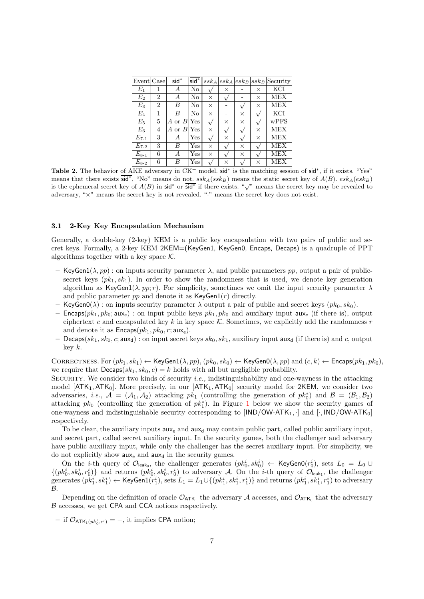| Event Case  |   | sid <sup>*</sup> | sid <sup>*</sup> | $ssk_A$  |   |          |          | $ esk_A esk_B ssk_B $ Security |
|-------------|---|------------------|------------------|----------|---|----------|----------|--------------------------------|
| $E_1$       | 1 | А                | $\rm No$         |          | × |          | $\times$ | KCI                            |
| $E_2$       | 2 | А                | $\rm No$         | $\times$ |   |          | $\times$ | MEX                            |
| $E_3$       | 2 | B                | No               | X        |   |          | X        | <b>MEX</b>                     |
| $E_4$       | 1 | B                | $\rm No$         | $\times$ |   | $\times$ |          | KCI                            |
| $E_{5}$     | 5 | A or $B$ Yes     |                  |          | × | X        |          | wPFS                           |
| $E_{\rm 6}$ | 4 | $A$ or $B $      | Yes              | X        |   |          | $\times$ | <b>MEX</b>                     |
| $E_{7-1}$   | 3 | А                | Yes              |          | × |          | $\times$ | <b>MEX</b>                     |
| $E_{7-2}$   | 3 | B                | Yes <sup>'</sup> | X        |   | X        |          | <b>MEX</b>                     |
| $E_{8-1}$   | 6 | А                | Yes              | X        |   | $\times$ |          | <b>MEX</b>                     |
| $E_{8-2}$   | 6 | B                | Yes              |          | X |          | X        | MEX                            |

<span id="page-6-0"></span>Table 2. The behavior of AKE adversary in  $CK^+$  model.  $\overline{sd}^*$  is the matching session of  $\overline{sd}^*$ , if it exists. "Yes" means that there exists  $\overline{\text{sid}}^*$ , "No" means do not.  $ssk_A(ssk_B)$  means the static secret key of  $A(B)$ .  $esk_A(esk_B)$ if the ephemeral secret key of  $A(B)$  in sid<sup>\*</sup> or sid<sup>\*</sup> if there exists. "√" means the secret key may be revealed to adversary, "×" means the secret key is not revealed. "-" means the secret key does not exist.

### 3.1 2-Key Key Encapsulation Mechanism

Generally, a double-key (2-key) KEM is a public key encapsulation with two pairs of public and secret keys. Formally, a 2-key KEM 2KEM=(KeyGen1, KeyGen0, Encaps, Decaps) is a quadruple of PPT algorithms together with a key space  $K$ .

- KeyGen1( $\lambda, pp$ ): on inputs security parameter  $\lambda$ , and public parameters pp, output a pair of publicsecret keys  $(pk_1, sk_1)$ . In order to show the randomness that is used, we denote key generation algorithm as KeyGen1( $\lambda$ , pp; r). For simplicity, sometimes we omit the input security parameter  $\lambda$ and public parameter  $pp$  and denote it as  $KeyGen1(r)$  directly.
- KeyGen0(λ) : on inputs security parameter λ output a pair of public and secret keys  $(pk_0, sk_0)$ .
- Encaps $(pk_1, pk_0; \text{aux}_e)$ : on input public keys  $pk_1, pk_0$  and auxiliary input aux<sub>e</sub> (if there is), output ciphertext c and encapsulated key k in key space  $K$ . Sometimes, we explicitly add the randomness r and denote it as  $\mathsf{Encaps}(pk_1, pk_0, r; \mathsf{aux}_e)$ .
- Decaps( $sk_1, sk_0, c$ ; aux<sub>d</sub>) : on input secret keys  $sk_0, sk_1$ , auxiliary input aux<sub>d</sub> (if there is) and c, output key k.

CORRECTNESS. For  $(pk_1, sk_1) \leftarrow \text{KeyGen1}(\lambda, pp), (pk_0, sk_0) \leftarrow \text{KeyGen0}(\lambda, pp)$  and  $(c, k) \leftarrow \text{Encaps}(pk_1, pk_0)$ , we require that  $Decaps(sk_1, sk_0, c) = k$  holds with all but negligible probability.

SECURITY. We consider two kinds of security *i.e.*, indistinguishability and one-wayness in the attacking model  $[ATK_1, ATK_0]$ . More precisely, in our  $[ATK_1, ATK_0]$  security model for 2KEM, we consider two adversaries, *i.e.*,  $A = (A_1, A_2)$  attacking  $pk_1$  (controlling the generation of  $pk_0^*$ ) and  $B = (B_1, B_2)$ attacking  $pk_0$  (controlling the generation of  $pk_1^*$  $pk_1^*$  $pk_1^*$ ). In Figure 1 below we show the security games of one-wayness and indistinguishable security corresponding to  $[IND/OW-ATK_1, \cdot]$  and  $[\cdot, IND/OW-ATK_0]$ respectively.

To be clear, the auxiliary inputs  $\mathsf{aux}_e$  and  $\mathsf{aux}_d$  may contain public part, called public auxiliary input, and secret part, called secret auxiliary input. In the security games, both the challenger and adversary have public auxiliary input, while only the challenger has the secret auxiliary input. For simplicity, we do not explicitly show  $aux_e$  and  $aux_d$  in the security games.

On the *i*-th query of  $\mathcal{O}_{\mathsf{leak}_0}$ , the challenger generates  $(pk_0^i, sk_0^i) \leftarrow \mathsf{KeyGenO}(r_0^i)$ , sets  $L_0 = L_0 \cup$  $\{(pk_0^i, sk_0^i, r_0^i)\}\$ and returns  $(pk_0^i, sk_0^i, r_0^i)$  to adversary A. On the *i*-th query of  $\mathcal{O}_{\mathsf{leak}_1}$ , the challenger generates  $(pk_1^i, sk_1^i) \leftarrow \textsf{KeyGen1}(r_1^i)$ , sets  $L_1 = L_1 \cup \{(pk_1^i, sk_1^i, r_1^i)\}$  and returns  $(pk_1^i, sk_1^i, r_1^i)$  to adversary B.

Depending on the definition of oracle  $\mathcal{O}_{ATK_1}$  the adversary  $\mathcal A$  accesses, and  $\mathcal{O}_{ATK_0}$  that the adversary  $\beta$  accesses, we get CPA and CCA notions respectively.

 $-$  if  $\mathcal{O}_{\text{ATK}_1(pk'_0,c')} = -$ , it implies CPA notion;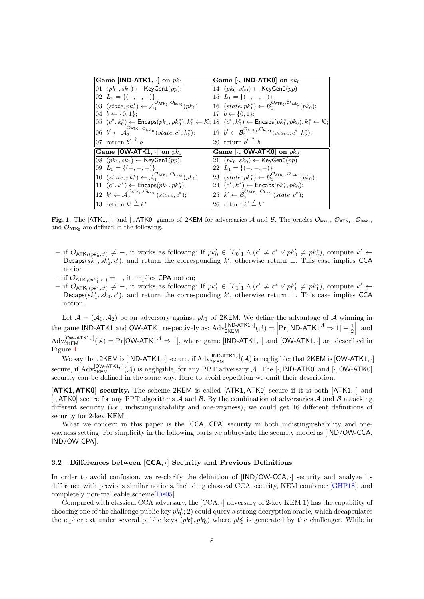| Game [IND-ATK1, $\cdot$ ] on $pk_1$                                                                                                                | Game [ $\cdot$ , IND-ATK0] on $pk_0$                                                                                                          |
|----------------------------------------------------------------------------------------------------------------------------------------------------|-----------------------------------------------------------------------------------------------------------------------------------------------|
| $[01 (pk1, sk1) ← KeyGen1(pp);$                                                                                                                    | 14 $(pk_0, sk_0) \leftarrow \text{KeyGenO}(pp)$                                                                                               |
| 02 $L_0 = \{(-,-,-)\}\$                                                                                                                            | 15 $L_1 = \{(-,-,-)\}\$                                                                                                                       |
| 03 $(state, pk_0^*) \leftarrow \mathcal{A}_1^{\mathcal{O}_{\text{ATK}_1}, \mathcal{O}_{\text{leak}_0}}(pk_1)$                                      | 16 $(state, pk_1^*) \leftarrow \mathcal{B}_1^{\mathcal{O}_{\text{ATK}_0}, \mathcal{O}_{\text{leak}_1}}(pk_0);$                                |
| 04 $b \leftarrow \{0, 1\};$                                                                                                                        | 17 $b \leftarrow \{0, 1\}$ :                                                                                                                  |
|                                                                                                                                                    | 05 $(c^*, k_0^*)$ ← Encaps $(pk_1, pk_0^*)$ , $k_1^*$ ← $\mathcal{K};$ 18 $(c^*, k_0^*)$ ← Encaps $(pk_1^*, pk_0)$ , $k_1^*$ ← $\mathcal{K};$ |
| 06 $b' \leftarrow \mathcal{A}_2^{\mathcal{O}_{\text{ATK}_1}, \mathcal{O}_{\text{leak}_0}}(state, c^*, k_b^*)$ ;                                    | 19 $b' \leftarrow \mathcal{B}_2^{\mathcal{O}_{\text{ATK}_0}, \mathcal{O}_{\text{leak}_1}}(state, c^*, k_b^*)$ ;                               |
| 07 return $b' \stackrel{?}{=} b$                                                                                                                   | 20 return $b' \stackrel{?}{=} b$                                                                                                              |
|                                                                                                                                                    |                                                                                                                                               |
| Game [OW-ATK1, $\cdot$ ] on $pk_1$                                                                                                                 | Game [ $\cdot$ , OW-ATK0] on $pk_0$                                                                                                           |
| 08 $(pk_1, sk_1) \leftarrow \text{KeyGen1}(pp);$                                                                                                   | 21 $(pk_0, sk_0) \leftarrow \text{KeyGenO}(pp)$                                                                                               |
| 09 $L_0 = \{(-,-,-)\}\$                                                                                                                            | 22 $L_1 = \{(-,-,-)\}\$                                                                                                                       |
| 10 $(state, pk_0^*) \leftarrow \mathcal{A}_1^{\mathcal{O}_{\text{ATK}_1}, \mathcal{O}_{\text{leak}_0}}(pk_1)$                                      | 23 $(state, pk_1^*) \leftarrow \mathcal{B}_1^{\mathcal{O}_{\text{ATK}_0}, \mathcal{O}_{\text{leak}_1}}(pk_0);$                                |
| 11 $(c^*, k^*) \leftarrow$ Encaps $(pk_1, pk_0^*)$ ;                                                                                               | 24 $(c^*, k^*) \leftarrow$ Encaps $(pk_1^*, pk_0);$                                                                                           |
| 12 $k' \leftarrow \mathcal{A}_{2}^{\mathcal{O}_{\text{ATK}_{1}}, \mathcal{O}_{\text{leak}_0}}(state, c^*)$ ;<br>13 return $k' \stackrel{?}{=} k^*$ | 25 $k' \leftarrow \mathcal{B}_2^{\mathcal{O}_{\text{ATK}_0}, \mathcal{O}_{\text{leak}_1}}(state, c^*)$ ;                                      |

<span id="page-7-0"></span>Fig. 1. The [ATK1,  $\cdot$ ], and [ $\cdot$ , ATK0] games of 2KEM for adversaries A and B. The oracles  $\mathcal{O}_{\mathsf{leak}_0}$ ,  $\mathcal{O}_{\mathsf{ATK}_1}$ ,  $\mathcal{O}_{\mathsf{leak}_1}$ , and  $\mathcal{O}_{ATK_0}$  are defined in the following.

- $-$  if  $\mathcal{O}_{\mathsf{ATK}_1(pk'_0,c')} \neq -$ , it works as following: If  $pk'_0 \in [L_0]_1 \wedge (c' \neq c^* \vee pk'_0 \neq pk_0^*),$  compute  $k' \leftarrow$ Decaps( $sk_1, sk'_0, c'$ ), and return the corresponding k', otherwise return ⊥. This case implies CCA notion.
- $-$  if  $\mathcal{O}_{\mathsf{ATK}_0(pk'_1,c')} = -$ , it implies CPA notion;
- $-$  if  $\mathcal{O}_{\text{ATK}_0(pk'_1,c')}$  ≠ −, it works as following: If  $pk'_1 \in [L_1]_1 \wedge (c' \neq c^* \vee pk'_1 \neq pk_1^*)$ , compute  $k' \leftarrow$  $\text{Decaps}(sk'_1, sk_0, c')$ , and return the corresponding k', otherwise return ⊥. This case implies CCA notion.

Let  $A = (A_1, A_2)$  be an adversary against  $pk_1$  of 2KEM. We define the advantage of A winning in the game IND-ATK1 and OW-ATK1 respectively as:  $Adv_{2KEM}^{[IND-ATK1, \cdot]}(\mathcal{A}) = \left| Pr[IND-ATK1^{\mathcal{A}} \Rightarrow 1] - \frac{1}{2} \right|$ , and  $L^{[OMATKI, \cdot]}$  $\text{Adv}_{2\text{KEM}}^{[OW-ATK1, \cdot]}(\mathcal{A}) = \Pr[\text{OW-ATK1}^{\mathcal{A}} \Rightarrow 1], \text{ where game } [\text{IND-ATK1}, \cdot] \text{ and } [\text{OW-ATK1}, \cdot] \text{ are described in }$ Figure [1.](#page-7-0)

We say that 2KEM is [IND-ATK1,  $\cdot$ ] secure, if  $\mathrm{Adv}_{2\mathsf{KEM}}^{[\mathsf{IND-ATK1},\cdot]}(\mathcal{A})$  is negligible; that 2KEM is [OW-ATK1,  $\cdot$ ] secure, if  $Adv_{2KEM}^{[OW-ATK1,·]}(\mathcal{A})$  is negligible, for any PPT adversary  $\mathcal{A}$ . The [ $\cdot$ , IND-ATK0] and [ $\cdot$ , OW-ATK0] security can be defined in the same way. Here to avoid repetition we omit their description.

[ATK1, ATK0] security. The scheme 2KEM is called [ATK1, ATK0] secure if it is both [ATK1, ·] and  $[\cdot, ATK0]$  secure for any PPT algorithms A and B. By the combination of adversaries A and B attacking different security (i.e., indistinguishability and one-wayness), we could get 16 different definitions of security for 2-key KEM.

What we concern in this paper is the [CCA, CPA] security in both indistinguishability and onewayness setting. For simplicity in the following parts we abbreviate the security model as [IND/OW-CCA, IND/OW-CPA].

### 3.2 Differences between [CCA, ·] Security and Previous Definitions

In order to avoid confusion, we re-clarify the definition of  $[IND/OW-CCA, \cdot]$  security and analyze its difference with previous similar notions, including classical CCA security, KEM combiner [\[GHP18\]](#page-24-24), and completely non-malleable scheme[\[Fis05\]](#page-24-25).

Compared with classical CCA adversary, the [CCA, ·] adversary of 2-key KEM 1) has the capability of choosing one of the challenge public key  $pk_0^*$ ; 2) could query a strong decryption oracle, which decapsulates the ciphertext under several public keys  $(p k_1^*, p k_0')$  where  $p k_0'$  is generated by the challenger. While in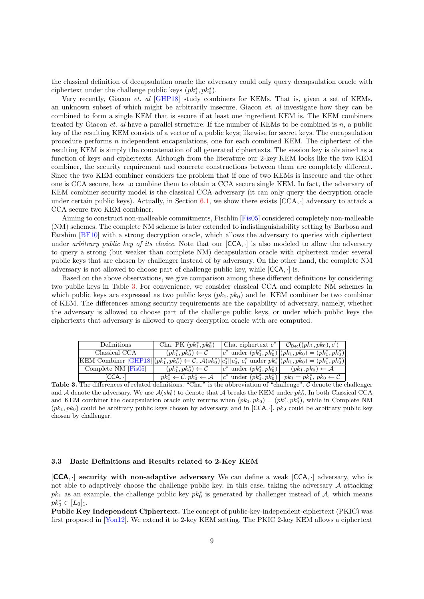the classical definition of decapsulation oracle the adversary could only query decapsulation oracle with ciphertext under the challenge public keys  $(pk_1^*, pk_0^*)$ .

Very recently, Giacon et. al [\[GHP18\]](#page-24-24) study combiners for KEMs. That is, given a set of KEMs, an unknown subset of which might be arbitrarily insecure, Giacon et. al investigate how they can be combined to form a single KEM that is secure if at least one ingredient KEM is. The KEM combiners treated by Giacon et. al have a parallel structure: If the number of KEMs to be combined is n, a public key of the resulting KEM consists of a vector of n public keys; likewise for secret keys. The encapsulation procedure performs n independent encapsulations, one for each combined KEM. The ciphertext of the resulting KEM is simply the concatenation of all generated ciphertexts. The session key is obtained as a function of keys and ciphertexts. Although from the literature our 2-key KEM looks like the two KEM combiner, the security requirement and concrete constructions between them are completely different. Since the two KEM combiner considers the problem that if one of two KEMs is insecure and the other one is CCA secure, how to combine them to obtain a CCA secure single KEM. In fact, the adversary of KEM combiner security model is the classical CCA adversary (it can only query the decryption oracle under certain public keys). Actually, in Section [6.1,](#page-19-1) we show there exists  $[CCA, \cdot]$  adversary to attack a CCA secure two KEM combiner.

Aiming to construct non-malleable commitments, Fischlin [\[Fis05\]](#page-24-25) considered completely non-malleable (NM) schemes. The complete NM scheme is later extended to indistinguishability setting by Barbosa and Farshim [\[BF10\]](#page-23-6) with a strong decryption oracle, which allows the adversary to queries with ciphertext under arbitrary public key of its choice. Note that our  $[CCA, \cdot]$  is also modeled to allow the adversary to query a strong (but weaker than complete NM) decapsulation oracle with ciphertext under several public keys that are chosen by challenger instead of by adversary. On the other hand, the complete NM adversary is not allowed to choose part of challenge public key, while [CCA, ·] is.

Based on the above observations, we give comparison among these different definitions by considering two public keys in Table [3.](#page-8-0) For convenience, we consider classical CCA and complete NM schemes in which public keys are expressed as two public keys  $(pk_1, pk_0)$  and let KEM combiner be two combiner of KEM. The differences among security requirements are the capability of adversary, namely, whether the adversary is allowed to choose part of the challenge public keys, or under which public keys the ciphertexts that adversary is allowed to query decryption oracle with are computed.

| Definitions           | Cha. PK $(pk_1^*, pk_0^*)$                                     |                                   | Cha. ciphertext $c^*$   $\mathcal{O}_{\text{Dec}}((pk_1, pk_0), c')$      |
|-----------------------|----------------------------------------------------------------|-----------------------------------|---------------------------------------------------------------------------|
| Classical CCA         | $(pk_1^*, pk_0^*) \leftarrow \mathcal{C}$                      |                                   | $ c^* \text{ under } (pk_1^*, pk_0^*)   (pk_1, pk_0) = (pk_1^*, pk_0^*) $ |
|                       |                                                                |                                   |                                                                           |
| Complete $NM$ [Fis05] | $(pk_1^*, pk_0^*) \leftarrow C$                                | $ c^* $ under $(pk_1^*, pk_0^*) $ | $(pk_1, pk_0) \leftarrow \mathcal{A}$                                     |
| ∣CCA. ∙l              | $pk_1^* \leftarrow \mathcal{C}, pk_0^* \leftarrow \mathcal{A}$ | $ c^* $ under $(pk_1^*, pk_0^*) $ | $pk_1 = pk_1^*, pk_0 \leftarrow C$                                        |

<span id="page-8-0"></span>Table 3. The differences of related definitions. "Cha." is the abbreviation of "challenge". C denote the challenger and A denote the adversary. We use  $A(s k_0^*)$  to denote that A breaks the KEM under  $pk_0^*$ . In both Classical CCA and KEM combiner the decapsulation oracle only returns when  $(pk_1, pk_0) = (pk_1^*, pk_0^*)$ , while in Complete NM  $(pk_1, pk_0)$  could be arbitrary public keys chosen by adversary, and in [CCA, ·],  $pk_0$  could be arbitrary public key chosen by challenger.

### <span id="page-8-1"></span>3.3 Basic Definitions and Results related to 2-Key KEM

[CCA, ·] security with non-adaptive adversary We can define a weak [CCA, ·] adversary, who is not able to adaptively choose the challenge public key. In this case, taking the adversary  $A$  attacking  $pk_1$  as an example, the challenge public key  $pk_0^*$  is generated by challenger instead of A, which means  $pk_0^* \in [L_0]_1.$ 

Public Key Independent Ciphertext. The concept of public-key-independent-ciphertext (PKIC) was first proposed in [\[Yon12\]](#page-25-3). We extend it to 2-key KEM setting. The PKIC 2-key KEM allows a ciphertext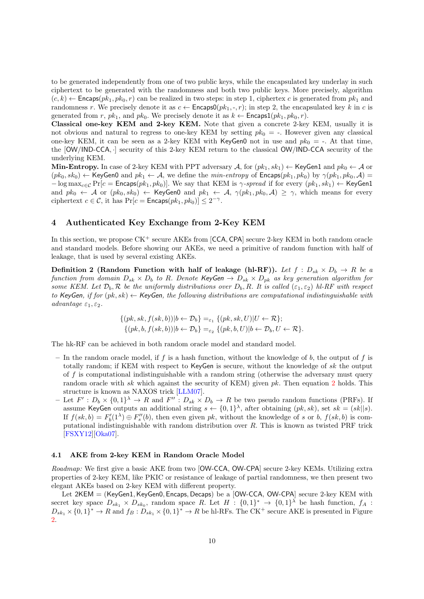to be generated independently from one of two public keys, while the encapsulated key underlay in such ciphertext to be generated with the randomness and both two public keys. More precisely, algorithm  $(c, k) \leftarrow$  Encaps $(pk_1, pk_0, r)$  can be realized in two steps: in step 1, ciphertex c is generated from  $pk_1$  and randomness r. We precisely denote it as  $c \leftarrow$  Encaps0 $(pk_1, \ldots, r)$ ; in step 2, the encapsulated key k in c is generated from r,  $pk_1$ , and  $pk_0$ . We precisely denote it as  $k \leftarrow$  Encaps1( $pk_1, pk_0, r$ ).

Classical one-key KEM and 2-key KEM. Note that given a concrete 2-key KEM, usually it is not obvious and natural to regress to one-key KEM by setting  $pk_0 =$ . However given any classical one-key KEM, it can be seen as a 2-key KEM with KeyGen0 not in use and  $pk_0 =$ . At that time, the [OW/IND-CCA, ·] security of this 2-key KEM return to the classical OW/IND-CCA security of the underlying KEM.

Min-Entropy. In case of 2-key KEM with PPT adversary  $A$ , for  $(pk_1, sk_1) \leftarrow$  KeyGen1 and  $pk_0 \leftarrow A$  or  $(pk_0, sk_0) \leftarrow$  KeyGen0 and  $pk_1 \leftarrow A$ , we define the min-entropy of Encaps $(pk_1, pk_0)$  by  $\gamma(pk_1, pk_0, A)$  $-\log \max_{c \in \mathcal{C}} \Pr[c = \mathsf{Encaps}(pk_1, pk_0)]$ . We say that KEM is  $\gamma$ -spread if for every  $(pk_1, sk_1) \leftarrow \mathsf{KeyGen1}$ and  $pk_0 \leftarrow A$  or  $(pk_0, sk_0) \leftarrow \text{KeyGen0}$  and  $pk_1 \leftarrow A$ ,  $\gamma(pk_1, pk_0, A) \geq \gamma$ , which means for every ciphertext  $c \in \mathcal{C}$ , it has  $Pr[c = \mathsf{Encaps}(pk_1, pk_0)] \leq 2^{-\gamma}$ .

# <span id="page-9-2"></span>4 Authenticated Key Exchange from 2-Key KEM

In this section, we propose  $CK^+$  secure AKEs from [CCA, CPA] secure 2-key KEM in both random oracle and standard models. Before showing our AKEs, we need a primitive of random function with half of leakage, that is used by several existing AKEs.

Definition 2 (Random Function with half of leakage (hl-RF)). Let  $f : D_{sk} \times D_b \to R$  be a function from domain  $D_{sk} \times D_b$  to R. Denote KeyGen  $\to D_{sk} \times D_{pk}$  as key generation algorithm for some KEM. Let  $\mathcal{D}_b$ ,  $\mathcal{R}$  be the uniformly distributions over  $D_b$ , R. It is called  $(\varepsilon_1, \varepsilon_2)$  hl-RF with respect to KeyGen, if for  $(pk, sk) \leftarrow$  KeyGen, the following distributions are computational indistinguishable with advantage  $\varepsilon_1, \varepsilon_2$ .

<span id="page-9-0"></span>
$$
\{(pk, sk, f(sk, b))|b \leftarrow \mathcal{D}_b\} =_{\varepsilon_1} \{(pk, sk, U)|U \leftarrow \mathcal{R}\};
$$
  

$$
\{(pk, b, f(sk, b))|b \leftarrow \mathcal{D}_b\} =_{\varepsilon_2} \{(pk, b, U)|b \leftarrow \mathcal{D}_b, U \leftarrow \mathcal{R}\}.
$$

The hk-RF can be achieved in both random oracle model and standard model.

- In the random oracle model, if f is a hash function, without the knowledge of b, the output of f is totally random; if KEM with respect to KeyGen is secure, without the knowledge of sk the output of f is computational indistinguishable with a random string (otherwise the adversary must query random oracle with sk which against the security of KEM) given  $pk$ . Then equation [2](#page-9-0) holds. This structure is known as NAXOS trick [\[LLM07\]](#page-24-2).
- Let  $F': D_b \times \{0,1\}^{\lambda} \to R$  and  $F'': D_{sk} \times D_b \to R$  be two pseudo random functions (PRFs). If assume KeyGen outputs an additional string  $s \leftarrow \{0,1\}^{\lambda}$ , after obtaining  $(pk, sk)$ , set  $sk = (sk||s)$ . If  $f(sk, b) = F'_b(1^{\lambda}) \oplus F''_s(b)$ , then even given pk, without the knowledge of s or b,  $f(sk, b)$  is computational indistinguishable with random distribution over  $R$ . This is known as twisted PRF trick [\[FSXY12\]](#page-24-3)[\[Oka07\]](#page-24-7).

#### <span id="page-9-1"></span>4.1 AKE from 2-key KEM in Random Oracle Model

Roadmap: We first give a basic AKE from two [OW-CCA, OW-CPA] secure 2-key KEMs. Utilizing extra properties of 2-key KEM, like PKIC or resistance of leakage of partial randomness, we then present two elegant AKEs based on 2-key KEM with different property.

Let 2KEM = (KeyGen1, KeyGen0, Encaps, Decaps) be a [OW-CCA, OW-CPA] secure 2-key KEM with secret key space  $D_{sk_1} \times D_{sk_0}$ , random space R. Let  $H : \{0,1\}^* \to \{0,1\}^{\lambda}$  be hash function,  $f_A$ :  $D_{sk_1} \times \{0,1\}^* \to R$  and  $f_B : D_{sk_1} \times \{0,1\}^* \to R$  be hl-RFs. The CK<sup>+</sup> secure AKE is presented in Figure [2.](#page-10-0)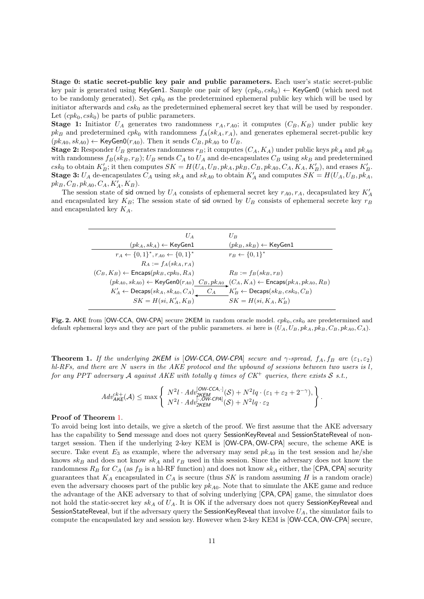Stage 0: static secret-public key pair and public parameters. Each user's static secret-public key pair is generated using KeyGen1. Sample one pair of key  $(cpk_0, csk_0) \leftarrow \text{KeyGen0}$  (which need not to be randomly generated). Set  $cpk_0$  as the predetermined ephemeral public key which will be used by initiator afterwards and  $csk<sub>0</sub>$  as the predetermined ephemeral secret key that will be used by responder. Let  $(cpk_0, csk_0)$  be parts of public parameters.

**Stage 1:** Initiator  $U_A$  generates two randomness  $r_A, r_{A0}$ ; it computes  $(C_B, K_B)$  under public key  $pk_B$  and predetermined  $cpk_0$  with randomness  $f_A(sk_A, r_A)$ , and generates ephemeral secret-public key  $(pk_{A0}, sk_{A0}) \leftarrow \text{KeyGenO}(r_{A0})$ . Then it sends  $C_B, pk_{A0}$  to  $U_B$ .

**Stage 2:** Responder  $U_B$  generates randomness  $r_B$ ; it computes  $(C_A, K_A)$  under public keys  $pk_A$  and  $pk_{A0}$ with randomness  $f_B(sk_B, r_B)$ ;  $U_B$  sends  $C_A$  to  $U_A$  and de-encapsulates  $C_B$  using  $sk_B$  and predetermined  $csk_0$  to obtain  $K'_B$ ; it then computes  $SK = H(U_A, U_B, pk_A, pk_B, C_B, pk_{A0}, C_A, K_A, K'_B)$ , and erases  $K'_B$ . **Stage 3:**  $U_A$  de-encapsulates  $C_A$  using  $sk_A$  and  $sk_{A0}$  to obtain  $K'_A$  and computes  $SK = H(U_A, U_B, pk_A,$  $pk_B, C_B, pk_{A0}, C_A, K'_A, K_B).$ 

The session state of sid owned by  $U_A$  consists of ephemeral secret key  $r_{A0}, r_A$ , decapsulated key  $K'_A$ and encapsulated key  $K_B$ ; The session state of sid owned by  $U_B$  consists of ephemeral secrete key  $r_B$ and encapsulated key  $K_A$ .

| $U_B$                                                                                                                               |
|-------------------------------------------------------------------------------------------------------------------------------------|
| $(pk_B, sk_B) \leftarrow$ KeyGen1                                                                                                   |
| $r_B \leftarrow \{0, 1\}^*$                                                                                                         |
|                                                                                                                                     |
| $R_B := f_B(s k_B, r_B)$                                                                                                            |
| $(pk_{A0}, sk_{A0}) \leftarrow \mathsf{KeyGenO}(r_{A0})$ $C_B, pk_{A0}$ $(C_A, K_A) \leftarrow \mathsf{Encaps}(pk_A, pk_{A0}, R_B)$ |
| $K'_B \leftarrow$ Decaps $(sk_B, csk_0, C_B)$                                                                                       |
| $SK = H(\mathfrak{si}, K_A, K_B')$                                                                                                  |
|                                                                                                                                     |

<span id="page-10-0"></span>Fig. 2. AKE from [OW-CCA, OW-CPA] secure 2KEM in random oracle model.  $cpk_0$ ,  $csk_0$  are predetermined and default ephemeral keys and they are part of the public parameters. si here is  $(U_A, U_B, pk_A, pk_B, C_B, pk_{A0}, C_A)$ .

<span id="page-10-1"></span>**Theorem 1.** If the underlying 2KEM is [OW-CCA, OW-CPA] secure and  $\gamma$ -spread,  $f_A, f_B$  are  $(\epsilon_1, \epsilon_2)$  $hl-RFs$ , and there are N users in the AKE protocol and the upbound of sessions between two users is l, for any PPT adversary A against AKE with totally q times of  $CK^+$  queries, there exists S s.t.,

$$
Adv_{\mathsf{AKE}}^{ck+}(\mathcal{A}) \le \max \left\{ \begin{array}{l} N^2l \cdot Adv_{2\mathsf{KEM}}^{[\text{OW-CCA},\cdot]}(\mathcal{S}) + N^2lq \cdot (\varepsilon_1 + \varepsilon_2 + 2^{-\gamma}), \\ N^2l \cdot Adv_{2\mathsf{KEM}}^{[\cdot,\text{OW-CPA}]}(\mathcal{S}) + N^2lq \cdot \varepsilon_2 \end{array} \right\}
$$

.

#### Proof of Theorem [1.](#page-10-1)

To avoid being lost into details, we give a sketch of the proof. We first assume that the AKE adversary has the capability to Send message and does not query SessionKeyReveal and SessionStateReveal of nontarget session. Then if the underlying 2-key KEM is [OW-CPA, OW-CPA] secure, the scheme AKE is secure. Take event  $E_3$  as example, where the adversary may send  $pk_{A0}$  in the test session and he/she knows  $s k_B$  and does not know  $s k_A$  and  $r_B$  used in this session. Since the adversary does not know the randomness  $R_B$  for  $C_A$  (as  $f_B$  is a hl-RF function) and does not know  $sk_A$  either, the [CPA, CPA] security guarantees that  $K_A$  encapsulated in  $C_A$  is secure (thus SK is random assuming H is a random oracle) even the adversary chooses part of the public key  $pk_{A0}$ . Note that to simulate the AKE game and reduce the advantage of the AKE adversary to that of solving underlying [CPA, CPA] game, the simulator does not hold the static-secret key sk<sub>A</sub> of  $U_A$ . It is OK if the adversary does not query SessionKeyReveal and SessionStateReveal, but if the adversary query the SessionKeyReveal that involve  $U_A$ , the simulator fails to compute the encapsulated key and session key. However when 2-key KEM is [OW-CCA, OW-CPA] secure,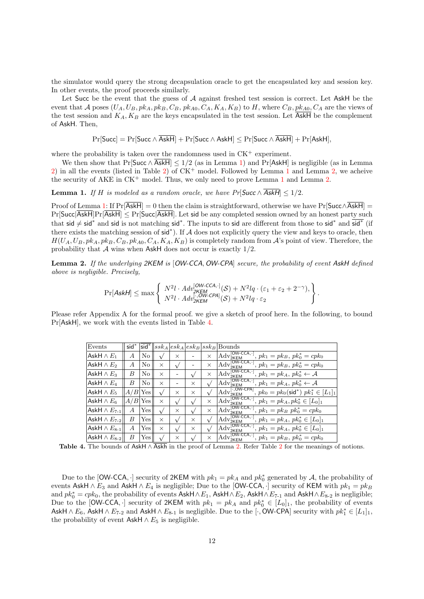the simulator would query the strong decapsulation oracle to get the encapsulated key and session key. In other events, the proof proceeds similarly.

Let Succ be the event that the guess of A against freshed test session is correct. Let AskH be the event that A poses  $(U_A, U_B, pk_A, pk_B, C_B, pk_{A0}, C_A, K_A, K_B)$  to H, where  $C_B, pk_{A0}, C_A$  are the views of the test session and  $K_A, K_B$  are the keys encapsulated in the test session. Let  $\overline{\text{AskH}}$  be the complement of AskH. Then,

<span id="page-11-0"></span>
$$
\Pr[\mathsf{Succ}] = \Pr[\mathsf{Succ} \land \overline{\mathsf{AskH}}] + \Pr[\mathsf{Succ} \land \mathsf{AskH}] \leq \Pr[\mathsf{Succ} \land \overline{\mathsf{AskH}}] + \Pr[\mathsf{AskH}],
$$

where the probability is taken over the randomness used in  $CK^+$  experiment.

We then show that Pr[Succ  $\wedge$  AskH]  $\leq 1/2$  (as in Lemma [1\)](#page-11-0) and Pr[AskH] is negligible (as in Lemma [2\)](#page-6-0) in all the events (listed in Table 2) of  $CK^+$  model. Followed by Lemma [1](#page-11-0) and Lemma [2,](#page-11-1) we acheive the security of AKE in  $CK^+$  model. Thus, we only need to prove Lemma [1](#page-11-0) and Lemma [2.](#page-11-1)

**Lemma 1.** If H is modeled as a random oracle, we have  $Pr[\text{Succ} \land \overline{\text{AskH}}] \leq 1/2$ .

Proof of Lemma [1:](#page-11-0) If  $Pr[\overline{AskH}] = 0$  then the claim is straightforward, otherwise we have  $Pr[\text{Succ} \wedge \overline{AskH}] =$  $Pr[\text{Succ}|\overline{\text{AskH}}]Pr[\overline{\text{AskH}}] \leq Pr[\text{Succ}|\overline{\text{AskH}}]$ . Let sid be any completed session owned by an honest party such that sid  $\neq$  sid<sup>\*</sup> and sid is not matching sid<sup>\*</sup>. The inputs to sid are different from those to sid<sup>\*</sup> and  $\overline{sid}^*$  (if there exists the matching session of sid<sup>∗</sup> ). If A does not explicitly query the view and keys to oracle, then  $H(U_A, U_B, pk_A, pk_B, C_B, pk_{A0}, C_A, K_A, K_B)$  is completely random from A's point of view. Therefore, the probability that A wins when AskH does not occur is exactly  $1/2$ .

<span id="page-11-1"></span>Lemma 2. If the underlying 2KEM is [OW-CCA, OW-CPA] secure, the probability of event AskH defined above is negligible. Precisely,

$$
\Pr[\mathsf{AskH}] \le \max \left\{ \begin{array}{l} N^2l \cdot Adv_{2KEM}^{[OW-CCA,\cdot]}(\mathcal{S}) + N^2lq \cdot (\varepsilon_1 + \varepsilon_2 + 2^{-\gamma}), \\ N^2l \cdot Adv_{2KEM}^{[\cdot,OW-CPA]}(\mathcal{S}) + N^2lq \cdot \varepsilon_2 \end{array} \right\}.
$$

Please refer Appendix A for the formal proof. we give a sketch of proof here. In the following, to bound Pr[AskH], we work with the events listed in Table [4.](#page-11-2)

| Events                | $sid^*$        | sid <sup>*</sup> |               |          |            |            | $ ssk_A esk_A esk_B ssk_B $ Bounds                                                                                |
|-----------------------|----------------|------------------|---------------|----------|------------|------------|-------------------------------------------------------------------------------------------------------------------|
| AskH $\wedge E_1$     | A              | No               | $\sqrt{ }$    | X        |            | $\times$   | $p k_1 = p k_B, p k_0^* = c p k_0$<br>$\mathrm{Adv}_{2\underline{\mathsf{KEM}}}^{\mathrm{L}}$                     |
| AskH $\wedge E_2$     | A              | No               | $\times$      |          |            | $\times$   | [OW-CCA. 1<br>$Adv_{2\underline{\mathsf{KEM}}}^{\mathsf{IUV}}$<br>$, pk_1 = pk_B, pk_0^* = cpk_0$                 |
| AskH $\wedge E_3$     | В              | No               | $\times$      |          | $\sqrt{ }$ | $\times$   | [OW-CCA.-]<br>$Adv_{2K\underline{\mathsf{EM}}}^{\text{low}}$<br>$p_k, pk_1 = pk_A, pk_0^* \leftarrow \mathcal{A}$ |
| AskH $\wedge E_4$     | B              | No               | $\times$      |          | $\times$   | $\sqrt{ }$ | OW-CCA, 1<br>$Adv_{2K\underline{\mathsf{EM}}}^{\text{low}}$<br>$, pk_1 = pk_A, pk_0^* \leftarrow \mathcal{A}$     |
| AskH $\wedge E_5$     | A/B            | Yes              | $\sqrt{ }$    | X        | $\times$   | $\sqrt{ }$ | OW-CPAI. ا<br>, $pk_0 = pk_0(\text{sid}^*) pk_1^* \in [L_1]_1$<br>$\rm{Adv}^!$<br>2KEM                            |
| AskH $\wedge E_6$     | A/B            | Yes              | $\times$      |          |            | $\times$   | OW-CCA. I<br>$, pk_1 = pk_A, pk_0^* \in [L_0]_1$<br>$Adv_{2K\underline{\mathsf{EM}}}^{\text{loc}}$                |
| AskH $\wedge E_{7-1}$ | A              | ${\rm Yes}$      | $\sqrt{ }$    | $\times$ |            | $\times$   | OW-CCA. I<br>$Adv_{2K\underline{\mathsf{EM}}}^{\text{low}}$<br>$, pk_1 = pk_B pk_0^* = cpk_0$                     |
| AskH $\wedge E_{7-2}$ | B              | ${\rm Yes}$      | $\times$      |          | $\times$   | $\sqrt{ }$ | $OW$ -CCA, $\cdot$<br>$Adv_{2KEM}^{\text{loc}}$<br>$, pk_1 = pk_A, pk_0^* \in [L_0]_1$                            |
| AskH $\wedge E_{8-1}$ | $\overline{A}$ | Yes              | $\times$      |          | $\times$   |            | OW-CCA. I<br>$Adv_{2KEM}^{\text{loc}}$<br>, $pk_1 = pk_A$ , $pk_0^* \in [L_0]_1$                                  |
| AskH $\wedge E_{8-2}$ | B              | ${\rm Yes}$      | $\mathcal{N}$ | X        |            | $\times$   | $OW$ -CCA, $\cdot$<br>Adv<br>$pk_1 = pk_B, pk_0^* = cpk_0$<br>2KEM                                                |

<span id="page-11-2"></span>Table 4. The bounds of AskH  $\land$   $\overline{Askh}$  in the proof of Lemma [2.](#page-11-1) Refer Table [2](#page-6-0) for the meanings of notions.

Due to the [OW-CCA, ·] security of 2KEM with  $pk_1 = pk_A$  and  $pk_0^*$  generated by A, the probability of events AskH  $\wedge E_3$  and AskH  $\wedge E_4$  is negligible; Due to the [OW-CCA, ·] security of KEM with  $pk_1 = pk_B$ and  $pk_0^* = cpk_0$ , the probability of events Ask $H \wedge E_1$ , Ask $H \wedge E_2$ , Ask $H \wedge E_{7-1}$  and Ask $H \wedge E_{8-2}$  is negligible; Due to the [OW-CCA,  $\cdot$ ] security of 2KEM with  $pk_1 = pk_A$  and  $pk_0^* \in [L_0]_1$ , the probability of events AskH  $\wedge E_6$ , AskH  $\wedge E_{7-2}$  and AskH  $\wedge E_{8-1}$  is negligible. Due to the [ $\cdot$ , OW-CPA] security with  $pk_1^* \in [L_1]_1$ , the probability of event AskH  $\land$  E<sub>5</sub> is negligible.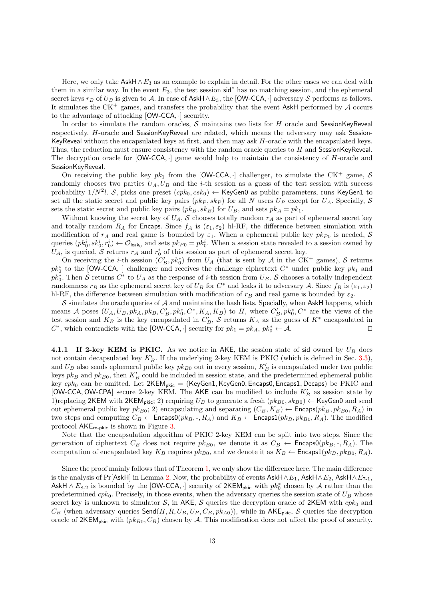Here, we only take  $\mathsf{AskH} \wedge E_3$  as an example to explain in detail. For the other cases we can deal with them in a similar way. In the event  $E_3$ , the test session sid<sup>\*</sup> has no matching session, and the ephemeral secret keys  $r_B$  of  $U_B$  is given to A. In case of AskH∧E<sub>3</sub>, the [OW-CCA, ·] adversary S performs as follows. It simulates the CK<sup>+</sup> games, and transfers the probability that the event AskH performed by  $\mathcal A$  occurs to the advantage of attacking [OW-CCA, ·] security.

In order to simulate the random oracles,  $S$  maintains two lists for  $H$  oracle and SessionKeyReveal respectively. H-oracle and SessionKeyReveal are related, which means the adversary may ask Session-KeyReveal without the encapsulated keys at first, and then may ask H-oracle with the encapsulated keys. Thus, the reduction must ensure consistency with the random oracle queries to H and SessionKeyReveal. The decryption oracle for  $[OW-CCA, \cdot]$  game would help to maintain the consistency of H-oracle and SessionKeyReveal.

On receiving the public key  $pk_1$  from the [OW-CCA, ] challenger, to simulate the CK<sup>+</sup> game, S randomly chooses two parties  $U_A, U_B$  and the *i*-th session as a guess of the test session with success probability  $1/N^2l$ . S, picks one preset  $(cpk_0, csk_0) \leftarrow \text{KeyGen0}$  as public parameters, runs KeyGen1 to set all the static secret and public key pairs  $(\rho k_P, sk_P)$  for all N users  $U_P$  except for  $U_A$ . Specially, S sets the static secret and public key pairs  $(pk_B, sk_B)$  for  $U_B$ , and sets  $pk_A = pk_1$ .

Without knowing the secret key of  $U_A$ , S chooses totally random  $r_A$  as part of ephemeral secret key and totally random  $R_A$  for Encaps. Since  $f_A$  is  $(\varepsilon_1, \varepsilon_2)$  hl-RF, the difference between simulation with modification of  $r_A$  and real game is bounded by  $\varepsilon_1$ . When a ephemeral public key  $pk_{P0}$  is needed, S queries  $(pk_0^i, sk_0^i, r_0^i) \leftarrow \mathcal{O}_{\mathsf{leak}_0}$  and sets  $pk_{P0} = pk_0^i$ . When a session state revealed to a session owned by  $U_A$ , is queried,  $S$  returns  $r_A$  and  $r_0^i$  of this session as part of ephemeral secret key.

On receiving the *i*-th session  $(C'_B, pk_0^*)$  from  $U_A$  (that is sent by  $A$  in the CK<sup>+</sup> games),  $S$  returns  $pk_0^*$  to the [OW-CCA, ·] challenger and receives the challenge ciphertext  $C^*$  under public key  $pk_1$  and  $pk_0^*$ . Then S returns  $C^*$  to  $U_A$  as the response of *i*-th session from  $U_B$ . S chooses a totally independent randomness  $r_B$  as the ephemeral secret key of  $U_B$  for  $C^*$  and leaks it to adversary A. Since  $f_B$  is  $(\varepsilon_1, \varepsilon_2)$ hl-RF, the difference between simulation with modification of  $r_B$  and real game is bounded by  $\varepsilon_2$ .

 $\mathcal S$  simulates the oracle queries of  $\mathcal A$  and maintains the hash lists. Specially, when AskH happens, which means A poses  $(U_A, U_B, pk_A, pk_B, C'_B, pk_0^*, C^*, K_A, K_B)$  to H, where  $C'_B, pk_0^*, C^*$  are the views of the test session and  $K_B$  is the key encapsulated in  $C'_B$ , S returns  $K_A$  as the guess of  $K^*$  encapsulated in  $C^*$ , which contradicts with the [OW-CCA, ·] security for  $pk_1 = pk_A$ ,  $pk_0^* \leftarrow A$ . □

4.1.1 If 2-key KEM is PKIC. As we notice in AKE, the session state of sid owned by  $U_B$  does not contain decapsulated key  $K'_B$ . If the underlying 2-key KEM is PKIC (which is defined in Sec. [3.3\)](#page-8-1), and  $U_B$  also sends ephemeral public key  $pk_{B0}$  out in every session,  $K'_B$  is encapsulated under two public keys  $pk_B$  and  $pk_{B0}$ , then  $K'_B$  could be included in session state, and the predetermined ephemeral public key  $cpk_0$  can be omitted. Let  $2KEM_{pkic} = (KeyGen1, KeyGen0, Encaps0, Encaps1, Decaps)$  be PKIC and [OW-CCA, OW-CPA] secure 2-key KEM. The AKE can be modified to include  $K_B'$  as session state by 1)replacing 2KEM with 2KEM<sub>pkic</sub>; 2) requiring  $U_B$  to generate a fresh  $(pk_{B0}, sk_{B0}) \leftarrow$  KeyGen0 and send out ephemeral public key  $pk_{B0}$ ; 2) encapsulating and separating  $(C_B, K_B) \leftarrow$  Encaps $(pk_B, pk_{B0}, R_A)$  in two steps and computing  $C_B \leftarrow$  Encaps0( $pk_B, \neg, R_A$ ) and  $K_B \leftarrow$  Encaps1( $pk_B, pk_{B0}, R_A$ ). The modified protocol AKEro-pkic is shown in Figure [3.](#page-13-0)

Note that the encapsulation algorithm of PKIC 2-key KEM can be split into two steps. Since the generation of ciphertext  $C_B$  does not require  $pk_{B0}$ , we denote it as  $C_B \leftarrow$  Encaps0( $pk_B, \neg, R_A$ ). The computation of encapsulated key  $K_B$  requires  $pk_{B0}$ , and we denote it as  $K_B \leftarrow$  Encaps1( $pk_B, pk_{B0}, R_A$ ).

Since the proof mainly follows that of Theorem [1,](#page-10-1) we only show the difference here. The main difference is the analysis of Pr[AskH] in Lemma [2.](#page-11-1) Now, the probability of events AskH∧ $E_1$ , AskH∧ $E_2$ , AskH∧ $E_{7-1}$ , AskH  $\wedge E_{8-2}$  is bounded by the [OW-CCA, ·] security of 2KEM<sub>pkic</sub> with  $pk_0^*$  chosen by A rather than the predetermined  $cpk<sub>0</sub>$ . Precisely, in those events, when the adversary queries the session state of  $U_B$  whose secret key is unknown to simulator S, in AKE, S queries the decryption oracle of 2KEM with  $cpk<sub>0</sub>$  and  $C_B$  (when adversary queries Send( $\Pi$ ,  $R$ ,  $U_B$ ,  $U_P$ ,  $C_B$ ,  $pk_{A0}$ )), while in AKE<sub>pkic</sub>, S queries the decryption oracle of  $2KEM_{p,kic}$  with  $(pk_{B0}, C_B)$  chosen by A. This modification does not affect the proof of security.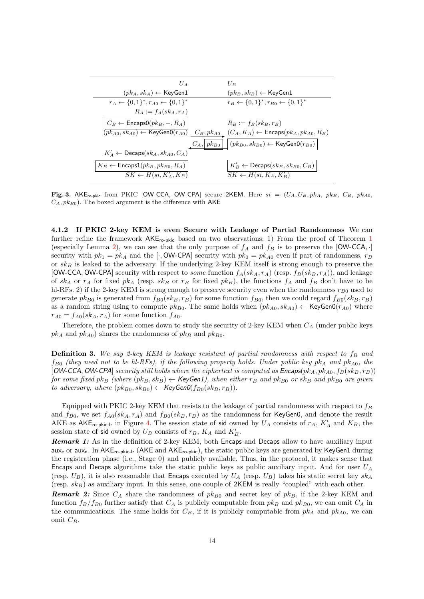| $U_A$                                                   | $U_B$                                                                                                                                                            |
|---------------------------------------------------------|------------------------------------------------------------------------------------------------------------------------------------------------------------------|
| $(pk_A, sk_A) \leftarrow \text{KeyGen1}$                | $(pk_B, sk_B) \leftarrow$ KeyGen1                                                                                                                                |
| $r_A \leftarrow \{0,1\}^*, r_{A0} \leftarrow \{0,1\}^*$ | $r_B \leftarrow \{0,1\}^*, r_{B0} \leftarrow \{0,1\}^*$                                                                                                          |
| $R_A := f_A(s k_A, r_A)$                                |                                                                                                                                                                  |
| $C_B \leftarrow$ Encaps $0(pk_B, -, R_A)$               | $R_B := f_B(s k_B, r_B)$                                                                                                                                         |
|                                                         | $\overline{(\overline{pk_{A0},sk_{A0}}) \leftarrow \mathsf{KeyGenO}(r_{A0})} \quad C_B, pk_{A0} \quad (C_A, K_A) \leftarrow \mathsf{Encaps}(pk_A, pk_{A0}, R_B)$ |
|                                                         | $ (p k_{B0}, s k_{B0}) \leftarrow \mathsf{KeyGenO}(r_{B0}) $<br>$C_A, \vert p k_{B0} \vert$                                                                      |
| $K'_A \leftarrow$ Decaps $(sk_A, sk_{A0}, C_A)$         |                                                                                                                                                                  |
| $K_B \leftarrow$ Encaps $1(pk_B, pk_{B0}, R_A)$         | $K'_B \leftarrow$ Decaps $(sk_B, sk_{B0}, C_B)$                                                                                                                  |
| $SK \leftarrow H(\overline{si}, K'_A, K_B)$             | $SK \leftarrow H(s_i, K_A, K'_B)$                                                                                                                                |

<span id="page-13-0"></span>Fig. 3. AKE<sub>ro-pkic</sub> from PKIC [OW-CCA, OW-CPA] secure 2KEM. Here  $si = (U_A, U_B, p k_A, p k_B, C_B, p k_{A0}, D B, C_B, p k_{B0})$  $C_A, pk_{B0}$ ). The boxed argument is the difference with AKE

4.1.2 If PKIC 2-key KEM is even Secure with Leakage of Partial Randomness We can further refine the framework  $AKE_{\text{ro-pkic}}$  based on two observations: [1](#page-10-1)) From the proof of Theorem 1 (especially Lemma [2\)](#page-11-1), we can see that the only purpose of  $f_A$  and  $f_B$  is to preserve the [OW-CCA, ·] security with  $pk_1 = pk_A$  and the [·, OW-CPA] security with  $pk_0 = pk_{A0}$  even if part of randomness,  $r_B$ or  $s k_B$  is leaked to the adversary. If the underlying 2-key KEM itself is strong enough to preserve the [OW-CCA, OW-CPA] security with respect to *some* function  $f_A(s_k,A)$  (resp.  $f_B(s_k,B, r_A)$ ), and leakage of  $sk_A$  or  $r_A$  for fixed  $pk_A$  (resp.  $sk_B$  or  $r_B$  for fixed  $pk_B$ ), the functions  $f_A$  and  $f_B$  don't have to be hl-RFs. 2) if the 2-key KEM is strong enough to preserve security even when the randomness  $r_{B0}$  used to generate  $pk_{B0}$  is generated from  $f_{B0}(sk_B, r_B)$  for some function  $f_{B0}$ , then we could regard  $f_{B0}(sk_B, r_B)$ as a random string using to compute  $pk_{B0}$ . The same holds when  $(pk_{A0}, sk_{A0}) \leftarrow \text{KeyGenO}(r_{A0})$  where  $r_{A0} = f_{A0}(sk_A, r_A)$  for some function  $f_{A0}$ .

Therefore, the problem comes down to study the security of 2-key KEM when  $C_A$  (under public keys  $pk_A$  and  $pk_{A0}$ ) shares the randomness of  $pk_B$  and  $pk_{B0}$ .

**Definition 3.** We say 2-key KEM is leakage resistant of partial randomness with respect to  $f_B$  and  $f_{B0}$  (they need not to be hl-RFs), if the following property holds. Under public key pk<sub>A</sub> and pk<sub>A0</sub>, the  $[OW-CCA, OW-CPA]$  security still holds where the ciphertext is computed as  $Encaps(pk_A, pk_{A0}, f_B(sk_B, r_B))$ for some fixed pk<sub>B</sub> (where  $(pk_B, sk_B) \leftarrow$  KeyGen1), when either  $r_B$  and  $pk_{B0}$  or  $sk_B$  and  $pk_{B0}$  are given to adversary, where  $(pk_{B0}, sk_{B0}) \leftarrow \text{KeyGenO}(f_{B0}(sk_B, r_B)).$ 

Equipped with PKIC 2-key KEM that resists to the leakage of partial randomness with respect to  $f_B$ and  $f_{B0}$ , we set  $f_{A0}(sk_A, r_A)$  and  $f_{B0}(sk_B, r_B)$  as the randomness for KeyGen0, and denote the result AKE as  $AKE_{\text{ro-pkic-lr}}$  in Figure [4.](#page-14-0) The session state of sid owned by  $U_A$  consists of  $r_A$ ,  $K'_A$  and  $K_B$ , the session state of sid owned by  $U_B$  consists of  $r_B$ ,  $K_A$  and  $K'_B$ .

Remark 1: As in the definition of 2-key KEM, both Encaps and Decaps allow to have auxiliary input aux<sub>e</sub> or aux<sub>d</sub>. In AKE<sub>ro-pkic-lr</sub> (AKE and AKE<sub>ro-pkic</sub>), the static public keys are generated by KeyGen1 during the registration phase (i.e., Stage 0) and publicly available. Thus, in the protocol, it makes sense that Encaps and Decaps algorithms take the static public keys as public auxiliary input. And for user  $U_A$ (resp.  $U_B$ ), it is also reasonable that Encaps executed by  $U_A$  (resp.  $U_B$ ) takes his static secret key  $sk_A$ (resp.  $sk_B$ ) as auxiliary input. In this sense, one couple of 2KEM is really "coupled" with each other.

**Remark 2:** Since  $C_A$  share the randomness of  $pk_{B0}$  and secret key of  $pk_B$ , if the 2-key KEM and function  $f_B/f_{B0}$  further satisfy that  $C_A$  is publicly computable from  $pk_B$  and  $pk_{B0}$ , we can omit  $C_A$  in the communications. The same holds for  $C_B$ , if it is publicly computable from  $pk_A$  and  $pk_{A0}$ , we can omit  $C_B$ .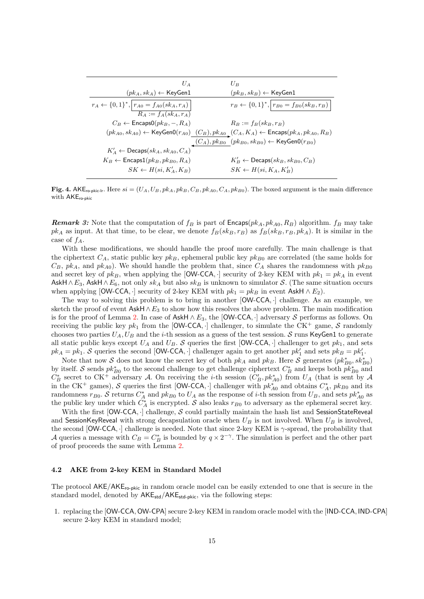| $U_A$                                                                  | $U_B$                                                                                                                                 |
|------------------------------------------------------------------------|---------------------------------------------------------------------------------------------------------------------------------------|
| $(pk_A, sk_A) \leftarrow$ KeyGen1                                      | $(pk_B, sk_B) \leftarrow$ KeyGen1                                                                                                     |
| $r_A \leftarrow \{0,1\}^*,   r_{A0} = f_{A0}(s k_A, r_A)  $            | $r_B \leftarrow \{0,1\}^*,  r_{B0} = f_{B0}(sk_B, r_B) $                                                                              |
| $R_A := f_A(s k_A, r_A)$<br>$C_B \leftarrow$ Encaps0( $pk_B, -, R_A$ ) | $R_B := f_B(s k_B, r_B)$                                                                                                              |
|                                                                        | $(pk_{A0}, sk_{A0}) \leftarrow \mathsf{KeyGenO}(r_{A0})$ $(C_B), pk_{A0}$ $(C_A, K_A) \leftarrow \mathsf{Encaps}(pk_A, pk_{A0}, R_B)$ |
|                                                                        | $(C_A), pk_{B0} (pk_{B0}, sk_{B0}) \leftarrow \text{KeyGenO}(r_{B0})$                                                                 |
| $K'_A \leftarrow$ Decaps $(sk_A, sk_{A0}, C_A)$                        |                                                                                                                                       |
| $K_B \leftarrow$ Encaps $1(pk_B, pk_{B0}, Ra)$                         | $K'_B \leftarrow$ Decaps $(sk_B, sk_{B0}, C_B)$                                                                                       |
| $SK \leftarrow H(\textit{si}, K_A', K_B)$                              | $SK \leftarrow H(s_i, K_A, K_B')$                                                                                                     |

<span id="page-14-0"></span>Fig. 4. AKE<sub>ro-pkic-lr</sub>. Here  $si = (U_A, U_B, p k_A, p k_B, C_B, p k_{A0}, C_A, p k_{B0})$ . The boxed argument is the main difference with AKE<sub>ro-pkic</sub>

**Remark 3:** Note that the computation of  $f_B$  is part of  $\mathsf{Encaps}(pk_A, pk_{A0}, R_B)$  algorithm.  $f_B$  may take  $pk_A$  as input. At that time, to be clear, we denote  $f_B(sk_B, r_B)$  as  $f_B(sk_B, r_B, pk_A)$ . It is similar in the case of  $f_A$ .

With these modifications, we should handle the proof more carefully. The main challenge is that the ciphertext  $C_A$ , static public key  $pk_B$ , ephemeral public key  $pk_{B0}$  are correlated (the same holds for  $C_B$ ,  $pk_A$ , and  $pk_{A0}$ ). We should handle the problem that, since  $C_A$  shares the randomness with  $pk_{B0}$ and secret key of  $pk_B$ , when applying the [OW-CCA, ·] security of 2-key KEM with  $pk_1 = pk_A$  in event AskH  $\wedge E_3$ , AskH  $\wedge E_6$ , not only sk<sub>A</sub> but also sk<sub>B</sub> is unknown to simulator S. (The same situation occurs when applying [OW-CCA, ·] security of 2-key KEM with  $pk_1 = pk_B$  in event AskH  $\wedge E_2$ ).

The way to solving this problem is to bring in another [OW-CCA, ·] challenge. As an example, we sketch the proof of event  $\mathsf{AskH} \wedge E_3$  to show how this resolves the above problem. The main modification is for the proof of Lemma [2.](#page-11-1) In case of AskH  $\wedge E_3$ , the [OW-CCA, ·] adversary S performs as follows. On receiving the public key  $pk_1$  from the [OW-CCA, ·] challenger, to simulate the CK<sup>+</sup> game, S randomly chooses two parties  $U_A$ ,  $U_B$  and the *i*-th session as a guess of the test session. S runs KeyGen1 to generate all static public keys except  $U_A$  and  $U_B$ . S queries the first [OW-CCA, $\cdot$ ] challenger to get  $pk_1$ , and sets  $pk_A = pk_1$ . S queries the second [OW-CCA, ·] challenger again to get another  $pk'_1$  and sets  $pk_B = pk'_1$ .

Note that now S does not know the secret key of both  $pk_A$  and  $pk_B$ . Here S generates  $(pk_{B0}^*, sk_{B0}^*)$ by itself. S sends  $pk_{B0}^*$  to the second challenge to get challenge ciphertext  $C_B^*$  and keeps both  $pk_{B0}^*$  and  $C_B^*$  secret to CK<sup>+</sup> adversary A. On receiving the *i*-th session  $(C'_B, pk_{A0}^*)$  from  $U_A$  (that is sent by A in the CK<sup>+</sup> games), S queries the first [OW-CCA, ·] challenger with  $pk_{A0}^*$  and obtains  $C_A^*$ ,  $pk_{B0}$  and its randomness  $r_{B0}$ . S returns  $C_A^*$  and  $pk_{B0}$  to  $U_A$  as the response of *i*-th session from  $U_B$ , and sets  $pk_{A0}^*$  as the public key under which  $C_A^*$  is encrypted. S also leaks  $r_{B0}$  to adversary as the ephemeral secret key.

With the first  $[OW-CCA, \cdot]$  challenge,  $S$  could partially maintain the hash list and SessionStateReveal and SessionKeyReveal with strong decapsulation oracle when  $U_B$  is not involved. When  $U_B$  is involved, the second [OW-CCA, ·] challenge is needed. Note that since 2-key KEM is  $\gamma$ -spread, the probability that A queries a message with  $C_B = C_B^*$  is bounded by  $q \times 2^{-\gamma}$ . The simulation is perfect and the other part of proof proceeds the same with Lemma [2.](#page-11-1)

#### 4.2 AKE from 2-key KEM in Standard Model

The protocol  $AKE/AKE_{ro-pkic}$  in random oracle model can be easily extended to one that is secure in the standard model, denoted by  $AKE_{std}/AKE_{std-pkic}$ , via the following steps:

1. replacing the [OW-CCA, OW-CPA] secure 2-key KEM in random oracle model with the [IND-CCA, IND-CPA] secure 2-key KEM in standard model;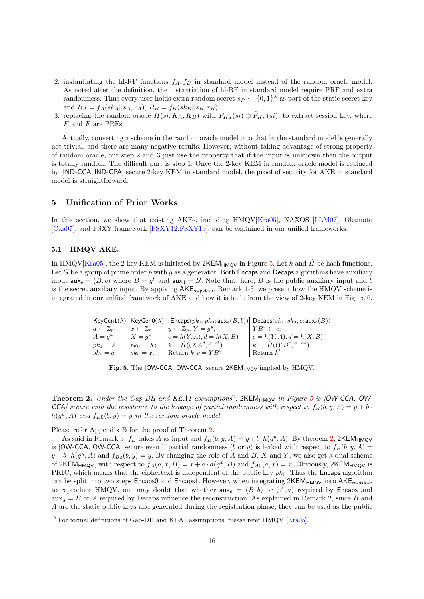- 2. instantiating the hl-RF functions  $f_A, f_B$  in standard model instead of the random oracle model. As noted after the definition, the instantiation of hl-RF in standard model require PRF and extra randomness. Thus every user holds extra random secret  $s_P \leftarrow \{0,1\}^{\lambda}$  as part of the static secret key and  $R_A = f_A(s k_A || s_A, r_A), R_B = f_B(s k_B || s_B, r_B).$
- 3. replacing the random oracle  $H(s_i, K_A, K_B)$  with  $F_{K_A}(s_i) \oplus \hat{F}_{K_B}(s_i)$ , to extract session key, where F and  $\hat{F}$  are PRFs.

Actually, converting a scheme in the random oracle model into that in the standard model is generally not trivial, and there are many negative results. However, without taking advantage of strong property of random oracle, our step 2 and 3 just use the property that if the input is unknown then the output is totally random. The difficult part is step 1. Once the 2-key KEM in random oracle model is replaced by [IND-CCA, IND-CPA] secure 2-key KEM in standard model, the proof of security for AKE in standard model is straightforward.

# <span id="page-15-3"></span>5 Unification of Prior Works

In this section, we show that existing AKEs, including HMQV[\[Kra05\]](#page-24-10), NAXOS [\[LLM07\]](#page-24-2), Okamoto [\[Oka07\]](#page-24-7), and FSXY framework [\[FSXY12](#page-24-3)[,FSXY13\]](#page-24-8), can be explained in our unified frameworks.

### 5.1 HMQV-AKE.

In HMQV[\[Kra05\]](#page-24-10), the 2-key KEM is initiated by  $2KEM_{HMQV}$  in Figure [5.](#page-15-0) Let h and  $\hat{H}$  be hash functions. Let G be a group of prime order p with g as a generator. Both Encaps and Decaps algorithms have auxiliary input  $\mathsf{aux}_e = (B, b)$  where  $B = g^b$  and  $\mathsf{aux}_d = B$ . Note that, here, B is the public auxiliary input and b is the secret auxiliary input. By applying  $AKE_{ro-pkic-lr}$ , Remark 1-3, we present how the HMQV scheme is integrated in our unified framework of AKE and how it is built from the view of 2-key KEM in Figure [6.](#page-16-0)

 $KeyGen1(\lambda) | KeyGen0(\lambda) | Encaps(pk_1, pk_0; aux_e(B, b)) | Decaps(sk_1, sk_0, c; aux_d(B))$ 

| $a \leftarrow \mathbb{Z}_p$ ; | $x \leftarrow \mathbb{Z}_n$ | $y \leftarrow \mathbb{Z}_p, Y = q^y,$   | $\mid YB^e \leftarrow c$      |
|-------------------------------|-----------------------------|-----------------------------------------|-------------------------------|
| $A = q^a$                     | $X = q^x$                   | $  e = h(Y, A), d = h(X, B)$            | $e = h(Y, A), d = h(X, B)$    |
| $pk_1 = A$                    |                             | $h^+ p k_0 = X;$ $k = H((XA^d)^{y+eb})$ | $k' = \hat{H}((YB^e)^{x+da})$ |
| $sk_1 = a$                    | $sk_0 = x$ .                | Return $k, c = YB^e$ .                  | Return $k'$                   |

<span id="page-15-0"></span>

|  |  | Fig. 5. The [OW-CCA, OW-CCA] secure 2KEM <sub>HMQV</sub> implied by HMQV. |  |  |  |
|--|--|---------------------------------------------------------------------------|--|--|--|
|--|--|---------------------------------------------------------------------------|--|--|--|

<span id="page-15-2"></span>**Theorem [2](#page-15-1).** Under the Gap-DH and KEA1 assumptions<sup>2</sup>, 2KEM<sub>HMQV</sub> in Figure [5](#page-15-0) is [OW-CCA, OW-CCA] secure with the resistance to the leakage of partial randomness with respect to  $f_B(b, y, A) = y + b$ .  $h(g^y, A)$  and  $f_{B0}(b, y) = y$  in the random oracle model.

Please refer Appendix B for the proof of Theorem [2.](#page-15-2)

As said in Remark 3,  $f_B$  takes A as input and  $f_B(b, y, A) = y + b \cdot h(g^y, A)$ . By theorem [2,](#page-15-2) 2KEM<sub>HMQV</sub> is [OW-CCA, OW-CCA] secure even if partial randomness (b or y) is leaked with respect to  $f_B(b, y, A)$  =  $y + b \cdot h(g^y, A)$  and  $f_{B0}(b, y) = y$ . By changing the role of A and B, X and Y, we also get a dual scheme of 2KEM<sub>HMQV</sub>, with respect to  $f_A(a, x, B) = x + a \cdot h(g^x, B)$  and  $f_{A0}(a, x) = x$ . Obviously, 2KEM<sub>HMQV</sub> is PKIC, which means that the ciphertext is independent of the public key  $pk_0$ . Thus the Encaps algorithm can be split into two steps Encaps0 and Encaps1. However, when integrating  $2KEM_{HMQO}$  into  $AKE_{ro-bkic-lr}$ to reproduce HMQV, one may doubt that whether  $aux_e = (B, b)$  or  $(A, a)$  required by Encaps and  $\max_d = B$  or A required by Decaps influence the reconstruction. As explained in Remark 2, since B and A are the static public keys and generated during the registration phase, they can be used as the public

<span id="page-15-1"></span><sup>&</sup>lt;sup>2</sup> For formal definitions of Gap-DH and KEA1 assumptions, please refer HMQV [\[Kra05\]](#page-24-10).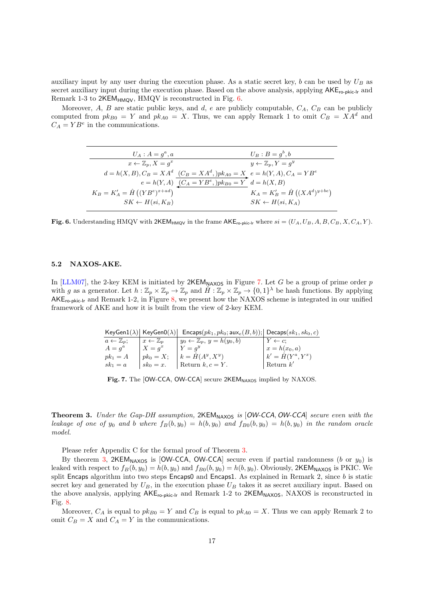auxiliary input by any user during the execution phase. As a static secret key, b can be used by  $U_B$  as secret auxiliary input during the execution phase. Based on the above analysis, applying  $AKE_{\text{ro-kic-lr}}$  and Remark 1-3 to  $2KEM_{HMOV}$ , HMQV is reconstructed in Fig. [6.](#page-16-0)

Moreover, A, B are static public keys, and d, e are publicly computable,  $C_A$ ,  $C_B$  can be publicly computed from  $pk_{B0} = Y$  and  $pk_{A0} = X$ . Thus, we can apply Remark 1 to omit  $C_B = XA^d$  and  $C_A = YB^e$  in the communications.

| $U_A: A = q^a, a$                                                                  |                                                         | $U_B$ : $B=a^b,b$                      |
|------------------------------------------------------------------------------------|---------------------------------------------------------|----------------------------------------|
| $x \leftarrow \mathbb{Z}_n, X = q^x$                                               |                                                         | $y \leftarrow \mathbb{Z}_p, Y = q^y$   |
| $d = h(X, B), C_B = X A^d$ $(C_B = X A^d, p k_{A0} = X$ $e = h(Y, A), C_A = Y B^e$ |                                                         |                                        |
|                                                                                    | $e = h(Y, A)$ $(C_A = YB^e, )pk_{B0} = Y$ $d = h(X, B)$ |                                        |
| $K_B = K'_A = \hat{H} ((YB^e)^{x+ad})$                                             |                                                         | $K_A = K'_B = \hat{H} ((XA^d)^{y+be})$ |
| $SK \leftarrow H(s_i, K_B)$                                                        |                                                         | $SK \leftarrow H(s_i, K_A)$            |

<span id="page-16-0"></span>Fig. 6. Understanding HMQV with 2KEM<sub>HMQV</sub> in the frame  $AKE_{ro-<sub>Pb</sub>ick-lr}$  where  $si = (U_A, U_B, A, B, C_B, X, C_A, Y)$ .

#### 5.2 NAXOS-AKE.

In [\[LLM07\]](#page-24-2), the 2-key KEM is initiated by  $2KEM_{\text{NAXOS}}$  in Figure [7.](#page-16-1) Let G be a group of prime order p with g as a generator. Let  $h: \mathbb{Z}_p \times \mathbb{Z}_p \to \mathbb{Z}_p$  and  $\hat{H}: \mathbb{Z}_p \times \mathbb{Z}_p \to \{0,1\}^{\lambda}$  be hash functions. By applying  $AKE_{ro-pkic-lr}$  and Remark 1-2, in Figure [8,](#page-17-0) we present how the NAXOS scheme is integrated in our unified framework of AKE and how it is built from the view of 2-key KEM.

|                               | $KeyGen1(\lambda)$ KeyGen0( $\lambda$ ) | $\mathsf{Encaps}(pk_1, pk_0; \mathsf{aux}_e(B, b));$ Decaps $(sk_1, sk_0, c)$ |                          |
|-------------------------------|-----------------------------------------|-------------------------------------------------------------------------------|--------------------------|
| $a \leftarrow \mathbb{Z}_n$ ; | $x \leftarrow \mathbb{Z}_n$             | $y_0 \leftarrow \mathbb{Z}_p, y = h(y_0, b)$                                  | $Y \leftarrow c$         |
| $A = q^a$                     | $X=a^x$                                 | $Y = q^y$                                                                     | $x = h(x_0, a)$          |
| $pk_1 = A$                    | $pk_0 = X;$                             | $k = H(A^y, X^y)$                                                             | $k' = \hat{H}(Y^a, Y^x)$ |
| $sk_1 = a$                    | $sk_0 = x$ .                            | Return $k, c = Y$ .                                                           | Return $k'$              |

<span id="page-16-1"></span>Fig. 7. The [OW-CCA, OW-CCA] secure 2KEM<sub>NAXOS</sub> implied by NAXOS.

<span id="page-16-2"></span>Theorem 3. Under the Gap-DH assumption, 2KEM<sub>NAXOS</sub> is [OW-CCA, OW-CCA] secure even with the leakage of one of  $y_0$  and b where  $f_B(b, y_0) = h(b, y_0)$  and  $f_{B0}(b, y_0) = h(b, y_0)$  in the random oracle model.

Please refer Appendix C for the formal proof of Theorem [3.](#page-16-2)

By theorem [3,](#page-16-2) 2KEM<sub>NAXOS</sub> is [OW-CCA, OW-CCA] secure even if partial randomness (b or  $y_0$ ) is leaked with respect to  $f_B(b, y_0) = h(b, y_0)$  and  $f_{B0}(b, y_0) = h(b, y_0)$ . Obviously, 2KEM<sub>NAXOS</sub> is PKIC. We split Encaps algorithm into two steps Encaps0 and Encaps1. As explained in Remark 2, since  $b$  is static secret key and generated by  $U_B$ , in the execution phase  $U_B$  takes it as secret auxiliary input. Based on the above analysis, applying  $AKE_{ro-pkic-lr}$  and Remark 1-2 to  $2KEM_{NAXOS}$ , NAXOS is reconstructed in Fig. [8.](#page-17-0)

Moreover,  $C_A$  is equal to  $pk_{B0} = Y$  and  $C_B$  is equal to  $pk_{A0} = X$ . Thus we can apply Remark 2 to omit  $C_B = X$  and  $C_A = Y$  in the communications.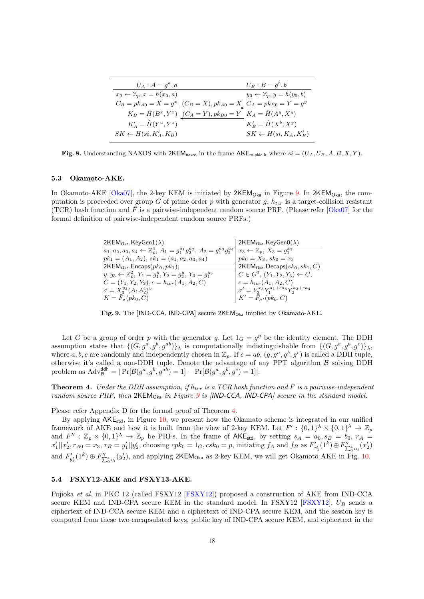| $U_A: A = g^a, a$                                                            | $U_B:B=g^b,b$                                |
|------------------------------------------------------------------------------|----------------------------------------------|
| $x_0 \leftarrow \mathbb{Z}_p, x = h(x_0, a)$                                 | $y_0 \leftarrow \mathbb{Z}_p, y = h(y_0, b)$ |
| $C_B = pk_{A0} = X = g^x$ $(C_B = X), pk_{A0} = X$ $C_A = pk_{B0} = Y = g^y$ |                                              |
| $K_B = \hat{H}(B^x, Y^x)$ $(C_A = Y), pk_{B0} = Y$ $K_A = \hat{H}(A^y, X^y)$ |                                              |
| $K'_A = \hat{H}(Y^a, Y^x)$                                                   | $K'_B = \hat{H}(X^b, X^y)$                   |
| $SK \leftarrow H(s_i, K'_A, K_B)$                                            | $SK \leftarrow H(s_i, K_A, K'_B)$            |

<span id="page-17-0"></span>Fig. 8. Understanding NAXOS with  $2KEM_{\text{maxos}}$  in the frame  $AKE_{\text{ro-pkic-lr}}$  where  $si = (U_A, U_B, A, B, X, Y)$ .

#### 5.3 Okamoto-AKE.

In Okamoto-AKE [\[Oka07\]](#page-24-7), the 2-key KEM is initiated by  $2KEM_{Oka}$  in Figure [9.](#page-17-1) In  $2KEM_{Oka}$ , the computation is proceeded over group G of prime order p with generator q,  $h_{tor}$  is a target-collision resistant (TCR) hash function and  $\bar{F}$  is a pairwise-independent random source PRF. (Please refer [\[Oka07\]](#page-24-7) for the formal definition of pairwise-independent random source PRFs.)

| $2KEMOka.KeyGen1(\lambda)$                                                                                      | 2KEM <sub>Oka</sub> .KeyGen0( $\lambda$ )               |
|-----------------------------------------------------------------------------------------------------------------|---------------------------------------------------------|
| $\overline{a_1, a_2, a_3, a_4} \leftarrow \mathbb{Z}_p^4, A_1 = g_1^{a_1} g_2^{a_2}, A_2 = g_1^{a_3} g_2^{a_4}$ | $x_3 \leftarrow \mathbb{Z}_p, X_3 = g_1^{x_3}$          |
| $pk_1 = (A_1, A_2), sk_1 = (a_1, a_2, a_3, a_4)$                                                                | $pk_0 = X_3, sk_0 = x_3$                                |
| 2KEM <sub>Oka</sub> .Encaps $(pk_0, pk_1)$ ;                                                                    | $2KEMOka$ . Decaps $(sk_0, sk_1, C)$                    |
| $y, y_3 \leftarrow \mathbb{Z}_p^2$ , $Y_1 = g_1^y, Y_2 = g_2^y, Y_3 = g_1^{y_3}$                                | $C \in G^3$ , $(Y_1, Y_2, Y_3) \leftarrow C$ ;          |
| $C=(Y_1,Y_2,Y_3), c=h_{tcr}(A_1,A_2,C)$                                                                         | $c = h_{ter}(A_1, A_2, C)$                              |
| $\sigma = X_3^{y_3}(A_1A_2^c)^y$                                                                                | $\sigma' = Y_3^{x_3} Y_1^{a_1 + ca_3} Y_2^{a_2 + ca_4}$ |
| $K = F_{\sigma}(pk_0, C)$                                                                                       | $K' = F_{\sigma'}(pk_0, C)$                             |

<span id="page-17-1"></span>Fig. 9. The [IND-CCA, IND-CPA] secure 2KEM<sub>Oka</sub> implied by Okamato-AKE.

Let G be a group of order p with the generator g. Let  $1_G = g^p$  be the identity element. The DDH assumption states that  $\{(G, g^a, g^b, g^{ab})\}_\lambda$  is computationally indistinguishable from  $\{(G, g^a, g^b, g^c)\}_\lambda$ , where a, b, c are randomly and independently chosen in  $\mathbb{Z}_p$ . If  $c = ab$ ,  $(g, g^a, g^b, g^c)$  is called a DDH tuple, otherwise it's called a non-DDH tuple. Denote the advantage of any PPT algorithm  $\beta$  solving DDH problem as  $\text{Adv}_{\mathcal{B}}^{\text{ddh}} = |\Pr[\mathcal{B}(g^a, g^b, g^{ab}) = 1] - \Pr[\mathcal{B}(g^a, g^b, g^c) = 1]|.$ 

<span id="page-17-2"></span>**Theorem 4.** Under the DDH assumption, if  $h_{tcr}$  is a TCR hash function and  $\bar{F}$  is a pairwise-independent random source PRF, then  $2KEM_{Oka}$  in Figure [9](#page-17-1) is  $|IND-CCA|$ , IND-CPA] secure in the standard model.

Please refer Appendix D for the formal proof of Theorem [4.](#page-17-2)

By applying  $AKE_{std}$ , in Figure [10,](#page-18-0) we present how the Okamato scheme is integrated in our unified framework of AKE and how it is built from the view of 2-key KEM. Let  $F' : \{0,1\}^{\lambda} \times \{0,1\}^{\lambda} \to \mathbb{Z}_p$ and  $F'' : \mathbb{Z}_p \times \{0,1\}^{\lambda} \to \mathbb{Z}_p$  be PRFs. In the frame of AKE<sub>std</sub>, by setting  $s_A = a_0, s_B = b_0, r_A =$  $x'_1||x'_2, r_{A0} = x_3, r_B = y'_1||y'_2$ , choosing  $cpk_0 = 1_G$ ,  $csk_0 = p$ , initiating  $f_A$  and  $f_B$  as  $F'_{x'_1}(1^k) \oplus F''_{\sum_{i=0}^{4} a_i}(x'_2)$ and  $F'_{y'_1}(1^k) \oplus F''_{\sum_{i=0}^{0} b_i}(y'_2)$ , and applying 2KEM<sub>Oka</sub> as 2-key KEM, we will get Okamoto AKE in Fig. [10.](#page-18-0)

# 5.4 FSXY12-AKE and FSXY13-AKE.

Fujioka et al. in PKC 12 (called FSXY12 [\[FSXY12\]](#page-24-3)) proposed a construction of AKE from IND-CCA secure KEM and IND-CPA secure KEM in the standard model. In FSXY12 [\[FSXY12\]](#page-24-3),  $U_B$  sends a ciphertext of IND-CCA secure KEM and a ciphertext of IND-CPA secure KEM, and the session key is computed from these two encapsulated keys, public key of IND-CPA secure KEM, and ciphertext in the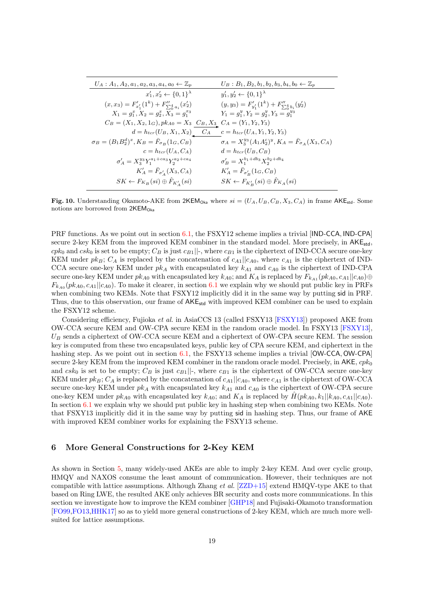| $U_A: A_1, A_2, a_1, a_2, a_3, a_4, a_0 \leftarrow \mathbb{Z}_p$                  | $U_B: B_1, B_2, b_1, b_2, b_3, b_4, b_0 \leftarrow \mathbb{Z}_p$        |
|-----------------------------------------------------------------------------------|-------------------------------------------------------------------------|
| $x'_1, x'_2 \leftarrow \{0,1\}^{\lambda}$                                         | $y'_1, y'_2 \leftarrow \{0, 1\}^{\lambda}$                              |
| $(x, x_3) = F'_{x'_1}(1^k) + F''_{\sum_{i=1}^{4} a_i}(x'_2)$                      | $(y, y_3) = F'_{y'_1}(1^k) + F''_{\sum_{i=1}^{4}b_i}(y'_2)$             |
| $X_1 = g_1^x, X_2 = g_2^x, X_3 = g_1^{x_3}$                                       | $Y_1 = g_1^y, Y_2 = g_2^y, Y_3 = g_1^{y_3}$                             |
| $C_B = (X_1, X_2, 1_G), pk_{A0} = X_3 \underline{C_B, X_3} C_A = (Y_1, Y_2, Y_3)$ |                                                                         |
| $d = h_{tor}(U_B, X_1, X_2)$ $C_A$                                                | $c = h_{tor}(U_A, Y_1, Y_2, Y_3)$                                       |
| $\sigma_B = (B_1 B_2^d)^x, K_B = \bar{F}_{\sigma_B}(1_G, C_B)$                    | $\sigma_A = X_3^{y_3}(A_1 A_2^c)^y, K_A = \bar{F}_{\sigma_A}(X_3, C_A)$ |
| $c = h_{tcr}(U_A, C_A)$                                                           | $d = h_{tcr}(U_B, C_B)$                                                 |
| $\sigma'_A = X_3^{y_3} Y_1^{a_1 + ca_3} Y_2^{a_2 + ca_4}$                         | $\sigma'_B = X_1^{b_1+db_3} X_2^{b_2+db_4}$                             |
| $K'_A = \bar{F}_{\sigma'_A}(X_3, C_A)$                                            | $K'_A = \bar{F}_{\sigma'_B}(1_G, C_B)$                                  |
| $SK \leftarrow F_{K_B}(si) \oplus \hat{F}_{K_A'}(si)$                             | $SK \leftarrow F_{K'_B}(si) \oplus \hat{F}_{K_A}(si)$                   |

<span id="page-18-0"></span>Fig. 10. Understanding Okamoto-AKE from  $2KEM_{Oka}$  where  $si = (U_A, U_B, C_B, X_3, C_A)$  in frame  $AKE_{std}$ . Some notions are borrowed from  $2KEM<sub>Oka</sub>$ 

PRF functions. As we point out in section [6.1,](#page-19-1) the FSXY12 scheme implies a trivial [IND-CCA, IND-CPA] secure 2-key KEM from the improved KEM combiner in the standard model. More precisely, in  $AKE_{std}$ ,  $cpk_0$  and  $csk_0$  is set to be empty;  $C_B$  is just  $c_{B1}$ ||-, where  $c_{B1}$  is the ciphertext of IND-CCA secure one-key KEM under  $pk_B$ ;  $C_A$  is replaced by the concatenation of  $c_{A1}||c_{A0}$ , where  $c_{A1}$  is the ciphertext of IND-CCA secure one-key KEM under  $pk_A$  with encapsulated key  $k_{A1}$  and  $c_{A0}$  is the ciphertext of IND-CPA secure one-key KEM under  $pk_{A0}$  with encapsulated key  $k_{A0}$ ; and  $K_A$  is replaced by  $F_{k_{A1}}(pk_{A0}, c_{A1}||c_{A0}) \oplus$  $F_{k_{A0}}(pk_{A0}, c_{A1}||c_{A0})$ . To make it clearer, in section [6.1](#page-19-1) we explain why we should put public key in PRFs when combining two KEMs. Note that FSXY12 implicitly did it in the same way by putting sid in PRF. Thus, due to this observation, our frame of  $AKE_{std}$  with improved KEM combiner can be used to explain the FSXY12 scheme.

Considering efficiency, Fujioka et al. in AsiaCCS 13 (called FSXY13 [\[FSXY13\]](#page-24-8)) proposed AKE from OW-CCA secure KEM and OW-CPA secure KEM in the random oracle model. In FSXY13 [\[FSXY13\]](#page-24-8),  $U_B$  sends a ciphertext of OW-CCA secure KEM and a ciphertext of OW-CPA secure KEM. The session key is computed from these two encapsulated keys, public key of CPA secure KEM, and ciphertext in the hashing step. As we point out in section [6.1,](#page-19-1) the FSXY13 scheme implies a trivial [OW-CCA, OW-CPA] secure 2-key KEM from the improved KEM combiner in the random oracle model. Precisely, in  $AKE$ ,  $cpk<sub>0</sub>$ and  $csk_0$  is set to be empty;  $C_B$  is just  $c_{B1}$ ||-, where  $c_{B1}$  is the ciphertext of OW-CCA secure one-key KEM under  $pk_B$ ;  $C_A$  is replaced by the concatenation of  $c_{A1}||c_{A0}$ , where  $c_{A1}$  is the ciphertext of OW-CCA secure one-key KEM under  $pk_A$  with encapsulated key  $k_{A1}$  and  $c_{A0}$  is the ciphertext of OW-CPA secure one-key KEM under  $pk_{A0}$  with encapsulated key  $k_{A0}$ ; and  $K_A$  is replaced by  $\hat{H}(pk_{A0}, k_1||k_{A0}, c_{A1}||c_{A0})$ . In section [6.1](#page-19-1) we explain why we should put public key in hashing step when combining two KEMs. Note that FSXY13 implicitly did it in the same way by putting sid in hashing step. Thus, our frame of AKE with improved KEM combiner works for explaining the FSXY13 scheme.

# 6 More General Constructions for 2-Key KEM

As shown in Section [5,](#page-15-3) many widely-used AKEs are able to imply 2-key KEM. And over cyclic group, HMQV and NAXOS consume the least amount of communication. However, their techniques are not compatible with lattice assumptions. Although Zhang et al.  $[ZZD+15]$  extend HMQV-type AKE to that based on Ring LWE, the resulted AKE only achieves BR security and costs more communications. In this section we investigate how to improve the KEM combiner [\[GHP18\]](#page-24-24) and Fujisaki-Okamoto transformation [\[FO99](#page-24-15)[,FO13](#page-24-16)[,HHK17\]](#page-24-17) so as to yield more general constructions of 2-key KEM, which are much more wellsuited for lattice assumptions.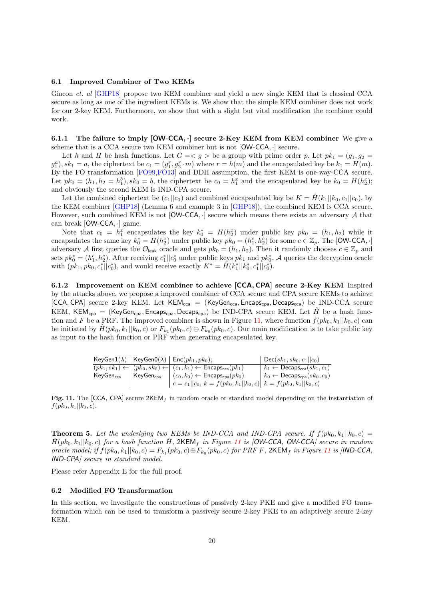#### <span id="page-19-1"></span>6.1 Improved Combiner of Two KEMs

Giacon *et. al* [\[GHP18\]](#page-24-24) propose two KEM combiner and yield a new single KEM that is classical CCA secure as long as one of the ingredient KEMs is. We show that the simple KEM combiner does not work for our 2-key KEM. Furthermore, we show that with a slight but vital modification the combiner could work.

6.1.1 The failure to imply  $[OW-CCA,\cdot]$  secure 2-Key KEM from KEM combiner We give a scheme that is a CCA secure two KEM combiner but is not [OW-CCA, ·] secure.

Let h and H be hash functions. Let  $G = \langle g \rangle$  be a group with prime order p. Let  $pk_1 = (g_1, g_2)$  $g_1^a$ ,  $sk_1 = a$ , the ciphertext be  $c_1 = (g_1^r, g_2^r \cdot m)$  where  $r = h(m)$  and the encapsulated key be  $k_1 = H(m)$ . By the FO transformation [\[FO99](#page-24-15)[,FO13\]](#page-24-16) and DDH assumption, the first KEM is one-way-CCA secure. Let  $pk_0 = (h_1, h_2 = h_1^b), sk_0 = b$ , the ciphertext be  $c_0 = h_1^x$  and the encapsulated key be  $k_0 = H(h_2^x);$ and obviously the second KEM is IND-CPA secure.

Let the combined ciphertext be  $(c_1||c_0)$  and combined encapsulated key be  $K = \hat{H}(k_1||k_0, c_1||c_0)$ , by the KEM combiner [\[GHP18\]](#page-24-24) (Lemma 6 and example 3 in [\[GHP18\]](#page-24-24)), the combined KEM is CCA secure. However, such combined KEM is not  $[OW-CCA, \cdot]$  secure which means there exists an adversary A that can break [OW-CCA, ·] game.

Note that  $c_0 = h_1^x$  encapsulates the key  $k_0^* = H(h_2^x)$  under public key  $pk_0 = (h_1, h_2)$  while it encapsulates the same key  $k_0^* = H(h_2^x)$  under public key  $pk_0 = (h_1^c, h_2^c)$  for some  $c \in \mathbb{Z}_p$ . The [OW-CCA, ·] adversary A first queries the  $\mathcal{O}_{\text{leak}}$  oracle and gets  $pk_0 = (h_1, h_2)$ . Then it randomly chooses  $c \in \mathbb{Z}_p$  and sets  $pk_0^* = (h_1^c, h_2^c)$ . After receiving  $c_1^* || c_0^*$  under public keys  $pk_1$  and  $pk_0^*$ , A queries the decryption oracle with  $(pk_1, pk_0, c_1^*||c_0^*)$ , and would receive exactly  $K^* = \hat{H}(k_1^*||k_0^*, c_1^*||c_0^*)$ .

6.1.2 Improvement on KEM combiner to achieve [CCA, CPA] secure 2-Key KEM Inspired by the attacks above, we propose a improved combiner of CCA secure and CPA secure KEMs to achieve  $[CCA,CPA]$  secure 2-key KEM. Let  $KEM_{cca} = (KeyGen_{cca}, Encaps_{cpa}, Decaps_{cca})$  be IND-CCA secure KEM, KEM<sub>cpa</sub> = (KeyGen<sub>cpa</sub>, Encaps<sub>cpa</sub>, Decaps<sub>cpa</sub>) be IND-CPA secure KEM. Let  $\hat{H}$  be a hash func-tion and F be a PRF. The improved combiner is shown in Figure [11,](#page-19-2) where function  $f(pk_0, k_1||k_0, c)$  can be initiated by  $\hat{H}(pk_0, k_1||k_0, c)$  or  $F_{k_1}(pk_0, c) \oplus F_{k_0}(pk_0, c)$ . Our main modification is to take public key as input to the hash function or PRF when generating encapsulated key.

|                       |                       | $KeyGen1(\lambda)   KeyGen0(\lambda)   Enc(pk_1, pk_0);$                                                   | $Dec(sk_1, sk_0, c_1    c_0)$                        |
|-----------------------|-----------------------|------------------------------------------------------------------------------------------------------------|------------------------------------------------------|
|                       |                       | $(pk_1, sk_1) \leftarrow   (pk_0, sk_0) \leftarrow   (c_1, k_1) \leftarrow$ Encaps <sub>cca</sub> $(pk_1)$ | $k_1 \leftarrow$ Decaps <sub>cca</sub> $(sk_1, c_1)$ |
| KeyGen <sub>cca</sub> | KeyGen <sub>coa</sub> | $(c_0, k_0) \leftarrow$ Encaps <sub>cpa</sub> $(pk_0)$                                                     | $k_0 \leftarrow$ Decaps <sub>cpa</sub> $(sk_0, c_0)$ |
|                       |                       | $ c = c_1  c_0, k = f(pk_0, k_1  k_0, c)  k = f(pk_0, k_1  k_0, c)$                                        |                                                      |

<span id="page-19-2"></span>Fig. 11. The [CCA, CPA] secure  $2KEM_f$  in random oracle or standard model depending on the instantiation of  $f(pk_0, k_1 || k_0, c).$ 

<span id="page-19-3"></span>**Theorem 5.** Let the underlying two KEMs be IND-CCA and IND-CPA secure. If  $f(pk_0, k_1||k_0, c)$  =  $\hat{H}(pk_0, k_1||k_0, c)$  for a hash function  $\hat{H}$ , 2KEM<sub>f</sub> in Figure [11](#page-19-2) is [OW-CCA, OW-CCA] secure in random oracle model; if  $f(pk_0, k_1 || k_0, c) = F_{k_1}(pk_0, c) \oplus F_{k_0}(pk_0, c)$  for PRF F, 2KEM<sub>f</sub> in Figure [11](#page-19-2) is [IND-CCA, IND-CPA] secure in standard model.

Please refer Appendix E for the full proof.

#### <span id="page-19-0"></span>6.2 Modified FO Transformation

In this section, we investigate the constructions of passively 2-key PKE and give a modified FO transformation which can be used to transform a passively secure 2-key PKE to an adaptively secure 2-key KEM.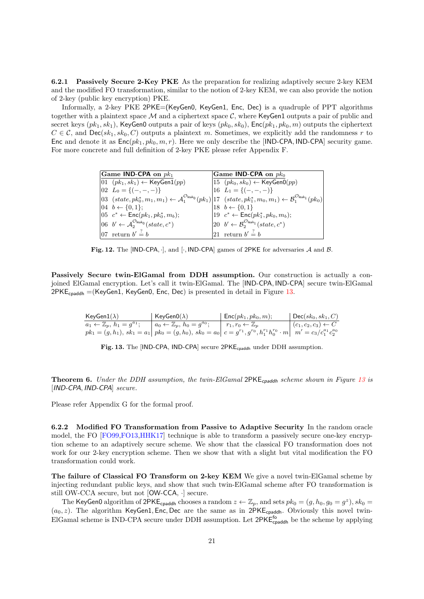6.2.1 Passively Secure 2-Key PKE As the preparation for realizing adaptively secure 2-key KEM and the modified FO transformation, similar to the notion of 2-key KEM, we can also provide the notion of 2-key (public key encryption) PKE.

Informally, a 2-key PKE 2PKE=(KeyGen0, KeyGen1, Enc, Dec) is a quadruple of PPT algorithms together with a plaintext space  $M$  and a ciphertext space  $C$ , where KeyGen1 outputs a pair of public and secret keys  $(pk_1, sk_1)$ , KeyGen0 outputs a pair of keys  $(pk_0, sk_0)$ , Enc $(pk_1, pk_0, m)$  outputs the ciphertext  $C \in \mathcal{C}$ , and  $\text{Dec}(sk_1, sk_0, C)$  outputs a plaintext m. Sometimes, we explicitly add the randomness r to Enc and denote it as  $Enc(pk_1, pk_0, m, r)$ . Here we only describe the [IND-CPA, IND-CPA] security game. For more concrete and full definition of 2-key PKE please refer Appendix F.

|  | Game IND-CPA on $pk_1$                                                                                                                                                                                                | Game IND-CPA on $pk_0$                                                                                         |
|--|-----------------------------------------------------------------------------------------------------------------------------------------------------------------------------------------------------------------------|----------------------------------------------------------------------------------------------------------------|
|  | $ 01 (pk_1, sk_1) \leftarrow \text{KeyGen1}(pp)$                                                                                                                                                                      | $ 15 (pk_0, sk_0) \leftarrow \text{KeyGenO}(pp)$                                                               |
|  | $[02 \ L_0 = {(-,-,-)}]$                                                                                                                                                                                              | $16 L_1 = {(-,-,-)}$                                                                                           |
|  | $\left 03\right\rangle (state, pk_0^*, m_1, m_1) \leftarrow A_1^{\mathcal{O}_{\text{leak}_0}}(pk_1)\right 17\left(\text{state}, pk_1^*, m_0, m_1\right) \leftarrow \mathcal{B}_1^{\mathcal{O}_{\text{leak}_1}}(pk_0)$ |                                                                                                                |
|  | $[04 \, b \leftarrow \{0,1\};$                                                                                                                                                                                        | 18 $b \leftarrow \{0, 1\}$                                                                                     |
|  | 05 $c^*$ ← Enc(pk <sub>1</sub> , pk <sub>0</sub> <sup>*</sup> , m <sub>b</sub> );                                                                                                                                     | 19 $c^* \leftarrow \text{Enc}(pk_1^*, pk_0, m_b);$                                                             |
|  | 06 $b' \leftarrow A_2^{\mathcal{O}_{\text{leak}_0}}(state, c^*)$                                                                                                                                                      | $\begin{bmatrix} 20 & b' \leftarrow & \mathcal{B}_2^{\mathcal{O}_{\mathsf{leak}_1}}(state, c^*) \end{bmatrix}$ |
|  | 07 return $b' \stackrel{?}{=} b$                                                                                                                                                                                      | 21 return $b' \stackrel{?}{=} b$                                                                               |

Fig. 12. The [IND-CPA,  $\cdot$ ], and  $\cdot$ , IND-CPA] games of 2PKE for adversaries A and B.

Passively Secure twin-ElGamal from DDH assumption. Our construction is actually a conjoined ElGamal encryption. Let's call it twin-ElGamal. The [IND-CPA, IND-CPA] secure twin-ElGamal  $2PKE_{cpaddh} = (KeyGen1, KeyGen0, Enc, Dec)$  is presented in detail in Figure [13.](#page-20-0)

| $KeyGen1(\lambda)$                            | KeyGen $0(\lambda)$                                                                                                                          | $\vert$ Enc $(pk_1, pk_0, m);$     | $\vert$ Dec $(\mathit{sk}_0, \mathit{sk}_1, C)$ |
|-----------------------------------------------|----------------------------------------------------------------------------------------------------------------------------------------------|------------------------------------|-------------------------------------------------|
| $a_1 \leftarrow \mathbb{Z}_p, h_1 = q^{a_1};$ | $a_0 \leftarrow \mathbb{Z}_p, h_0 = g^{a_0};$                                                                                                | $r_1, r_0 \leftarrow \mathbb{Z}_n$ | $\mid (c_1, c_2, c_3) \leftarrow C$             |
|                                               | $pk_1 = (g, h_1), sk_1 = a_1   pk_0 = (g, h_0), sk_0 = a_0   c = g^{r_1}, g^{r_0}, h_1^{r_1}h_0^{r_0} \cdot m   m' = c_3/c_1^{a_1}c_2^{a_0}$ |                                    |                                                 |

<span id="page-20-0"></span>Fig. 13. The [IND-CPA, IND-CPA] secure 2PKE<sub>cpaddh</sub> under DDH assumption.

<span id="page-20-2"></span>**Theorem 6.** Under the DDH assumption, the twin-ElGamal 2PKE<sub>cpaddh</sub> scheme shown in Figure [13](#page-20-0) is [IND-CPA, IND-CPA] secure.

Please refer Appendix G for the formal proof.

<span id="page-20-1"></span>6.2.2 Modified FO Transformation from Passive to Adaptive Security In the random oracle model, the FO [\[FO99,](#page-24-15)[FO13,](#page-24-16)[HHK17\]](#page-24-17) technique is able to transform a passively secure one-key encryption scheme to an adaptively secure scheme. We show that the classical FO transformation does not work for our 2-key encryption scheme. Then we show that with a slight but vital modification the FO transformation could work.

The failure of Classical FO Transform on 2-key KEM We give a novel twin-ElGamal scheme by injecting redundant public keys, and show that such twin-ElGamal scheme after FO transformation is still OW-CCA secure, but not [OW-CCA, ·] secure.

The KeyGen0 algorithm of 2PKE<sub>cpaddh</sub> chooses a random  $z \leftarrow \mathbb{Z}_p$ , and sets  $pk_0 = (g, h_0, g_0 = g^z)$ ,  $sk_0 =$  $(a_0, z)$ . The algorithm KeyGen1, Enc, Dec are the same as in 2PKE<sub>cpaddh</sub>. Obviously this novel twin-ElGamal scheme is IND-CPA secure under DDH assumption. Let  $2PKE_{\text{cpaddh}}^{\text{fo}}$  be the scheme by applying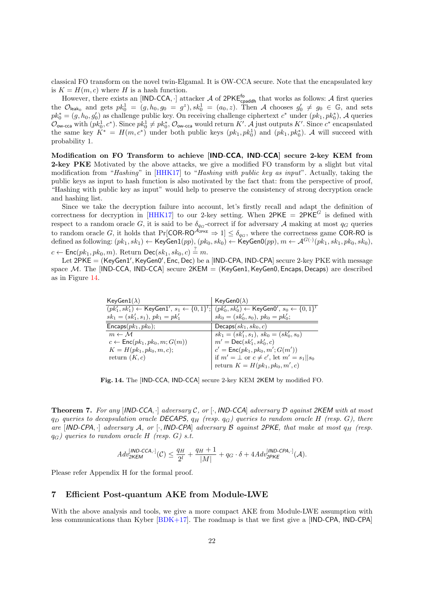classical FO transform on the novel twin-Elgamal. It is OW-CCA secure. Note that the encapsulated key is  $K = H(m, c)$  where H is a hash function.

However, there exists an [IND-CCA,  $\cdot$ ] attacker  $\mathcal A$  of 2PKE<sup>fo</sup><sub>cpaddh</sub> that works as follows:  $\mathcal A$  first queries the  $\mathcal{O}_{\mathsf{leak}_0}$  and gets  $pk_0^1 = (g, h_0, g_0 = g^z), sk_0^1 = (a_0, z)$ . Then A chooses  $g'_0 \neq g_0 \in \mathbb{G}$ , and sets  $pk_0^* = (g, h_0, g_0')$  as challenge public key. On receiving challenge ciphertext  $c^*$  under  $(pk_1, pk_0^*)$ , A queries  $\mathcal{O}_{\mathsf{ow}\text{-}\mathsf{cca}}$  with  $(pk_0^1, c^*)$ . Since  $pk_0^1 \neq pk_0^*$ ,  $\mathcal{O}_{\mathsf{ow}\text{-}\mathsf{cca}}$  would return K'. A just outputs K'. Since  $c^*$  encapsulated the same key  $K^* = H(m, c^*)$  under both public keys  $(pk_1, pk_0^*)$  and  $(pk_1, pk_0^*)$ . A will succeed with probability 1.

Modification on FO Transform to achieve [IND-CCA, IND-CCA] secure 2-key KEM from 2-key PKE Motivated by the above attacks, we give a modified FO transform by a slight but vital modification from "Hashing" in [\[HHK17\]](#page-24-17) to "Hashing with public key as input". Actually, taking the public keys as input to hash function is also motivated by the fact that: from the perspective of proof, "Hashing with public key as input" would help to preserve the consistency of strong decryption oracle and hashing list.

Since we take the decryption failure into account, let's firstly recall and adapt the definition of correctness for decryption in [\[HHK17\]](#page-24-17) to our 2-key setting. When  $2PKE = 2PKE^G$  is defined with respect to a random oracle G, it is said to be  $\delta_{qG}$ -correct if for adversary A making at most  $q_G$  queries to random oracle G, it holds that Pr[COR-RO<sup> $A_{2PKE} \Rightarrow 1 \le \delta_{q_G}$ , where the correctness game COR-RO is</sup> defined as following:  $(pk_1, sk_1) \leftarrow \mathsf{KeyGen1}(pp), (pk_0, sk_0) \leftarrow \mathsf{KeyGen0}(pp), m \leftarrow \mathcal{A}^{G(\cdot)}(pk_1, sk_1, pk_0, sk_0),$  $c \leftarrow {\sf Enc}(pk_1, pk_0, m).$  Return  ${\sf Dec}(sk_1, sk_0, c) \stackrel{?}{=} m.$ 

Let 2PKE = (KeyGen1', KeyGen0', Enc, Dec) be a [IND-CPA, IND-CPA] secure 2-key PKE with message space M. The [IND-CCA, IND-CCA] secure  $2KEM = (KeyGen1, KeyGen0, Encaps, Decaps)$  are described as in Figure [14.](#page-21-1)

| KeyGen $1(\lambda)$                              | KeyGen $0(\lambda)$                                                                                   |
|--------------------------------------------------|-------------------------------------------------------------------------------------------------------|
|                                                  | $(pk'_1, sk'_1)$ ← KeyGen1', $s_1$ ← $\{0, 1\}^t$ ; $(pk'_0, sk'_0)$ ← KeyGen0', $s_0$ ← $\{0, 1\}^t$ |
| $sk_1 = (sk'_1, s_1), \, pk_1 = pk'_1$           | $sk_0 = (sk'_0, s_0), \, pk_0 = pk'_0;$                                                               |
| $Encaps(pk_1, pk_0);$                            | Decaps $(sk_1, sk_0, c)$                                                                              |
| $m \leftarrow M$                                 | $sk_1 = (sk'_1, s_1), sk_0 = (sk'_0, s_0)$                                                            |
| $c \leftarrow \mathsf{Enc}(pk_1, pk_0, m; G(m))$ | $m' = \textsf{Dec}(sk'_1, sk'_0, c)$                                                                  |
| $K = H(pk_1, pk_0, m, c);$                       | $c' = \mathsf{Enc}(pk_1, pk_0, m'; G(m'))$                                                            |
| return $(K, c)$                                  | if $m' = \perp$ or $c \neq c'$ , let $m' = s_1    s_0$                                                |
|                                                  | return $K = H(pk_1, pk_0, m', c)$                                                                     |

<span id="page-21-1"></span>Fig. 14. The [IND-CCA, IND-CCA] secure 2-key KEM 2KEM by modified FO.

<span id="page-21-2"></span>**Theorem 7.** For any  $[IND-CCA, \cdot]$  adversary C, or  $[\cdot, IND-CCA]$  adversary D against 2KEM with at most  $q_D$  queries to decapsulation oracle DECAPS,  $q_H$  (resp.  $q_G$ ) queries to random oracle H (resp. G), there are  $[IND-CPA, \cdot]$  adversary A, or  $[\cdot, IND-CPA]$  adversary B against 2PKE, that make at most  $q_H$  (resp.  $q_G$ ) queries to random oracle H (resp. G) s.t.

$$
Adv_{2KEM}^{[IND-CCA,\cdot]}(\mathcal{C}) \leq \frac{q_H}{2^l} + \frac{q_H+1}{|M|} + q_G \cdot \delta + 4Adv_{2PKE}^{[IND-CPA,\cdot]}(\mathcal{A}).
$$

Please refer Appendix H for the formal proof.

### <span id="page-21-0"></span>7 Efficient Post-quantum AKE from Module-LWE

With the above analysis and tools, we give a more compact AKE from Module-LWE assumption with less communications than Kyber  $[BDK+17]$ . The roadmap is that we first give a  $[IND-CPA]$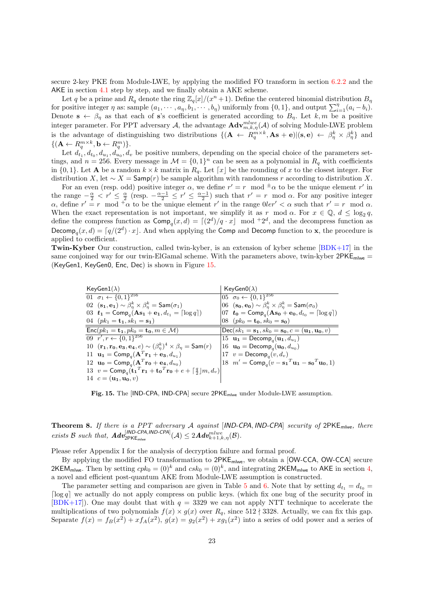secure 2-key PKE from Module-LWE, by applying the modified FO transform in section [6.2.2](#page-20-1) and the AKE in section [4.1](#page-9-1) step by step, and we finally obtain a AKE scheme.

Let q be a prime and  $R_q$  denote the ring  $\mathbb{Z}_q[x]/(x^n+1)$ . Define the centered binomial distribution  $B_q$ for positive integer  $\eta$  as: sample  $(a_1, \dots, a_n, b_1, \dots, b_n)$  uniformly from  $\{0, 1\}$ , and output  $\sum_{i=1}^{\eta} (a_i - b_i)$ . Denote  $\mathbf{s} \leftarrow \beta_{\eta}$  as that each of s's coefficient is generated according to  $B_{\eta}$ . Let k, m be a positive integer parameter. For PPT adversary A, the advantage  $\mathbf{Adv}_{m,k,\eta}^{mlwe}(\mathcal{A})$  of solving Module-LWE problem is the advantage of distinguishing two distributions  $\{(\mathbf{A} \leftarrow R_q^{m \times k}, \mathbf{A} s + \mathbf{e}) | (\mathbf{s}, \mathbf{e}) \leftarrow \beta_{\eta}^k \times \beta_{\eta}^k \}$  and  $\{(\mathbf{A} \leftarrow R_q^{m \times k}, \mathbf{b} \leftarrow R_q^m)\}.$ 

Let  $d_{t_1}, d_{t_0}, d_{u_1}, d_{u_0}, d_v$  be positive numbers, depending on the special choice of the parameters settings, and  $n = 256$ . Every message in  $\mathcal{M} = \{0, 1\}^n$  can be seen as a polynomial in  $R_q$  with coefficients in  $\{0,1\}$ . Let **A** be a random  $k \times k$  matrix in  $R_q$ . Let  $\lceil x \rceil$  be the rounding of x to the closest integer. For distribution X, let  $\sim X =$  Samp $(r)$  be sample algorithm with randomness r according to distribution X.

For an even (resp. odd) positive integer  $\alpha$ , we define  $r' = r \mod \pm \alpha$  to be the unique element  $r'$  in the range  $-\frac{\alpha}{2} < r' \le \frac{\alpha}{2}$  (resp.  $-\frac{\alpha-1}{2} \le r' \le \frac{\alpha-1}{2}$ ) such that  $r' = r \mod \alpha$ . For any positive integer  $\alpha$ , define  $r' = r \mod \overline{\alpha}$  to be the unique element r' in the range  $0 \cdot \ell r' < \alpha$  such that  $r' = r \mod \alpha$ . When the exact representation is not important, we simplify it as r mod  $\alpha$ . For  $x \in \mathbb{Q}$ ,  $d \le \log_2 q$ , define the compress function as  $\textsf{Comp}_q(x, d) = \lceil (2^d)/q \cdot x \rceil \mod 2^d$ , and the decompress function as Decomp<sub>q</sub> $(x, d) = \lceil q/(2^d) \cdot x \rceil$ . And when applying the Comp and Decomp function to **x**, the procedure is applied to coefficient.

Twin-Kyber Our construction, called twin-kyber, is an extension of kyber scheme [\[BDK+17\]](#page-23-4) in the same conjoined way for our twin-ElGamal scheme. With the parameters above, twin-kyber  $2PKE<sub>mlwe</sub>$ (KeyGen1, KeyGen0, Enc, Dec) is shown in Figure [15.](#page-22-0)

| KeyGen $1(\lambda)$                                                                                                      | KeyGen0( $\lambda$ )                                                                       |
|--------------------------------------------------------------------------------------------------------------------------|--------------------------------------------------------------------------------------------|
| $01 \overline{\sigma_1 + \{0,1\}^{256}}$                                                                                 | $ 05 \ \sigma_0 \leftarrow \{0,1\}^{256}$                                                  |
| 02 $(\mathbf{s}_1, \mathbf{e}_1) \sim \beta_n^k \times \beta_n^k = \mathsf{Sam}(\sigma_1)$                               | $ 06 \text{ (so, } \mathbf{e_0}) \sim \beta_n^k \times \beta_n^k = \mathsf{Sam}(\sigma_0)$ |
| 03 $t_1 = \text{Comp}_q(\text{As}_1 + \text{e}_1, d_{t_1} = \lceil \log q \rceil)$                                       | $[07 \t t_0 = Comp_\text{q}(\text{As}_0 + \textbf{e}_0, d_{t_0} = \lceil \log q \rceil)]$  |
| 04 $(pk_1 = \mathbf{t}_1, sk_1 = \mathbf{s}_1)$                                                                          | 08 $(pk_0 = \mathbf{t_0}, sk_0 = \mathbf{s_0})$                                            |
| $Enc(pk_1 = \mathbf{t}_1, pk_0 = \mathbf{t}_0, m \in \mathcal{M})$                                                       | $\text{Dec}(sk_1 = s_1, sk_0 = s_0, c = (u_1, u_0, v))$                                    |
| 09 $r', r \leftarrow \{0, 1\}^{256}$                                                                                     | $15 \mathbf{u}_1 = \mathsf{Decomp}_a(\mathbf{u}_1, d_{u_1})$                               |
| 10 $(\mathbf{r_1}, \mathbf{r_0}, \mathbf{e_3}, \mathbf{e_4}, e) \sim (\beta_n^k)^4 \times \beta_n = \mathsf{Sam}(r)$     | $16 \mathbf{u_0} = \text{Decomp}_a(\mathbf{u_0}, d_{u_0})$                                 |
| 11 $\mathbf{u_1} = \text{Comp}_q(\mathbf{A}^T \mathbf{r_1} + \mathbf{e_3}, d_{u_1})$                                     | 17 $v = \text{Decomp}_q(v, d_v)$                                                           |
| 12 $\mathbf{u_0} = \text{Comp}_a(\mathbf{A}^T \mathbf{r_0} + \mathbf{e_4}, d_{u_0})$                                     | $18 \t m' = Compq(v - s1Tu1 - s0Tu0, 1)$                                                   |
| 13 $v = \text{Comp}_q(\mathbf{t_1}^T \mathbf{r_1} + \mathbf{t_0}^T \mathbf{r_0} + e + \lceil \frac{q}{2} \rceil m, d_v)$ |                                                                                            |
| 14 $c = (\mathbf{u_1}, \mathbf{u_0}, v)$                                                                                 |                                                                                            |

<span id="page-22-0"></span>Fig. 15. The [IND-CPA, IND-CPA] secure 2PKEmlwe under Module-LWE assumption.

<span id="page-22-1"></span>**Theorem 8.** If there is a PPT adversary A against [IND-CPA, IND-CPA] security of  $2PKE$ <sub>mlwe</sub>, there exists B such that,  $\text{Adv}_{2\text{PKE}_{m\text{low}}}^{[IND\text{-\textit{CPA}},\text{IND\text{-\textit{CPA}}}(\mathcal{A}) \leq 2\text{Adv}_{k+1,k,\eta}^{mlwe}(\mathcal{B}).$ 

Please refer Appendix I for the analysis of decryption failure and formal proof.

By applying the modified FO transformation to 2PKE<sub>mlwe</sub>, we obtain a [OW-CCA, OW-CCA] secure 2KEM<sub>mlwe</sub>. Then by setting  $cpk_0 = (0)^k$  and  $csk_0 = (0)^k$ , and integrating 2KEM<sub>mlwe</sub> to AKE in section [4,](#page-9-2) a novel and efficient post-quantum AKE from Module-LWE assumption is constructed.

The parameter setting and comparison are given in Table [5](#page-23-7) and [6.](#page-23-8) Note that by setting  $d_{t_1} = d_{t_0} =$  $\lceil \log q \rceil$  we actually do not apply compress on public keys. (which fix one bug of the security proof in [\[BDK+17\]](#page-23-4)). One may doubt that with  $q = 3329$  we can not apply NTT technique to accelerate the multiplications of two polynomials  $f(x) \times g(x)$  over  $R_q$ , since 512  $\dagger$  3328. Actually, we can fix this gap. Separate  $f(x) = f_B(x^2) + xf_A(x^2)$ ,  $g(x) = g_2(x^2) + xg_1(x^2)$  into a series of odd power and a series of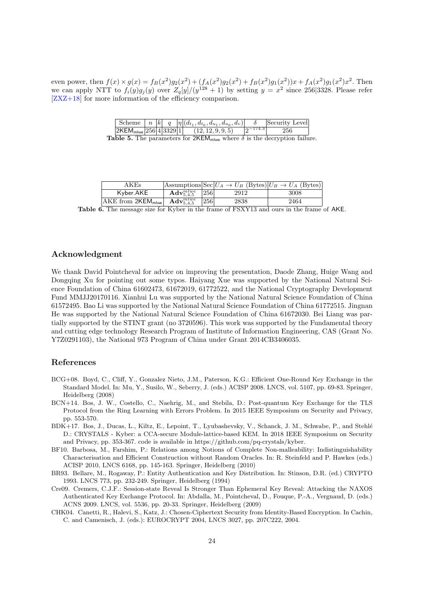even power, then  $f(x) \times g(x) = f_B(x^2)g_2(x^2) + (f_A(x^2)g_2(x^2) + f_B(x^2)g_1(x^2))x + f_A(x^2)g_1(x^2)x^2$ . Then we can apply NTT to  $f_i(y)g_j(y)$  over  $Z_q[y]/(y^{128}+1)$  by setting  $y=x^2$  since 256 3328. Please refer [\[ZXZ+18\]](#page-25-5) for more information of the efficiency comparison.

<span id="page-23-7"></span>

|  |  | Scheme $\mid n \mid k \mid q \mid  \eta  (d_{t_1}, d_{t_0}, d_{u_1}, d_{u_0}, d_v) $ |             | Security Level |
|--|--|--------------------------------------------------------------------------------------|-------------|----------------|
|  |  | $ 2\text{KEM}_{\text{mlwe}} 256 4 3329 1 $ (12, 12, 9, 9, 5)                         | $ 0-174.3 $ | 256            |
|  |  | $\blacksquare$                                                                       |             | $\blacksquare$ |

|  |  | <b>Table 5.</b> The parameters for 2KEM <sub>mlwe</sub> where $\delta$ is the decryption failure. |  |  |  |  |  |  |  |
|--|--|---------------------------------------------------------------------------------------------------|--|--|--|--|--|--|--|
|--|--|---------------------------------------------------------------------------------------------------|--|--|--|--|--|--|--|

<span id="page-23-8"></span>

|                          |                                        |     | Assumptions $\left \text{Sec}\right U_A \to U_B$ (Bytes) $\left U_B \to U_A\right $ (Bytes) |      |  |
|--------------------------|----------------------------------------|-----|---------------------------------------------------------------------------------------------|------|--|
| Kvber.AKE                | $\mathrm{Adv}_{5,4,5}^{mlwe}$          | 256 | 2912                                                                                        | 3008 |  |
| $AKE$ from $2KEM_{m we}$ | $\mathrm{\mathbf{Adv}}^{mlwe}_{5,4,5}$ | 256 | 2838                                                                                        | 2464 |  |
| $\sim$ $\sim$            |                                        |     | 0.770777740                                                                                 |      |  |

Table 6. The message size for Kyber in the frame of FSXY13 and ours in the frame of AKE.

# Acknowledgment

We thank David Pointcheval for advice on improving the presentation, Daode Zhang, Huige Wang and Dongqing Xu for pointing out some typos. Haiyang Xue was supported by the National Natural Science Foundation of China 61602473, 61672019, 61772522, and the National Cryptography Development Fund MMJJ20170116. Xianhui Lu was supported by the National Natural Science Foundation of China 61572495. Bao Li was supported by the National Natural Science Foundation of China 61772515. Jingnan He was supported by the National Natural Science Foundation of China 61672030. Bei Liang was partially supported by the STINT grant (no 3720596). This work was supported by the Fundamental theory and cutting edge technology Research Program of Institute of Information Engineering, CAS (Grant No. Y7Z0291103), the National 973 Program of China under Grant 2014CB3406035.

# References

- <span id="page-23-2"></span>BCG+08. Boyd, C., Cliff, Y., Gonzalez Nieto, J.M., Paterson, K.G.: Efficient One-Round Key Exchange in the Standard Model. In: Mu, Y., Susilo, W., Seberry, J. (eds.) ACISP 2008. LNCS, vol. 5107, pp. 69-83. Springer, Heidelberg (2008)
- <span id="page-23-3"></span>BCN+14. Bos, J. W., Costello, C., Naehrig, M., and Stebila, D.: Post-quantum Key Exchange for the TLS Protocol from the Ring Learning with Errors Problem. In 2015 IEEE Symposium on Security and Privacy, pp. 553-570.
- <span id="page-23-4"></span>BDK+17. Bos, J., Ducas, L., Kiltz, E., Lepoint, T., Lyubashevsky, V., Schanck, J. M., Schwabe, P., and Stehl´e D.: CRYSTALS - Kyber: a CCA-secure Module-lattice-based KEM. In 2018 IEEE Symposium on Security and Privacy, pp. 353-367. code is available in https://github.com/pq-crystals/kyber.
- <span id="page-23-6"></span>BF10. Barbosa, M., Farshim, P.: Relations among Notions of Complete Non-malleability: Indistinguishability Characterisation and Efficient Construction without Random Oracles. In: R. Steinfeld and P. Hawkes (eds.) ACISP 2010, LNCS 6168, pp. 145-163. Springer, Heidelberg (2010)
- <span id="page-23-0"></span>BR93. Bellare, M., Rogaway, P.: Entity Authentication and Key Distribution. In: Stinson, D.R. (ed.) CRYPTO 1993. LNCS 773, pp. 232-249. Springer, Heidelberg (1994)
- <span id="page-23-1"></span>Cre09. Cremers, C.J.F.: Session-state Reveal Is Stronger Than Ephemeral Key Reveal: Attacking the NAXOS Authenticated Key Exchange Protocol. In: Abdalla, M., Pointcheval, D., Fouque, P.-A., Vergnaud, D. (eds.) ACNS 2009. LNCS, vol. 5536, pp. 20-33. Springer, Heidelberg (2009)
- <span id="page-23-5"></span>CHK04. Canetti, R., Halevi, S., Katz, J.: Chosen-Ciphertext Security from Identity-Based Encryption. In Cachin, C. and Camenisch, J. (eds.): EUROCRYPT 2004, LNCS 3027, pp. 207C222, 2004.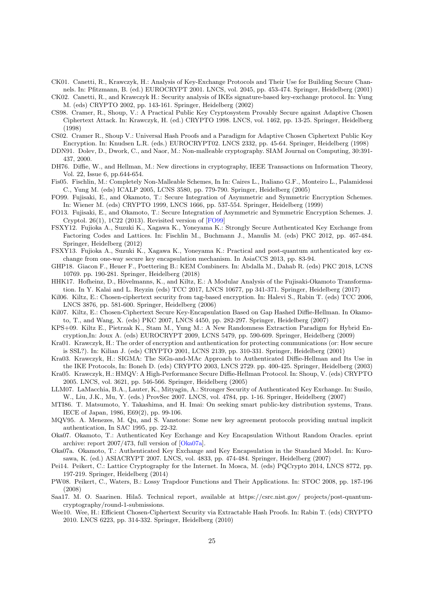- <span id="page-24-1"></span>CK01. Canetti, R., Krawczyk, H.: Analysis of Key-Exchange Protocols and Their Use for Building Secure Channels. In: Pfitzmann, B. (ed.) EUROCRYPT 2001. LNCS, vol. 2045, pp. 453-474. Springer, Heidelberg (2001)
- <span id="page-24-11"></span>CK02. Canetti, R., and Krawczyk H.: Security analysis of IKEs signature-based key-exchange protocol. In: Yung M. (eds) CRYPTO 2002, pp. 143-161. Springer, Heidelberg (2002)
- <span id="page-24-18"></span>CS98. Cramer, R., Shoup, V.: A Practical Public Key Cryptosystem Provably Secure against Adaptive Chosen Ciphertext Attack. In: Krawczyk, H. (ed.) CRYPTO 1998. LNCS, vol. 1462, pp. 13-25. Springer, Heidelberg (1998)
- <span id="page-24-14"></span>CS02. Cramer R., Shoup V.: Universal Hash Proofs and a Paradigm for Adaptive Chosen Ciphertext Public Key Encryption. In: Knudsen L.R. (eds.) EUROCRYPT02. LNCS 2332, pp. 45-64. Springer, Heidelberg (1998)
- <span id="page-24-21"></span>DDN91. Dolev, D., Dwork, C., and Naor, M.: Non-malleable cryptography. SIAM Journal on Computing, 30:391- 437, 2000.
- <span id="page-24-0"></span>DH76. Diffie, W., and Hellman, M.: New directions in cryptography, IEEE Transactions on Information Theory, Vol. 22, Issue 6, pp.644-654.
- <span id="page-24-25"></span>Fis05. Fischlin, M.: Completely Non-Malleable Schemes, In In: Caires L., Italiano G.F., Monteiro L., Palamidessi C., Yung M. (eds) ICALP 2005, LCNS 3580, pp. 779-790. Springer, Heidelberg (2005)
- <span id="page-24-15"></span>FO99. Fujisaki, E., and Okamoto, T.: Secure Integration of Asymmetric and Symmetric Encryption Schemes. In: Wiener M. (eds) CRYPTO 1999, LNCS 1666, pp. 537-554. Springer, Heidelberg (1999)
- <span id="page-24-16"></span>FO13. Fujisaki, E., and Okamoto, T.: Secure Integration of Asymmetric and Symmetric Encryption Schemes. J. Cryptol. 26(1), 1C22 (2013). Revisited version of [\[FO99\]](#page-24-15)
- <span id="page-24-3"></span>FSXY12. Fujioka A., Suzuki K., Xagawa K., Yoneyama K.: Strongly Secure Authenticated Key Exchange from Factoring Codes and Lattices. In: Fischlin M., Buchmann J., Manulis M. (eds) PKC 2012, pp. 467-484. Springer, Heidelberg (2012)
- <span id="page-24-8"></span>FSXY13. Fujioka A., Suzuki K., Xagawa K., Yoneyama K.: Practical and post-quantum authenticated key exchange from one-way secure key encapsulation mechanism. In AsiaCCS 2013, pp. 83-94.
- <span id="page-24-24"></span>GHP18. Giacon F., Heuer F., Poettering B.: KEM Combiners. In: Abdalla M., Dahab R. (eds) PKC 2018, LCNS 10769. pp. 190-281. Springer, Heidelberg (2018)
- <span id="page-24-17"></span>HHK17. Hofheinz, D., Hövelmanns, K., and Kiltz, E.: A Modular Analysis of the Fujisaki-Okamoto Transformation. In Y. Kalai and L. Reyzin (eds) TCC 2017, LNCS 10677, pp 341-371. Springer, Heidelberg (2017)
- <span id="page-24-22"></span>Kil06. Kiltz, E.: Chosen-ciphertext security from tag-based encryption. In: Halevi S., Rabin T. (eds) TCC 2006, LNCS 3876, pp. 581-600. Springer, Heidelberg (2006)
- <span id="page-24-19"></span>Kil07. Kiltz, E.: Chosen-Ciphertext Secure Key-Encapsulation Based on Gap Hashed Diffie-Hellman. In Okamoto, T., and Wang, X. (eds) PKC 2007, LNCS 4450, pp. 282-297. Springer, Heidelberg (2007)
- <span id="page-24-26"></span>KPS+09. Kiltz E., Pietrzak K., Stam M., Yung M.: A New Randomness Extraction Paradigm for Hybrid Encryption,In: Joux A. (eds) EUROCRYPT 2009, LCNS 5479, pp. 590-609. Springer, Heidelberg (2009)
- <span id="page-24-12"></span>Kra01. Krawczyk, H.: The order of encryption and authentication for protecting communications (or: How secure is SSL?). In: Kilian J. (eds) CRYPTO 2001, LCNS 2139, pp. 310-331. Springer, Heidelberg (2001)
- <span id="page-24-6"></span>Kra03. Krawczyk, H.: SIGMA: The SiGn-and-MAc Approach to Authenticated Diffie-Hellman and Its Use in the IKE Protocols, In: Boneh D. (eds) CRYPTO 2003, LNCS 2729. pp. 400-425. Springer, Heidelberg (2003)
- <span id="page-24-10"></span>Kra05. Krawczyk, H.: HMQV: A High-Performance Secure Diffie-Hellman Protocol. In: Shoup, V. (eds) CRYPTO 2005. LNCS, vol. 3621, pp. 546-566. Springer, Heidelberg (2005)
- <span id="page-24-2"></span>LLM07. LaMacchia, B.A., Lauter, K., Mityagin, A.: Stronger Security of Authenticated Key Exchange. In: Susilo, W., Liu, J.K., Mu, Y. (eds.) ProvSec 2007. LNCS, vol. 4784, pp. 1-16. Springer, Heidelberg (2007)
- <span id="page-24-4"></span>MTI86. T. Matsumoto, Y. Takashima, and H. Imai: On seeking smart public-key distribution systems, Trans. IECE of Japan, 1986, E69(2), pp. 99-106.
- <span id="page-24-5"></span>MQV95. A. Menezes, M. Qu, and S. Vanstone: Some new key agreement protocols providing mutual implicit authentication, In SAC 1995, pp. 22-32.
- <span id="page-24-7"></span>Oka07. Okamoto, T.: Authenticated Key Exchange and Key Encapsulation Without Random Oracles. eprint archive: report 2007/473, full version of [\[Oka07a\]](#page-24-13).
- <span id="page-24-13"></span>Oka07a. Okamoto, T.: Authenticated Key Exchange and Key Encapsulation in the Standard Model. In: Kurosawa, K. (ed.) ASIACRYPT 2007. LNCS, vol. 4833, pp. 474-484. Springer, Heidelberg (2007)
- <span id="page-24-9"></span>Pei14. Peikert, C.: Lattice Cryptography for the Internet. In Mosca, M. (eds) PQCrypto 2014, LNCS 8772, pp. 197-219. Springer, Heidelberg (2014)
- <span id="page-24-23"></span>PW08. Peikert, C., Waters, B.: Lossy Trapdoor Functions and Their Applications. In: STOC 2008, pp. 187-196 (2008)
- <span id="page-24-27"></span>Saa17. M. O. Saarinen. Hila5. Technical report, available at https://csrc.nist.gov/ projects/post-quantumcryptography/round-1-submissions.
- <span id="page-24-20"></span>Wee10. Wee, H.: Efficient Chosen-Ciphertext Security via Extractable Hash Proofs. In: Rabin T. (eds) CRYPTO 2010. LNCS 6223, pp. 314-332. Springer, Heidelberg (2010)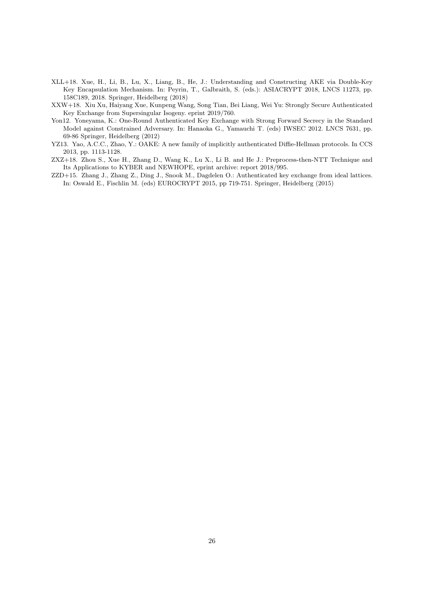- <span id="page-25-2"></span>XLL+18. Xue, H., Li, B., Lu, X., Liang, B., He, J.: Understanding and Constructing AKE via Double-Key Key Encapsulation Mechanism. In: Peyrin, T., Galbraith, S. (eds.): ASIACRYPT 2018, LNCS 11273, pp. 158C189, 2018. Springer, Heidelberg (2018)
- <span id="page-25-4"></span>XXW+18. Xiu Xu, Haiyang Xue, Kunpeng Wang, Song Tian, Bei Liang, Wei Yu: Strongly Secure Authenticated Key Exchange from Supersingular Isogeny. eprint 2019/760.
- <span id="page-25-3"></span>Yon12. Yoneyama, K.: One-Round Authenticated Key Exchange with Strong Forward Secrecy in the Standard Model against Constrained Adversary. In: Hanaoka G., Yamauchi T. (eds) IWSEC 2012. LNCS 7631, pp. 69-86 Springer, Heidelberg (2012)
- <span id="page-25-0"></span>YZ13. Yao, A.C.C., Zhao, Y.: OAKE: A new family of implicitly authenticated Diffie-Hellman protocols. In CCS 2013, pp. 1113-1128.
- <span id="page-25-5"></span>ZXZ+18. Zhou S., Xue H., Zhang D., Wang K., Lu X., Li B. and He J.: Preprocess-then-NTT Technique and Its Applications to KYBER and NEWHOPE, eprint archive: report 2018/995.
- <span id="page-25-1"></span>ZZD+15. Zhang J., Zhang Z., Ding J., Snook M., Dagdelen O.: Authenticated key exchange from ideal lattices. In: Oswald E., Fischlin M. (eds) EUROCRYPT 2015, pp 719-751. Springer, Heidelberg (2015)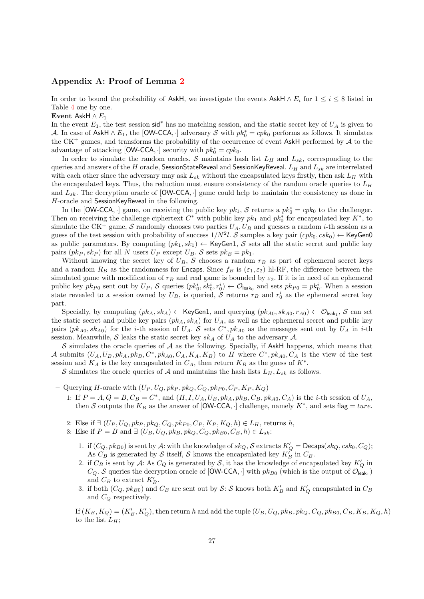# Appendix A: Proof of Lemma [2](#page-11-1)

In order to bound the probability of AskH, we investigate the events AskH  $\land$  E<sub>i</sub> for  $1 \le i \le 8$  listed in Table [4](#page-11-2) one by one.

Event AskH  $\wedge E_1$ 

In the event  $E_1$ , the test session sid<sup>\*</sup> has no matching session, and the static secret key of  $U_A$  is given to A. In case of AskH  $\land E_1$ , the [OW-CCA, ·] adversary S with  $pk_0^* = cpk_0$  performs as follows. It simulates the CK<sup>+</sup> games, and transforms the probability of the occurrence of event AskH performed by  $A$  to the advantage of attacking [OW-CCA, ·] security with  $pk_0^* = cpk_0$ .

In order to simulate the random oracles, S maintains hash list  $L_H$  and  $L_{sk}$ , corresponding to the queries and answers of the H oracle, SessionStateReveal and SessionKeyReveal.  $L_H$  and  $L_{sk}$  are interrelated with each other since the adversary may ask  $L_{sk}$  without the encapsulated keys firstly, then ask  $L_H$  with the encapsulated keys. Thus, the reduction must ensure consistency of the random oracle queries to  $L_H$ and  $L_{sk}$ . The decryption oracle of  $[OW-CCA, \cdot]$  game could help to maintain the consistency as done in H-oracle and SessionKeyReveal in the following.

In the [OW-CCA,  $\cdot$ ] game, on receiving the public key  $pk_1$ , S returns a  $pk_0^* = cpk_0$  to the challenger. Then on receiving the challenge ciphertext  $C^*$  with public key  $pk_1$  and  $pk_0^*$  for encapsulated key  $K^*$ , to simulate the CK<sup>+</sup> game, S randomly chooses two parties  $U_A$ ,  $U_B$  and guesses a random *i*-th session as a guess of the test session with probability of success  $1/N^2l$ . S samples a key pair  $(cpk_0, csk_0) \leftarrow$  KeyGen0 as public parameters. By computing  $(pk_1, sk_1) \leftarrow \text{KeyGen1}, S$  sets all the static secret and public key pairs  $(pk_P, sk_P)$  for all N users  $U_P$  except  $U_B$ . S sets  $pk_B = pk_1$ .

Without knowing the secret key of  $U_B$ , S chooses a random  $r_B$  as part of ephemeral secret keys and a random  $R_B$  as the randomness for Encaps. Since  $f_B$  is  $(\varepsilon_1, \varepsilon_2)$  hl-RF, the difference between the simulated game with modification of  $r_B$  and real game is bounded by  $\varepsilon_2$ . If it is in need of an ephemeral public key  $pk_{P0}$  sent out by  $U_P$ , S queries  $(pk_0^i, sk_0^i, r_0^i) \leftarrow \mathcal{O}_{\mathsf{leak}_0}$  and sets  $pk_{P0} = pk_0^i$ . When a session state revealed to a session owned by  $U_B$ , is queried, S returns  $r_B$  and  $r_0^i$  as the ephemeral secret key part.

Specially, by computing  $(pk_A, sk_A) \leftarrow \textsf{KeyGen1}$ , and querying  $(pk_{A0}, sk_{A0}, r_{A0}) \leftarrow \mathcal{O}_{\textsf{leak}_1}, \mathcal{S}$  can set the static secret and public key pairs  $(pk_A, sk_A)$  for  $U_A$ , as well as the ephemeral secret and public key pairs  $(pk_{A0}, sk_{A0})$  for the *i*-th session of  $U_A$ . S sets  $C^*$ ,  $pk_{A0}$  as the messages sent out by  $U_A$  in *i*-th session. Meanwhile, S leaks the static secret key  $sk_A$  of  $U_A$  to the adversary A.

 $S$  simulates the oracle queries of  $A$  as the following. Specially, if AskH happens, which means that A submits  $(U_A, U_B, pk_A, pk_B, C^*, pk_{A0}, C_A, K_A, K_B)$  to H where  $C^*, pk_{A0}, C_A$  is the view of the test session and  $K_A$  is the key encapsulated in  $C_A$ , then return  $K_B$  as the guess of  $K^*$ .

S simulates the oracle queries of A and maintains the hash lists  $L_H$ ,  $L_{sk}$  as follows.

– Querying H-oracle with  $(U_P, U_Q, pk_P, pk_Q, C_Q, pk_{P0}, C_P, K_P, K_Q)$ 

- 1: If  $P = A, Q = B, C_B = C^*$ , and  $(\Pi, I, U_A, U_B, pk_A, pk_B, C_B, pk_{A0}, C_A)$  is the *i*-th session of  $U_A$ , then S outputs the  $K_B$  as the answer of [OW-CCA, ·] challenge, namely  $K^*$ , and sets flag = ture.
- 2: Else if  $\exists (U_P, U_Q, pk_P, pk_Q, C_Q, pk_{P0}, C_P, K_P, K_Q, h) \in L_H$ , returns h,
- 3: Else if  $P = B$  and  $\exists (U_B, U_Q, pk_B, pk_Q, C_Q, pk_{B0}, C_B, h) \in L_{sk}$ :
	- 1. if  $(C_Q, pk_{B0})$  is sent by  $\mathcal A$ : with the knowledge of  $sk_Q$ ,  $\mathcal S$  extracts  $K_Q' = \mathsf{Decaps}(sk_Q, csk_0, C_Q)$ ; As  $C_B$  is generated by S itself, S knows the encapsulated key  $K_B^{\gamma}$  in  $C_B$ .
	- 2. if  $C_B$  is sent by A: As  $C_Q$  is generated by S, it has the knowledge of encapsulated key  $K'_Q$  in  $C_Q$ . S queries the decryption oracle of [OW-CCA,  $\cdot$ ] with  $pk_{B0}$  (which is the output of  $\mathcal{O}_{\mathsf{leak}_1}$ ) and  $C_B$  to extract  $K'_B$ .
	- 3. if both  $(C_Q, pk_{B0})$  and  $C_B$  are sent out by  $S: S$  knows both  $K_B'$  and  $K_Q'$  encapsulated in  $C_B$ and  $C_Q$  respectively.

If  $(K_B, K_Q) = (K'_B, K'_Q)$ , then return h and add the tuple  $(U_B, U_Q, pk_B, pk_Q, C_Q, pk_{B0}, C_B, K_B, K_Q, h)$ to the list  $L_H$ ;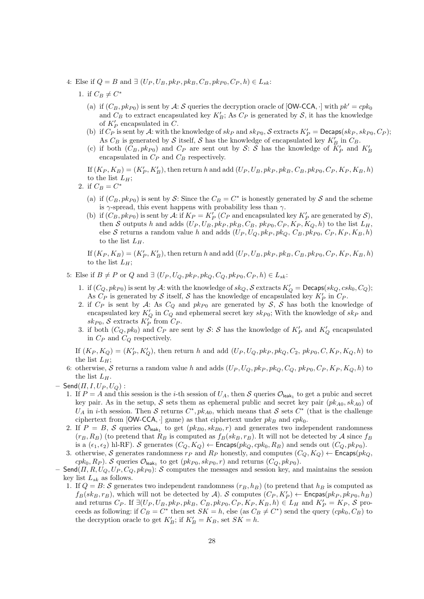- 4: Else if  $Q = B$  and  $\exists (U_P, U_B, pk_P, pk_B, C_B, pk_{P0}, C_P, h) \in L_{sk}$ :
	- 1. if  $C_B \neq C^*$ 
		- (a) if  $(C_B, pk_{P0})$  is sent by A: S queries the decryption oracle of  $\text{[OW-CCA}, \cdot \text{] with } pk' = cpk_0$ and  $C_B$  to extract encapsulated key  $K'_B$ ; As  $C_P$  is generated by  $S$ , it has the knowledge of  $K'_P$  encapsulated in C.
		- (b) if  $C_P$  is sent by A: with the knowledge of  $sk_P$  and  $sk_{P0}$ , S extracts  $K_P' = \mathsf{Decaps}(sk_P, sk_{P0}, C_P)$ ; As  $C_B$  is generated by  $S$  itself,  $S$  has the knowledge of encapsulated key  $K'_B$  in  $C_B$ .
		- (c) if both  $(C_B, pk_{P0})$  and  $C_P$  are sent out by S: S has the knowledge of  $\overline{K}'_P$  and  $K'_B$ encapsulated in  $C_P$  and  $C_B$  respectively.

If  $(K_P, K_B) = (K'_P, K'_B)$ , then return h and add  $(U_P, U_B, pk_P, pk_B, C_B, pk_{P0}, C_P, K_P, K_B, h)$ to the list  $L_H$ ;

- 2. if  $C_B = C^*$ 
	- (a) if  $(C_B, pk_{P0})$  is sent by S: Since the  $C_B = C^*$  is honestly generated by S and the scheme is  $\gamma$ -spread, this event happens with probability less than  $\gamma$ .
	- (b) if  $(C_B, pk_{P0})$  is sent by A: if  $K_P = K_P'$  ( $C_P$  and encapsulated key  $K_P'$  are generated by  $S$ ), then S outputs h and adds  $(U_P, U_B, pk_P, pk_B, C_B, pk_{P0}, C_P, K_P, K_Q, h)$  to the list  $L_H$ , else S returns a random value h and adds  $(U_P, U_Q, pk_P, pk_Q, C_B, pk_{P0}, C_P, K_P, K_B, h)$ to the list  $L_H$ .

If  $(K_P, K_B) = (K'_P, K'_B)$ , then return h and add  $(U_P, U_B, pk_P, pk_B, C_B, pk_{P0}, C_P, K_P, K_B, h)$ to the list  $L_H$ ;

- 5: Else if  $B \neq P$  or  $Q$  and  $\exists (U_P, U_Q, pk_P, pk_Q, C_Q, pk_{P0}, C_P, h) \in L_{sk}$ :
	- 1. if  $(C_Q, pk_{P0})$  is sent by  $\mathcal A$ : with the knowledge of  $sk_Q$ ,  $\mathcal S$  extracts  $K_Q' = \mathsf{Decaps}(sk_Q, csk_0, C_Q)$ ; As  $C_P$  is generated by S itself, S has the knowledge of encapsulated key  $K_P'$  in  $C_P$ .
	- 2. if  $C_P$  is sent by A: As  $C_Q$  and  $pk_{P0}$  are generated by S, S has both the knowledge of encapsulated key  $K'_Q$  in  $C_Q$  and ephemeral secret key  $sk_{P0}$ ; With the knowledge of  $sk_P$  and  $sk_{P0}$ , S extracts  $K_P^{\prime\prime}$  from  $C_P$ .
	- 3. if both  $(C_Q, pk_0)$  and  $C_P$  are sent by  $\mathcal{S}: \mathcal{S}$  has the knowledge of  $K_P'$  and  $K_Q'$  encapsulated in  $C_P$  and  $C_Q$  respectively.

If  $(K_P, K_Q) = (K'_P, K'_Q)$ , then return h and add  $(U_P, U_Q, pk_P, pk_Q, C_2, pk_{P0}, C, K_P, K_Q, h)$  to the list  $L_H$ ;

- 6: otherwise, S returns a random value h and adds  $(U_P, U_Q, pk_P, pk_Q, C_Q, pk_{P0}, C_P, K_P, K_Q, h)$  to the list  $L_H$ .
- $-$  Send $(\Pi, I, U_P, U_Q)$ :
	- 1. If  $P = A$  and this session is the *i*-th session of  $U_A$ , then S queries  $\mathcal{O}_{\text{leak}_1}$  to get a pubic and secret key pair. As in the setup, S sets them as ephemeral public and secret key pair  $(pk_{A0}, sk_{A0})$  of  $U_A$  in *i*-th session. Then S returns  $C^*$ ,  $pk_{A0}$ , which means that S sets  $C^*$  (that is the challenge ciphertext from [OW-CCA,  $\cdot$ ] game) as that ciphertext under  $pk_B$  and  $cpk_0$ .
	- 2. If  $P = B$ , S queries  $\mathcal{O}_{\mathsf{leak}_1}$  to get  $(pk_{B0}, sk_{B0}, r)$  and generates two independent randomness  $(r_B, R_B)$  (to pretend that  $R_B$  is computed as  $f_B(s k_B, r_B)$ . It will not be detected by A since  $f_B$ is a  $(\epsilon_1, \epsilon_2)$  hl-RF). S generates  $(C_O, K_O) \leftarrow$  Encaps $(pk_O, cpk_0, R_B)$  and sends out  $(C_O, pk_{P0})$ .
	- 3. otherwise, S generates randomness  $r_P$  and  $R_P$  honestly, and computes  $(C_Q, K_Q) \leftarrow$  Encaps( $pk_Q$ ,  $cpk_0, R_P$ ). S queries  $\mathcal{O}_{\mathsf{leak}_1}$  to get  $(pk_{P0}, sk_{P0}, r)$  and returns  $(C_Q, pk_{P0})$ .
- Send $(\Pi, R, U_Q, U_P, C_Q, pk_{P0})$ : S computes the messages and session key, and maintains the session key list  $L_{sk}$  as follows.
	- 1. If  $Q = B: \mathcal{S}$  generates two independent randomness  $(r_B, h_B)$  (to pretend that  $h_B$  is computed as  $f_B(k_B, r_B)$ , which will not be detected by A. S computes  $(C_P, K_P') \leftarrow$  Encpas $(pk_P, pk_{P0}, h_B)$ and returns  $C_P$ . If  $\exists (U_P, U_B, pk_P, pk_B, C_B, pk_{P0}, C_P, K_P, K_B, h) \in L_H$  and  $K_P' = K_P$ , S proceeds as following: if  $C_B = C^*$  then set  $SK = h$ , else (as  $C_B \neq C^*$ ) send the query  $(cpk_0, C_B)$  to the decryption oracle to get  $K'_B$ ; if  $K'_B = K_B$ , set  $SK = h$ .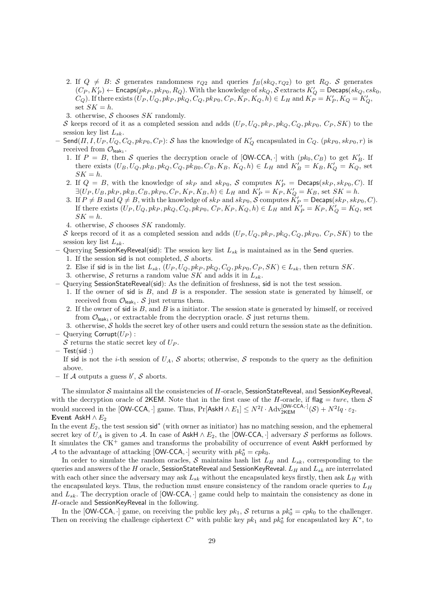- 2. If  $Q \neq B$ : S generates randomness  $r_{Q2}$  and queries  $f_B(sk_Q, r_{Q2})$  to get  $R_Q$ . S generates  $(C_P, K_P') \leftarrow$  Encaps $(\mathit{pk}_P, \mathit{pk}_{P0}, R_Q)$ . With the knowledge of  $\mathit{sk}_Q$ ,  $\mathcal S$  extracts  $K_Q' =$  Decaps $(\mathit{sk}_Q, \mathit{csk}_0, R_Q)$  $(C_Q)$ . If there exists  $(U_P, U_Q, pk_P, pk_Q, C_Q, pk_{P0}, C_P, K_P, K_Q, h) \in L_H$  and  $K_P = K_P', K_Q = K_Q'$ , set  $SK = h$ .
- 3. otherwise,  $S$  chooses  $SK$  randomly.

S keeps record of it as a completed session and adds  $(U_P, U_Q, pk_P, pk_Q, C_Q, pk_{P0}, C_P, SK)$  to the session key list  $L_{sk}$ .

- $-$  Send $(\Pi, I, U_P, U_Q, C_Q, pk_{P0}, C_P)$ : S has the knowledge of  $K'_Q$  encapsulated in  $C_Q$ .  $(pk_{P0}, sk_{P0}, r)$  is received from  $\mathcal{O}_{\mathsf{leak}_1}.$ 
	- 1. If  $P = B$ , then S queries the decryption oracle of [OW-CCA, ] with  $(pk_0, C_B)$  to get  $K'_B$ . If there exists  $(U_B, U_Q, pk_B, pk_Q, C_Q, pk_{B0}, C_B, K_B, K_Q, h) \in L_H$  and  $K'_B = K_B, K'_Q = K_Q$ , set  $\label{eq:SK} SK = h.$
	- 2. If  $Q = B$ , with the knowledge of  $sk_P$  and  $sk_{P0}$ , S computes  $K'_P = \text{Decaps}(sk_P, sk_{P0}, C)$ . If  $\exists (U_P, U_B, pk_P, pk_B, C_B, pk_{P0}, C_P, K_P, K_B, h) \in L_H$  and  $K'_P = K_P, K'_Q = K_B$ , set  $SK = h$ .
	- 3. If  $P \neq B$  and  $Q \neq B$ , with the knowledge of  $sk_P$  and  $sk_{P0}$ ,  $S$  computes  $\check{K}'_P = \mathsf{Decaps}(sk_P, sk_{P0}, C)$ . If there exists  $(U_P, U_Q, pk_P, pk_Q, C_Q, pk_{P0}, C_P, K_P, K_Q, h) \in L_H$  and  $K_P' = K_P, K_Q' = K_Q$ , set  $SK = h$ .
	- 4. otherwise,  $S$  chooses  $SK$  randomly.

S keeps record of it as a completed session and adds  $(U_P, U_Q, pk_P, pk_Q, C_Q, pk_{P0}, C_P, SK)$  to the session key list  $L_{sk}$ .

- Querying SessionKeyReveal(sid): The session key list  $L_{sk}$  is maintained as in the Send queries. 1. If the session sid is not completed,  $S$  aborts.
	- 2. Else if sid is in the list  $L_{sk}$ ,  $(U_P, U_Q, pk_P, pk_Q, C_Q, pk_{P0}, C_P, SK) \in L_{sk}$ , then return SK.
	- 3. otherwise,  $S$  returns a random value  $SK$  and adds it in  $L_{sk}$ .
- Querying SessionStateReveal(sid): As the definition of freshness, sid is not the test session.
	- 1. If the owner of sid is B, and B is a responder. The session state is generated by himself, or received from  $\mathcal{O}_{\mathsf{leak}_1}$ . S just returns them.
	- 2. If the owner of sid is  $B$ , and  $B$  is a initiator. The session state is generated by himself, or received from  $\mathcal{O}_{\text{leak}_1}$ , or extractable from the decryption oracle. S just returns them.
- 3. otherwise,  $S$  holds the secret key of other users and could return the session state as the definition. – Querying Corrupt $(U_P)$ :
- S returns the static secret key of  $U_P$ .
- $-$  Test(sid :)
	- If sid is not the *i*-th session of  $U_A$ , S aborts; otherwise, S responds to the query as the definition above.
- If A outputs a guess  $b'$ , S aborts.

The simulator  $S$  maintains all the consistencies of  $H$ -oracle, SessionStateReveal, and SessionKeyReveal, with the decryption oracle of 2KEM. Note that in the first case of the H-oracle, if flag = ture, then  $S$ would succeed in the [OW-CCA, ·] game. Thus,  $Pr[\text{AskH} \wedge E_1] \leq N^2 l \cdot \text{Adv}_{2\text{KEM}}^{[\text{OW-CCA},\cdot]}(\mathcal{S}) + N^2 l q \cdot \varepsilon_2$ . Event AskH  $\wedge E_2$ 

In the event  $E_2$ , the test session sid<sup>\*</sup> (with owner as initiator) has no matching session, and the ephemeral secret key of  $U_A$  is given to A. In case of AskH  $\land$   $E_2$ , the [OW-CCA, ·] adversary S performs as follows. It simulates the  $CK^+$  games and transforms the probability of occurrence of event AskH performed by A to the advantage of attacking [OW-CCA, $\cdot$ ] security with  $pk_0^* = cpk_0$ .

In order to simulate the random oracles, S maintains hash list  $L_H$  and  $L_{sk}$ , corresponding to the queries and answers of the H oracle, SessionStateReveal and SessionKeyReveal.  $L_H$  and  $L_{sk}$  are interrelated with each other since the adversary may ask  $L_{sk}$  without the encapsulated keys firstly, then ask  $L_H$  with the encapsulated keys. Thus, the reduction must ensure consistency of the random oracle queries to  $L_H$ and  $L_{sk}$ . The decryption oracle of  $[OW-CCA, \cdot]$  game could help to maintain the consistency as done in H-oracle and SessionKeyReveal in the following.

In the [OW-CCA,  $\cdot$ ] game, on receiving the public key  $pk_1$ , S returns a  $pk_0^* = cpk_0$  to the challenger. Then on receiving the challenge ciphertext  $C^*$  with public key  $pk_1$  and  $pk_0^*$  for encapsulated key  $K^*$ , to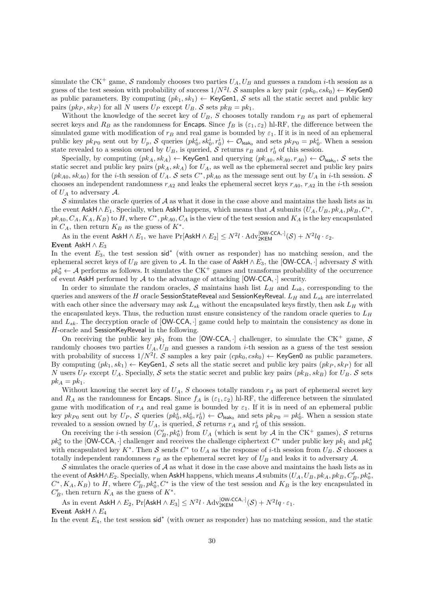simulate the CK<sup>+</sup> game, S randomly chooses two parties  $U_A$ ,  $U_B$  and guesses a random *i*-th session as a guess of the test session with probability of success  $1/N^2l$ . S samples a key pair  $(cpk_0, csk_0) \leftarrow$  KeyGen0 as public parameters. By computing  $(pk_1, sk_1) \leftarrow \text{KeyGen1}, S$  sets all the static secret and public key pairs  $(pk_P, sk_P)$  for all N users  $U_P$  except  $U_B$ . S sets  $pk_B = pk_1$ .

Without the knowledge of the secret key of  $U_B$ , S chooses totally random  $r_B$  as part of ephemeral secret keys and  $R_B$  as the randomness for Encaps. Since  $f_B$  is  $(\varepsilon_1, \varepsilon_2)$  hl-RF, the difference between the simulated game with modification of  $r_B$  and real game is bounded by  $\varepsilon_1$ . If it is in need of an ephemeral public key  $pk_{P0}$  sent out by  $U_p$ , S queries  $(pk_0^i, sk_0^i, r_0^i) \leftarrow O_{\text{leak}_0}$  and sets  $pk_{P0} = pk_0^i$ . When a session state revealed to a session owned by  $U_B$ , is queried, S returns  $r_B$  and  $r_0^i$  of this session.

Specially, by computing  $(pk_A, sk_A) \leftarrow$  KeyGen1 and querying  $(pk_{A0}, sk_{A0}, r_{A0}) \leftarrow \mathcal{O}_{\mathsf{leak}_0}, \mathcal{S}$  sets the static secret and public key pairs  $(pk_A, sk_A)$  for  $U_A$ , as well as the ephemeral secret and public key pairs  $(pk_{A0}, sk_{A0})$  for the *i*-th session of  $U_A$ . S sets  $C^*$ ,  $pk_{A0}$  as the message sent out by  $U_A$  in *i*-th session. S chooses an independent randomness  $r_{A2}$  and leaks the ephemeral secret keys  $r_{A0}$ ,  $r_{A2}$  in the *i*-th session of  $U_A$  to adversary  $\mathcal{A}$ .

S simulates the oracle queries of  $A$  as what it dose in the case above and maintains the hash lists as in the event AskH∧E<sub>1</sub>. Specially, when AskH happens, which means that A submits  $(U_A, U_B, pk_A, pk_B, C^*,$  $pk_{A0}, C_A, K_A, K_B$  to H, where  $C^*, pk_{A0}, C_A$  is the view of the test session and  $K_A$  is the key encapsulated in  $C_A$ , then return  $K_B$  as the guess of  $K^*$ .

As in the event AskH  $\land E_1$ , we have Pr[AskH  $\land E_2$ ]  $\leq N^2l \cdot \text{Adv}_{2\text{KEM}}^{\text{[OW-CCA},\cdot]}(\mathcal{S}) + N^2lq \cdot \varepsilon_2$ . Event AskH  $\wedge E_3$ 

In the event  $E_3$ , the test session sid<sup>\*</sup> (with owner as responder) has no matching session, and the ephemeral secret keys of  $U_B$  are given to A. In the case of AskH  $\wedge E_3$ , the [OW-CCA, ·] adversary S with  $pk_0^* \leftarrow \mathcal{A}$  performs as follows. It simulates the CK<sup>+</sup> games and transforms probability of the occurrence of event AskH performed by  $A$  to the advantage of attacking  $[OW-CCA,\cdot]$  security.

In order to simulate the random oracles, S maintains hash list  $L_H$  and  $L_{sk}$ , corresponding to the queries and answers of the H oracle SessionStateReveal and SessionKeyReveal.  $L_H$  and  $L_{sk}$  are interrelated with each other since the adversary may ask  $L_{sk}$  without the encapsulated keys firstly, then ask  $L_H$  with the encapsulated keys. Thus, the reduction must ensure consistency of the random oracle queries to  $L_H$ and  $L_{sk}$ . The decryption oracle of  $[OW-CCA, \cdot]$  game could help to maintain the consistency as done in H-oracle and SessionKeyReveal in the following.

On receiving the public key  $pk_1$  from the [OW-CCA,  $\cdot$ ] challenger, to simulate the CK<sup>+</sup> game, S randomly chooses two parties  $U_A$ ,  $U_B$  and guesses a random *i*-th session as a guess of the test session with probability of success  $1/N^2l$ . S samples a key pair  $(cpk_0, csk_0) \leftarrow$  KeyGen0 as public parameters. By computing  $(pk_1, sk_1) \leftarrow \text{KeyGen1}, S \text{ sets all the static secret and public key pairs } (pk_P, sk_P) \text{ for all }$ N users  $U_P$  except  $U_A$ . Specially, S sets the static secret and public key pairs  $(pk_B, sk_B)$  for  $U_B$ . S sets  $pk_A = pk_1$ .

Without knowing the secret key of  $U_A$ , S chooses totally random  $r_A$  as part of ephemeral secret key and  $R_A$  as the randomness for Encaps. Since  $f_A$  is ( $\varepsilon_1, \varepsilon_2$ ) hl-RF, the difference between the simulated game with modification of  $r_A$  and real game is bounded by  $\varepsilon_1$ . If it is in need of an ephemeral public key  $pk_{P0}$  sent out by  $U_P$ , S queries  $(pk_0^i, sk_0^i, r_0^i) \leftarrow O_{\text{leak}_0}$  and sets  $pk_{P0} = pk_0^i$ . When a session state revealed to a session owned by  $U_A$ , is queried,  $\overline{S}$  returns  $r_A$  and  $r_0^i$  of this session.

On receiving the *i*-th session  $(C'_B, pk_0^*)$  from  $U_A$  (which is sent by  $\mathcal A$  in the CK<sup>+</sup> games),  $\mathcal S$  returns  $pk_0^*$  to the [OW-CCA, ·] challenger and receives the challenge ciphertext  $C^*$  under public key  $pk_1$  and  $pk_0^*$ with encapsulated key  $K^*$ . Then S sends  $C^*$  to  $U_A$  as the response of *i*-th session from  $U_B$ . S chooses a totally independent randomness  $r_B$  as the ephemeral secret key of  $U_B$  and leaks it to adversary A.

S simulates the oracle queries of  $A$  as what it dose in the case above and maintains the hash lists as in the event of AskH∧E<sub>2</sub>. Specially, when AskH happens, which means A submits  $(U_A, U_B, pk_A, pk_B, C'_B, pk_0^*$  $C^*, K_A, K_B$ ) to H, where  $C'_B, pk_0^*, C^*$  is the view of the test session and  $K_B$  is the key encapsulated in  $C'_B$ , then return  $K_A$  as the guess of  $K^*$ .

As in event AskH  $\land E_2$ , Pr[AskH  $\land E_3$ ]  $\leq N^2l \cdot \text{Adv}_{2\text{KEM}}^{\text{[OW-CCA,+]}}(\mathcal{S}) + N^2lq \cdot \varepsilon_1$ . Event AskH  $\wedge E_4$ 

In the event  $E_4$ , the test session sid<sup>\*</sup> (with owner as responder) has no matching session, and the static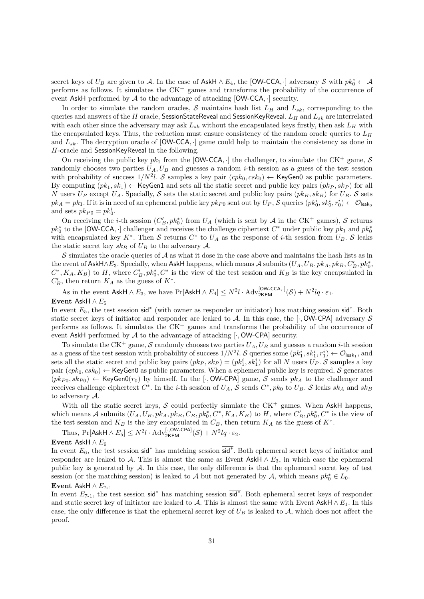secret keys of  $U_B$  are given to A. In the case of AskH  $\land$   $E_4$ , the [OW-CCA, ·] adversary S with  $pk_0^* \leftarrow \mathcal{A}$ performs as follows. It simulates the  $CK^+$  games and transforms the probability of the occurrence of event AskH performed by  $A$  to the advantage of attacking  $[OW-CCA, \cdot]$  security.

In order to simulate the random oracles, S maintains hash list  $L_H$  and  $L_{sk}$ , corresponding to the queries and answers of the H oracle, SessionStateReveal and SessionKeyReveal.  $L_H$  and  $L_{sk}$  are interrelated with each other since the adversary may ask  $L_{sk}$  without the encapsulated keys firstly, then ask  $L_H$  with the encapsulated keys. Thus, the reduction must ensure consistency of the random oracle queries to  $L_H$ and  $L_{sk}$ . The decryption oracle of  $[OW-CCA, \cdot]$  game could help to maintain the consistency as done in H-oracle and SessionKeyReveal in the following.

On receiving the public key  $pk_1$  from the [OW-CCA,  $\cdot$ ] the challenger, to simulate the CK<sup>+</sup> game, S randomly chooses two parties  $U_A$ ,  $U_B$  and guesses a random *i*-th session as a guess of the test session with probability of success  $1/N^2l$ . S samples a key pair  $(cpk_0, csk_0) \leftarrow$  KeyGen0 as public parameters. By computing  $(pk_1, sk_1) \leftarrow$  KeyGen1 and sets all the static secret and public key pairs  $(pk_P, sk_P)$  for all N users  $U_P$  except  $U_A$ . Specially, S sets the static secret and public key pairs  $(pk_B, sk_B)$  for  $U_B$ . S sets  $pk_A = pk_1$ . If it is in need of an ephemeral public key  $pk_{P0}$  sent out by  $U_P$ ,  $S$  queries  $(pk_0^i, sk_0^i, r_0^i) \leftarrow \mathcal{O}_{\mathsf{leak}_0}$ and sets  $pk_{P0} = pk_0^i$ .

On receiving the *i*-th session  $(C'_B, pk_0^*)$  from  $U_A$  (which is sent by  $\mathcal A$  in the CK<sup>+</sup> games),  $\mathcal S$  returns  $pk_0^*$  to the [OW-CCA, ·] challenger and receives the challenge ciphertext  $C^*$  under public key  $pk_1$  and  $pk_0^*$ with encapsulated key  $K^*$ . Then S returns  $C^*$  to  $U_A$  as the response of *i*-th session from  $U_B$ . S leaks the static secret key  $sk_B$  of  $U_B$  to the adversary  $A$ .

S simulates the oracle queries of  $\mathcal A$  as what it dose in the case above and maintains the hash lists as in the event of AskH∧E<sub>3</sub>. Specially, when AskH happens, which means A submits  $(U_A, U_B, pk_A, pk_B, C'_B, pk_0^*$  $C^*, K_A, K_B$ ) to H, where  $C'_B, pk_0^*, C^*$  is the view of the test session and  $K_B$  is the key encapsulated in  $C'_B$ , then return  $K_A$  as the guess of  $K^*$ .

As in the event AskH  $\land E_3$ , we have Pr[AskH  $\land E_4$ ]  $\leq N^2l \cdot \text{Adv}_{2\text{KEM}}^{\text{[OW-CCA},\cdot]}(\mathcal{S}) + N^2lq \cdot \varepsilon_1$ .

### Event AskH  $\wedge E_5$

In event  $E_5$ , the test session sid<sup>\*</sup> (with owner as responder or initiator) has matching session sid<sup>\*</sup>. Both static secret keys of initiator and responder are leaked to  $A$ . In this case, the [ $\cdot$ , OW-CPA] adversary  $S$ performs as follows. It simulates the  $CK^+$  games and transforms the probability of the occurrence of event AskH performed by  $A$  to the advantage of attacking  $[\cdot, \text{OW-CPA}]$  security.

To simulate the CK<sup>+</sup> game, S randomly chooses two parties  $U_A$ ,  $U_B$  and guesses a random *i*-th session as a guess of the test session with probability of success  $1/N^2l$ . S queries some  $(pk_1^i, sk_1^i, r_1^i) \leftarrow \mathcal{O}_{\mathsf{leak}_1}$ , and sets all the static secret and public key pairs  $(pk_P, sk_P) = (pk_1^i, sk_1^i)$  for all N users  $U_P$ . S samples a key pair  $(cpk_0, csk_0) \leftarrow$  KeyGen0 as public parameters. When a ephemeral public key is required, S generates  $(pk_{P0}, sk_{P0}) \leftarrow \text{KeyGenO}(r_0)$  by himself. In the [·, OW-CPA] game, S sends  $pk_A$  to the challenger and receives challenge ciphertext  $C^*$ . In the *i*-th session of  $U_A$ , S sends  $C^*$ ,  $pk_0$  to  $U_B$ . S leaks  $sk_A$  and  $sk_B$ to adversary A.

With all the static secret keys,  $S$  could perfectly simulate the  $CK^+$  games. When AskH happens, which means A submits  $(U_A, U_B, pk_A, pk_B, C_B, pk_0^*, C^*, K_A, K_B)$  to H, where  $C'_B, pk_0^*, C^*$  is the view of the test session and  $K_B$  is the key encapsulated in  $C_B$ , then return  $K_A$  as the guess of  $K^*$ .

Thus,  $Pr[\text{AskH} \wedge E_5] \leq N^2 l \cdot \text{Adv}_{2\text{KEM}}^{[\cdot, \text{OW-CPA}]}(\mathcal{S}) + N^2 l q \cdot \varepsilon_2$ . Event AskH  $\wedge E_6$ 

In event  $E_6$ , the test session sid<sup>\*</sup> has matching session  $\overline{\mathsf{sid}}^*$ . Both ephemeral secret keys of initiator and responder are leaked to A. This is almost the same as Event AskH  $\land$  E<sub>3</sub>, in which case the ephemeral public key is generated by A. In this case, the only difference is that the ephemeral secret key of test session (or the matching session) is leaked to A but not generated by A, which means  $pk_0^* \in L_0$ .

### Event AskH  $\land$   $E_{7-1}$

In event  $E_{7-1}$ , the test session sid<sup>\*</sup> has matching session  $\overline{sd}^*$ . Both ephemeral secret keys of responder and static secret key of initiator are leaked to A. This is almost the same with Event AskH  $\land E_1$ . In this case, the only difference is that the ephemeral secret key of  $U_B$  is leaked to A, which does not affect the proof.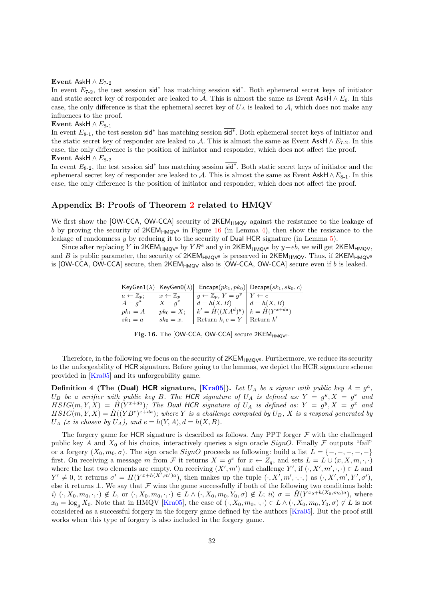#### Event AskH  $\land$   $E_{7-2}$

In event  $E_{7-2}$ , the test session sid<sup>\*</sup> has matching session  $\overline{sid}^*$ . Both ephemeral secret keys of initiator and static secret key of responder are leaked to A. This is almost the same as Event AskH  $\land E_6$ . In this case, the only difference is that the ephemeral secret key of  $U_A$  is leaked to  $A$ , which does not make any influences to the proof.

Event AskH  $\wedge E_{8-1}$ 

In event  $E_{8-1}$ , the test session sid<sup>\*</sup> has matching session sid<sup>\*</sup>. Both ephemeral secret keys of initiator and the static secret key of responder are leaked to A. This is almost the same as Event AskH  $\wedge E_{7-2}$ . In this case, the only difference is the position of initiator and responder, which does not affect the proof. Event AskH  $\wedge E_{8-2}$ 

In event  $E_{8-2}$ , the test session sid<sup>∗</sup> has matching session  $\overline{\text{sid}^*}$ . Both static secret keys of initiator and the ephemeral secret key of responder are leaked to A. This is almost the same as Event AskH  $\land$   $E_{8-1}$ . In this case, the only difference is the position of initiator and responder, which does not affect the proof.

# Appendix B: Proofs of Theorem [2](#page-15-2) related to HMQV

We first show the [OW-CCA, OW-CCA] security of 2KEM<sub>HMOV</sub> against the resistance to the leakage of b by proving the security of  $2KEM_{HMOV^0}$  in Figure [16](#page-31-0) (in Lemma [4\)](#page-32-0), then show the resistance to the leakage of randomness  $y$  by reducing it to the security of Dual HCR signature (in Lemma [5\)](#page-32-1).

Since after replacing Y in  $2KEM_{HMQV}$  by  $YB^e$  and y in  $2KEM_{HMQV}$  by  $y+eb$ , we will get  $2KEM_{HMQV}$ , and B is public parameter, the security of  $2KEM_{HMQV^0}$  is preserved in  $2KEM_{HMQV}$ . Thus, if  $2KEM_{HMQV^0}$ is  $[OW-CCA, OW-CCA]$  secure, then  $2KEM_{HMQV}$  also is  $[OW-CCA, OW-CCA]$  secure even if b is leaked.

> $\mathsf{KeyGen1}(\lambda) \vert\ \mathsf{KeyGen0}(\lambda) \vert\ \ \mathsf{Encaps}(pk_1, pk_0) \vert\ \mathsf{Decaps}(sk_1, sk_0, c)$  $a \leftarrow \mathbb{Z}_p; \quad x \leftarrow \mathbb{Z}_p \quad y \leftarrow \mathbb{Z}_p, Y = g^y \mid Y \leftarrow c$

| $u \leftarrow \omega_p,$ | $\mu \leftarrow \mu_p$ | $y \leftarrow \omega_p, \quad 1 - q$             | $\cdots$      |
|--------------------------|------------------------|--------------------------------------------------|---------------|
| $A = q^a$                | $X = a^x$              | $d = h(X, B)$                                    | $d = h(X, B)$ |
| $pk_1 = A$               | $ pk_0=X;$             | $ k' = \hat{H}((XA^d)^y)  k = \hat{H}(Y^{x+da})$ |               |
| $sk_1 = a$               | $\mid sk_0=x.$         | Return $k, c = Y$ Return $k'$                    |               |

<span id="page-31-0"></span>

|  |  | Fig. 16. The [OW-CCA, OW-CCA] secure $2KEM_{HMQV^0}$ . |  |  |
|--|--|--------------------------------------------------------|--|--|
|--|--|--------------------------------------------------------|--|--|

Therefore, in the following we focus on the security of  $2KEM_{HMOV^0}$ . Furthermore, we reduce its security to the unforgeability of HCR signature. Before going to the lemmas, we depict the HCR signature scheme provided in [\[Kra05\]](#page-24-10) and its unforgeability game.

**Definition 4 (The (Dual) HCR signature, [\[Kra05\]](#page-24-10)).** Let  $U_A$  be a signer with public key  $A = g^a$ , U<sub>B</sub> be a verifier with public key B. The HCR signature of  $U_A$  is defined as:  $Y = g^y, X = g^x$  and  $HSIG(m, Y, X) = \hat{H}(Y^{x+da})$ ; The Dual HCR signature of  $U_A$  is defined as:  $Y = g^y, X = g^x$  and  $HSIG(m, Y, X) = \hat{H}((YB^e)^{x+da})$ ; where Y is a challenge computed by  $U_B$ , X is a respond generated by  $U_A$  (x is chosen by  $U_A$ ), and  $e = h(Y, A), d = h(X, B)$ .

The forgery game for HCR signature is described as follows. Any PPT forger  $\mathcal F$  with the challenged public key A and  $X_0$  of his choice, interactively queries a sign oracle SignO. Finally F outputs "fail" or a forgery  $(X_0, m_0, \sigma)$ . The sign oracle  $SignO$  proceeds as following: build a list  $L = \{-, -, -, -, -\}$ first. On receiving a message m from F it returns  $X = g^x$  for  $x \leftarrow Z_q$ , and sets  $L = L \cup (x, X, m, \cdot, \cdot)$ where the last two elements are empty. On receiving  $(X', m')$  and challenge Y', if  $(\cdot, X', m', \cdot, \cdot) \in L$  and  $Y' \neq 0$ , it returns  $\sigma' = H(Y^{x+h(X',m')a})$ , then makes up the tuple  $(\cdot, X', m', \cdot, \cdot)$  as  $(\cdot, X', m', Y', \sigma')$ , else it returns  $\bot$ . We say that  $\mathcal F$  wins the game successfully if both of the following two conditions hold: i)  $(\cdot, X_0, m_0, \cdot, \cdot) \notin L$ , or  $(\cdot, X_0, m_0, \cdot, \cdot) \in L \wedge (\cdot, X_0, m_0, Y_0, \sigma) \notin L$ ; ii)  $\sigma = \hat{H}(Y^{x_0 + h(X_0, m_0)a})$ , where  $x_0 = \log_a X_0$ . Note that in HMQV [\[Kra05\]](#page-24-10), the case of  $(\cdot, X_0, m_0, \cdot, \cdot) \in L \wedge (\cdot, X_0, m_0, Y_0, \sigma) \notin L$  is not considered as a successful forgery in the forgery game defined by the authors [\[Kra05\]](#page-24-10). But the proof still works when this type of forgery is also included in the forgery game.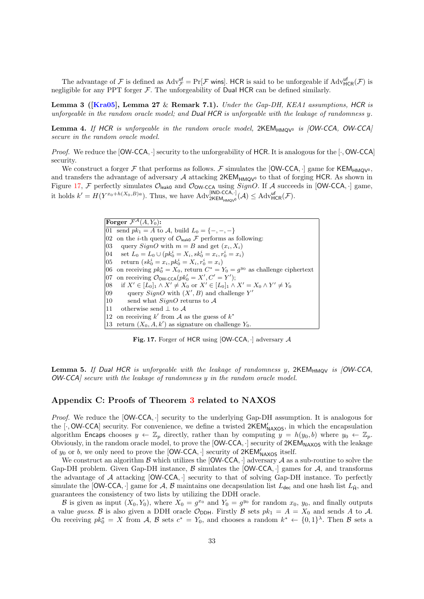The advantage of F is defined as  $Adv_{\mathcal{F}}^{\text{uf}} = Pr[\mathcal{F} \text{ wins}]$ . HCR is said to be unforgeable if  $Adv_{HCR}^{\text{uf}}(\mathcal{F})$  is negligible for any PPT forger  $\mathcal F$ . The unforgeability of Dual HCR can be defined similarly.

**Lemma 3 ([\[Kra05\]](#page-24-10), Lemma 27** & Remark 7.1). Under the Gap-DH, KEA1 assumptions, HCR is unforgeable in the random oracle model; and Dual HCR is unforgeable with the leakage of randomness  $y$ .

<span id="page-32-0"></span>**Lemma 4.** If HCR is unforgeable in the random oracle model,  $2KEM_{HMOV^0}$  is  $[OW-CCA, OW-CCA]$ secure in the random oracle model.

*Proof.* We reduce the  $[OW-CCA]$  security to the unforgeability of HCR. It is analogous for the  $[\cdot, OW-CCA]$ security.

We construct a forger F that performs as follows. F simulates the [OW-CCA,  $\cdot$ ] game for KEM<sub>HMOV<sup>0</sup>,</sub> and transfers the advantage of adversary A attacking  $2KEM_{HMOV}$  to that of forging HCR. As shown in Figure [17,](#page-32-2) F perfectly simulates  $\mathcal{O}_{\mathsf{leak0}}$  and  $\mathcal{O}_{\mathsf{OW}\text{-}\mathsf{CCA}}$  using  $SignO$ . If A succeeds in [OW-CCA, ·] game, it holds  $k' = H(Y^{x_0 + h(X_0, B)a})$ . Thus, we have  $\mathrm{Adv}_{2\mathsf{KEM}_{\mathsf{HMQV}^0}}^{[\mathsf{IND}\text{-}\mathsf{CCA},\cdot]}(\mathcal{A}) \leq \mathrm{Adv}_{\mathsf{HCR}}^{ \mathsf{uf}}(\mathcal{F}).$ 

> Forger  $\mathcal{F}^{\mathcal{A}}(A, Y_0)$ : 01 send  $pk_1 = A$  to  $A$ , build  $L_0 = \{-, -, -\}$ 02 on the *i*-th query of  $\mathcal{O}_{\text{leak0}}$  F performs as following: 03 query  $SignO$  with  $m = B$  and get  $(x_i, X_i)$ 04 set  $L_0 = L_0 \cup (pk_0^i = X_i, sk_0^i = x_i, r_0^i = x_i)$ 05 return  $(s k_0^i = x_i, p k_0^i = X_i, r_0^i = x_i)$ 06 on receiving  $pk_0^* = X_0$ , return  $C^* = Y_0 = g^{y_0}$  as challenge ciphertext 07 on receiving  $\mathcal{O}_{\mathsf{OW}\text{-}\mathsf{CCA}}(pk'_0 = X', C' = Y');$ 08 if  $X' \in [L_0]_1 \wedge X' \neq X_0$  or  $X' \in [L_0]_1 \wedge X' = X_0 \wedge Y' \neq Y_0$ 09 query  $SignO$  with  $(X', B)$  and challenge Y' 10 send what  $SignO$  returns to  $A$ 11 otherwise send  $\perp$  to  $\mathcal A$ 12 on receiving  $k'$  from A as the guess of  $k^*$ 13 return  $(X_0, A, k')$  as signature on challenge  $Y_0$ .

<span id="page-32-2"></span>Fig. 17. Forger of HCR using  $[OW-CCA, \cdot]$  adversary  $\mathcal A$ 

<span id="page-32-1"></span>**Lemma 5.** If Dual HCR is unforgeable with the leakage of randomness y,  $2KEM_{HMQV}$  is  $jOW-CCA$ , OW-CCA] secure with the leakage of randomness y in the random oracle model.

# Appendix C: Proofs of Theorem [3](#page-16-2) related to NAXOS

Proof. We reduce the  $[OW-CCA, \cdot]$  security to the underlying Gap-DH assumption. It is analogous for the  $[\cdot, \text{OW-CCA}]$  security. For convenience, we define a twisted  $2\text{KEM}_{\text{NAXOS}}'$ , in which the encapsulation algorithm Encaps chooses  $y \leftarrow \mathbb{Z}_p$  directly, rather than by computing  $y = h(y_0, b)$  where  $y_0 \leftarrow \mathbb{Z}_p$ . Obviously, in the random oracle model, to prove the  $[OW-CCA, \cdot]$  security of  $2KEM_{\text{MAXOS}}$  with the leakage of  $y_0$  or b, we only need to prove the [OW-CCA, $\cdot$ ] security of 2KEM'<sub>NAXOS</sub> itself.

We construct an algorithm B which utilizes the  $[OW-CCA, \cdot]$  adversary A as a sub-routine to solve the Gap-DH problem. Given Gap-DH instance,  $\beta$  simulates the [OW-CCA,  $\cdot$ ] games for  $\mathcal{A}$ , and transforms the advantage of  $A$  attacking  $[OW-CCA, \cdot]$  security to that of solving Gap-DH instance. To perfectly simulate the [OW-CCA, ·] game for A, B maintains one decapsulation list  $L_{\text{dec}}$  and one hash list  $L_{\hat{H}}$ , and guarantees the consistency of two lists by utilizing the DDH oracle.

B is given as input  $(X_0, Y_0)$ , where  $X_0 = g^{x_0}$  and  $Y_0 = g^{y_0}$  for random  $x_0, y_0$ , and finally outputs a value guess. B is also given a DDH oracle  $\mathcal{O}_{DDH}$ . Firstly B sets  $pk_1 = A = X_0$  and sends A to A. On receiving  $pk_0^* = X$  from A, B sets  $c^* = Y_0$ , and chooses a random  $k^* \leftarrow \{0,1\}^{\lambda}$ . Then B sets a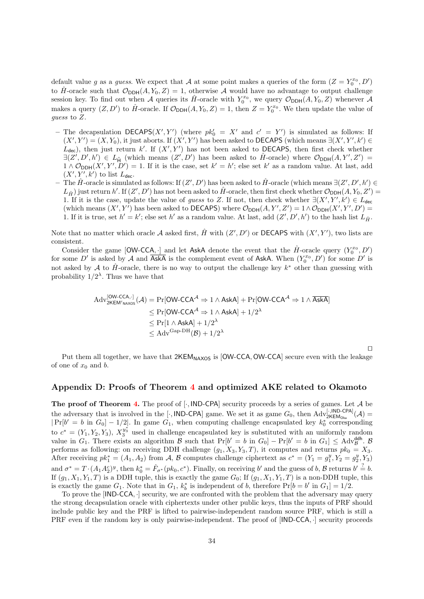default value g as a guess. We expect that A at some point makes a queries of the form  $(Z = Y_0^{x_0}, D')$ to  $\hat{H}$ -oracle such that  $\mathcal{O}_{DDH}(A, Y_0, Z) = 1$ , otherwise A would have no advantage to output challenge session key. To find out when A queries its  $\hat{H}$ -oracle with  $Y_0^{x_0}$ , we query  $\mathcal{O}_{DDH}(A, Y_0, Z)$  whenever A makes a query  $(Z, D')$  to  $\hat{H}$ -oracle. If  $\mathcal{O}_{DDH}(A, Y_0, Z) = 1$ , then  $Z = Y_0^{x_0}$ . We then update the value of guess to Z.

- The decapsulation DECAPS $(X', Y')$  (where  $pk'_0 = X'$  and  $c' = Y'$ ) is simulated as follows: If  $(X', Y') = (X, Y_0)$ , it just aborts. If  $(X', Y')$  has been asked to **DECAPS** (which means  $\exists (X', Y', k') \in$  $L_{\text{dec}}$ ), then just return k'. If  $(X', Y')$  has not been asked to DECAPS, then first check whether  $\exists (Z', D', h') \in L_{\hat{H}}$  (which means  $(Z', D')$  has been asked to  $\hat{H}$ -oracle) where  $\mathcal{O}_{DDH}(A, Y', Z') =$  $1 \wedge \mathcal{O}_{DDH}(X', Y', D') = 1$ . If it is the case, set  $k' = h'$ ; else set k' as a random value. At last, add  $(X', Y', k')$  to list  $L_{\text{dec}}$ .
- $\hat{H}$  -oracle is simulated as follows: If  $(Z', D')$  has been asked to  $\hat{H}$ -oracle (which means ∃ $(Z', D', h')$ )  $L_{\hat{H}}$ ) just return h'. If  $(Z', D')$  has not been asked to  $\hat{H}$ -oracle, then first check whether  $\mathcal{O}_{DDH}(A, Y_0, Z') =$ 1. If it is the case, update the value of guess to Z. If not, then check whether  $\exists (X', Y', k') \in L_{\text{dec}}$ (which means  $(X', Y')$  has been asked to DECAPS) where  $\mathcal{O}_{DDH}(A, Y', Z') = 1 \wedge \mathcal{O}_{DDH}(X', Y', D') =$ 1. If it is true, set  $h' = k'$ ; else set h' as a random value. At last, add  $(Z', D', h')$  to the hash list  $L_{\hat{H}}$ .

Note that no matter which oracle A asked first,  $\hat{H}$  with  $(Z', D')$  or DECAPS with  $(X', Y')$ , two lists are consistent.

Consider the game  $[OW-CCA, \cdot]$  and let AskA denote the event that the  $\hat{H}$ -oracle query  $(Y_0^{x_0}, D')$ for some D' is asked by A and  $\overline{\text{AskA}}$  is the complement event of AskA. When  $(Y_0^{x_0}, D')$  for some D' is not asked by A to  $\hat{H}$ -oracle, there is no way to output the challenge key  $k^*$  other than guessing with probability  $1/2^{\lambda}$ . Thus we have that

$$
\begin{aligned} \mathrm{Adv}_{2\mathsf{KEM}'_{\mathsf{NAXOS}}}^{\mathsf{[OW-CCA},\cdot]}(\mathcal{A})&=\mathrm{Pr}[\mathsf{OW-CCA}^{\mathcal{A}}\Rightarrow 1\wedge \mathsf{AskA}]+\mathrm{Pr}[\mathsf{OW-CCA}^{\mathcal{A}}\Rightarrow 1\wedge \overline{\mathsf{AskA}}] \\ &\leq \mathrm{Pr}[\mathsf{OW-CCA}^{\mathcal{A}}\Rightarrow 1\wedge \mathsf{AskA}]+1/2^{\lambda} \\ &\leq \mathrm{Pr}[1\wedge \mathsf{AskA}]+1/2^{\lambda} \\ &\leq \mathrm{Adv}^{\mathrm{Gap-DH}}(\mathcal{B})+1/2^{\lambda} \end{aligned}
$$

 $\Box$ 

Put them all together, we have that  $2KEM_{\text{NAXOS}}$  is [OW-CCA, OW-CCA] secure even with the leakage of one of  $x_0$  and b.

# Appendix D: Proofs of Theorem [4](#page-17-2) and optimized AKE related to Okamoto

The proof of Theorem [4.](#page-17-2) The proof of  $[\cdot, \text{IND-CPA}]$  security proceeds by a series of games. Let A be the adversary that is involved in the [ $\cdot$ , IND-CPA] game. We set it as game  $G_0$ , then  $Adv_{2KEM_{Oka}}^{[\cdot,IND-CPA]}(\mathcal{A})$  $|\Pr[b' = b \text{ in } G_0] - 1/2|$ . In game  $G_1$ , when computing challenge encapsulated key  $k_0^*$  corresponding to  $c^* = (Y_1, Y_2, Y_3), X_3^{y_3^*}$  used in challenge encapsulated key is substituted with an uniformly random value in  $G_1$ . There exists an algorithm  $\mathcal{B}$  such that  $Pr[b' = b \text{ in } G_0] - Pr[b' = b \text{ in } G_1] \leq Adv_{\mathcal{B}}^{\text{ddh}}$ .  $\mathcal{B}$ performs as following: on receiving DDH challenge  $(g_1, X_3, Y_3, T)$ , it computes and returns  $pk_0 = X_3$ . After receiving  $pk_1^* = (A_1, A_2)$  from A, B computes challenge ciphertext as  $c^* = (Y_1 = g_1^y, Y_2 = g_2^y, Y_3)$ and  $\sigma^* = T \cdot (A_1 A_2^c)^y$ , then  $k_0^* = \hat{F}_{\sigma^*}(pk_0, c^*)$ . Finally, on receiving b' and the guess of b,  $\mathcal{B}$  returns  $b' \stackrel{?}{=} b$ . If  $(g_1, X_1, Y_1, T)$  is a DDH tuple, this is exactly the game  $G_0$ ; If  $(g_1, X_1, Y_1, T)$  is a non-DDH tuple, this is exactly the game  $G_1$ . Note that in  $G_1$ ,  $k_b^*$  is independent of b, therefore  $Pr[b = b' \text{ in } G_1] = 1/2$ .

To prove the  $[IND-CCA, \cdot]$  security, we are confronted with the problem that the adversary may query the strong decapsulation oracle with ciphertexts under other public keys, thus the inputs of PRF should include public key and the PRF is lifted to pairwise-independent random source PRF, which is still a PRF even if the random key is only pairwise-independent. The proof of  $[IND-CCA, \cdot]$  security proceeds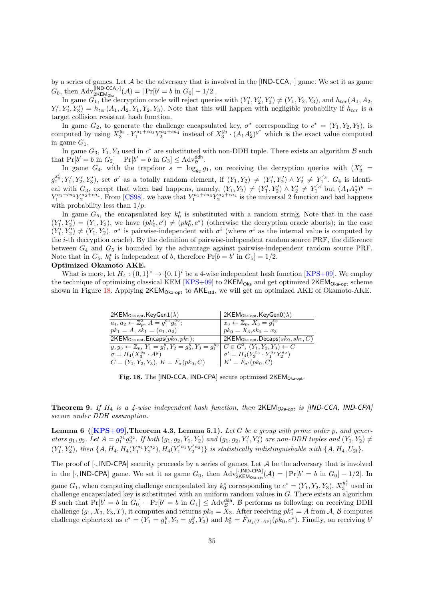by a series of games. Let  $A$  be the adversary that is involved in the [IND-CCA,  $\cdot$ ] game. We set it as game  $G_0$ , then  $\text{Adv}_{2\text{KEM}_{\text{Obs}}}^{[\text{IND-CCA},\cdot]}(\mathcal{A}) = |\Pr[b' = b \text{ in } G_0] - 1/2|.$ 

In game  $G_1$ , the decryption oracle will reject queries with  $(Y'_1, Y'_2, Y'_3) \neq (Y_1, Y_2, Y_3)$ , and  $h_{tor}(A_1, A_2, A_3)$  $Y_1', Y_2', Y_3' = h_{ter}(A_1, A_2, Y_1, Y_2, Y_3)$ . Note that this will happen with negligible probability if  $h_{ter}$  is a target collision resistant hash function.

In game  $G_2$ , to generate the challenge encapsulated key,  $\sigma^*$  corresponding to  $c^* = (Y_1, Y_2, Y_3)$ , is computed by using  $X_3^{y_3} \cdot Y_1^{a_1+c a_3} Y_2^{a_2+c a_4}$  instead of  $X_3^{y_3} \cdot (A_1 A_2^c)^{y^*}$  which is the exact value computed in game  $G_1$ .

In game  $G_3$ ,  $Y_1$ ,  $Y_2$  used in  $c^*$  are substituted with non-DDH tuple. There exists an algorithm  $\beta$  such that  $Pr[b' = b \text{ in } G_2] - Pr[b' = b \text{ in } G_3] \leq Adv_{\mathcal{B}}^{\mathsf{ddh}}.$ 

In game  $G_4$ , with the trapdoor  $s = \log_{g_2} g_1$ , on receiving the decryption queries with  $(X_3' =$  $g_1^{x_3'}$ ;  $Y_1', Y_2', Y_3'$ ), set  $\sigma'$  as a totally random element, if  $(Y_1, Y_2) \neq (Y_1', Y_2') \wedge Y_2' \neq Y_1^{s}$ .  $G_4$  is identical with  $G_3$ , except that when bad happens, namely,  $(Y_1, Y_2) \neq (Y'_1, Y'_2) \wedge Y'_2 \neq Y'_1$ <sup>s</sup> but  $(A_1 A_2^c)^y$  $Y_1^{a_1+c a_3} Y_2^{a_2+c a_4}$ . From [\[CS98\]](#page-24-18), we have that  $Y_1^{a_1+c a_3} Y_2^{a_2+c a_4}$  is the universal 2 function and bad happens with probability less than  $1/p$ .

In game  $G_5$ , the encapsulated key  $k_0^*$  is substituted with a random string. Note that in the case  $(Y'_1, Y'_2) = (Y_1, Y_2)$ , we have  $(pk'_0, c') \neq (pk_0^*, c^*)$  (otherwise the decryption oracle aborts); in the case  $(Y'_1, Y'_2) \neq (Y_1, Y_2), \sigma^*$  is pairwise-independent with  $\sigma^i$  (where  $\sigma^i$  as the internal value is computed by the i-th decryption oracle). By the definition of pairwise-independent random source PRF, the difference between  $G_4$  and  $G_5$  is bounded by the advantage against pairwise-independent random source PRF. Note that in  $G_5$ ,  $k_b^*$  is independent of b, therefore  $Pr[b = b' \text{ in } G_5] = 1/2$ . Optimized Okamoto AKE.

What is more, let  $H_4: \{0,1\}^* \to \{0,1\}^l$  be a 4-wise independent hash function [\[KPS+09\]](#page-24-26). We employ the technique of optimizing classical KEM  $[KPS+09]$  to  $2KEM<sub>Oka</sub>$  and get optimized  $2KEM<sub>Oka-opt</sub>$  scheme shown in Figure [18.](#page-34-0) Applying  $2KEM_{OKa-out}$  to  $AKE_{std}$ , we will get an optimized AKE of Okamoto-AKE.

| $2$ KEM <sub>Oka-opt</sub> .KeyGen $1(\lambda)$                                                                          | 2KEM <sub>Oka-opt</sub> .KeyGen0( $\lambda$ )        |
|--------------------------------------------------------------------------------------------------------------------------|------------------------------------------------------|
| $a_1, a_2 \leftarrow \mathbb{Z}_p^3, A = g_1^{a_1} g_2^{a_2};$                                                           | $x_3 \leftarrow \mathbb{Z}_p, X_3 = g_1^{x_3}$       |
| $pk_1 = A, sk_1 = (a_1, a_2)$                                                                                            | $pk_0 = X_3, sk_0 = x_3$                             |
| $2$ KEM <sub>Oka-opt</sub> .Encaps $(pk_0, pk_1);$                                                                       | 2KEM <sub>Oka-opt</sub> .Decaps( $sk_0, sk_1, C$ )   |
| $y, y_3 \leftarrow \mathbb{Z}_p, Y_1 = g_1^y, Y_2 = g_2^y, Y_3 = g_1^{y_3} \mid C \in G^3, (Y_1, Y_2, Y_3) \leftarrow C$ |                                                      |
| $\sigma = H_4(X_3^{y_3} \cdot A^y)$                                                                                      | $\sigma' = H_4(Y_3^{x_3} \cdot Y_1^{a_1} Y_2^{a_2})$ |
| $C = (Y_1, Y_2, Y_3), K = F_{\sigma}(pk_0, C)$                                                                           | $K' = \bar{F}_{\sigma'}(pk_0, C)$                    |

<span id="page-34-0"></span>Fig. 18. The [IND-CCA, IND-CPA] secure optimized 2KEM<sub>Oka-opt</sub>.

**Theorem 9.** If  $H_4$  is a 4-wise independent hash function, then  $2KEM_{Ok-opt}$  is  $|IND-CCA|$ ,  $IND-CPA$ secure under DDH assumption.

<span id="page-34-1"></span>**Lemma 6 ([\[KPS+09\]](#page-24-26),Theorem 4.3, Lemma 5.1).** Let G be a group with prime order p, and generators  $g_1, g_2$ . Let  $A = g_1^{a_1} g_2^{a_2}$ . If both  $(g_1, g_2, Y_1, Y_2)$  and  $(g_1, g_2, Y_1', Y_2')$  are non-DDH tuples and  $(Y_1, Y_2) \neq$  $(Y'_1, Y'_2)$ , then  $\{A, H_4, H_4(Y_1^{a_1}Y_2^{a_2}), H_4(Y_1^{'a_1}Y_2^{'a_2})\}$  is statistically indistinguishable with  $\{A, H_4, U_{2l}\}$ .

The proof of  $[\cdot, \mathsf{IND}\text{-}\mathsf{CPA}]$  security proceeds by a series of games. Let  $\mathcal A$  be the adversary that is involved in the [ $\cdot$ , IND-CPA] game. We set it as game  $G_0$ , then  $\text{Adv}_{2\text{KEM}_{\text{Obs-opt}}}(A) = |\Pr[b' = b \text{ in } G_0] - 1/2|$ . In

game  $G_1$ , when computing challenge encapsulated key  $k_0^*$  corresponding to  $c^* = (Y_1, Y_2, Y_3), X_3^{y_3^*}$  used in challenge encapsulated key is substituted with an uniform random values in  $G$ . There exists an algorithm B such that  $Pr[b' = b \text{ in } G_0] - Pr[b' = b \text{ in } G_1] \leq Adv_{\mathcal{B}}^{\text{ddh}}$ . B performs as following: on receiving DDH challenge  $(g_1, X_3, Y_3, T)$ , it computes and returns  $pk_0 = X_3$ . After receiving  $pk_1^* = A$  from A, B computes challenge ciphertext as  $c^* = (Y_1 = g_1^y, Y_2 = g_2^y, Y_3)$  and  $k_0^* = \hat{F}_{H_4(T \cdot A^y)}(pk_0, c^*)$ . Finally, on receiving b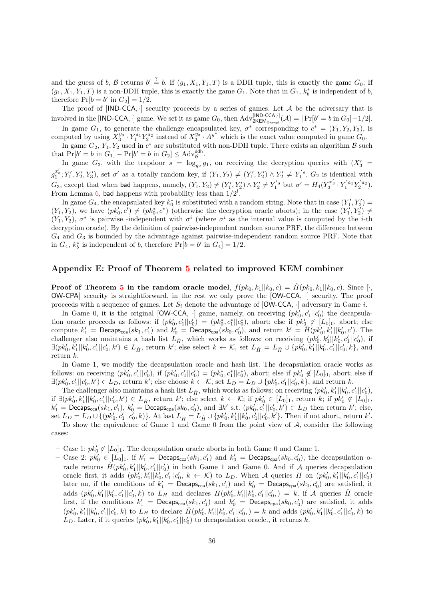and the guess of b, B returns  $b' \stackrel{?}{=} b$ . If  $(g_1, X_1, Y_1, T)$  is a DDH tuple, this is exactly the game  $G_0$ ; If  $(g_1, X_1, Y_1, T)$  is a non-DDH tuple, this is exactly the game  $G_1$ . Note that in  $G_1$ ,  $k_b^*$  is independent of b, therefore  $Pr[b = b' \text{ in } G_2] = 1/2.$ 

The proof of  $[IND-CCA,\cdot]$  security proceeds by a series of games. Let A be the adversary that is involved in the [IND-CCA, ·] game. We set it as game  $G_0$ , then  $Adv_{2KEM_{Oka-opt}}^{[IND-CCA,\cdot]}(\mathcal{A}) = |Pr[b' = b \text{ in } G_0] - 1/2|$ .

In game  $G_1$ , to generate the challenge encapsulated key,  $\sigma^*$  corresponding to  $c^* = (Y_1, Y_2, Y_3)$ , is computed by using  $X_3^{y_3} \cdot Y_1^{a_1} Y_2^{a_2}$  instead of  $X_3^{y_3} \cdot A^{y^*}$  which is the exact value computed in game  $G_0$ .

In game  $G_2$ ,  $Y_1, Y_2$  used in  $c^*$  are substituted with non-DDH tuple. There exists an algorithm  $\beta$  such that  $Pr[b' = b \text{ in } G_1] - Pr[b' = b \text{ in } G_2] \leq \text{Adv}_{\mathcal{B}}^{\text{ddh}}.$ 

In game  $G_3$ , with the trapdoor  $s = \log_{g_2} g_1$ , on receiving the decryption queries with  $(X_3' =$  $g_1^{x_3'}$ ;  $Y_1', Y_2', Y_3'$ ), set  $\sigma'$  as a totally random key, if  $(Y_1, Y_2) \neq (Y_1', Y_2') \wedge Y_2' \neq Y_1'$ <sup>s</sup>.  $G_2$  is identical with  $G_3$ , except that when bad happens, namely,  $(Y_1, Y_2) \neq (Y'_1, Y'_2) \wedge Y'_2 \neq Y_1^{'s}$  but  $\sigma' = H_4(Y_3^{x'_3} \cdot Y_1^{'a_1} Y_2^{'a_2})$ . From Lemma [6,](#page-34-1) bad happens with probability less than  $1/2^l$ .

In game  $G_4$ , the encapsulated key  $k_0^*$  is substituted with a random string. Note that in case  $(Y'_1, Y'_2)$  $(Y_1, Y_2)$ , we have  $(pk'_0, c') \neq (pk_0^*, c^*)$  (otherwise the decryption oracle aborts); in the case  $(Y'_1, Y'_2) \neq (p_0^*, c')$  $(Y_1, Y_2)$ ,  $\sigma^*$  is pairwise -independent with  $\sigma^i$  (where  $\sigma^i$  as the internal value is computed by the *i*-th decryption oracle). By the definition of pairwise-independent random source PRF, the difference between  $G_4$  and  $G_3$  is bounded by the advantage against pairwise-independent random source PRF. Note that in  $G_4$ ,  $k_b^*$  is independent of b, therefore  $Pr[b = b' \text{ in } G_4] = 1/2$ .

### Appendix E: Proof of Theorem [5](#page-19-3) related to improved KEM combiner

**Proof of Theorem [5](#page-19-3) in the random oracle model,**  $f(pk_0, k_1||k_0, c) = \hat{H}(pk_0, k_1||k_0, c)$ . Since [·, OW-CPA] security is straightforward, in the rest we only prove the [OW-CCA, ·] security. The proof proceeds with a sequence of games. Let  $S_i$  denote the advantage of  $\lceil \text{OW-CCA}, \cdot \rceil$  adversary in Game i.

In Game 0, it is the original [OW-CCA,  $\cdot$ ] game, namely, on receiving  $(pk'_0, c'_1 || c'_0)$  the decapsulation oracle proceeds as follows: if  $(pk'_0, c'_1 || c'_0) = (pk_0^*, c_1^* || c_0^*),$  abort; else if  $pk'_0 \notin [L_0]_0$ , abort; else compute  $k'_1$  = Decaps<sub>cca</sub> $(sk_1, c'_1)$  and  $k'_0$  = Decaps<sub>cpa</sub> $(sk_0, c'_0)$ , and return  $k' = \hat{H}(pk'_0, k'_1||k'_0, c')$ . The challenger also maintains a hash list  $L_{\hat{H}}$ , which works as follows: on receiving  $(pk'_0, k'_1 || k'_0, c'_1 || c'_0)$ , if  $\exists (pk'_0, k'_1 || k'_0, c'_1 || c'_0, k') \in L_{\hat{H}}$ , return k'; else select  $k \leftarrow \mathcal{K}$ , set  $L_{\hat{H}} = L_{\hat{H}} \cup \{pk'_0, k'_1 || k'_0, c'_1 || c'_0, k\}$ , and return k.

In Game 1, we modify the decapsulation oracle and hash list. The decapsulation oracle works as follows: on receiving  $(pk'_0, c'_1 || c'_0)$ , if  $(pk'_0, c'_1 || c'_0) = (pk_0^*, c_1^* || c_0^*)$ , abort; else if  $pk'_0 \notin [L_0]_0$ , abort; else if  $\exists (pk'_0, c'_1 || c'_0, k') \in L_D$ , return k'; else choose  $k \leftarrow \mathcal{K}$ , set  $L_D = L_D \cup \{pk'_0, c'_1 || c'_0, k\}$ , and return k.

The challenger also maintains a hash list  $L_{\hat{H}}$ , which works as follows: on receiving  $(pk'_0, k'_1 || k'_0, c'_1 || c'_0)$ , if  $\exists (pk'_0, k'_1||k'_0, c'_1||c'_0, k') \in L_{\hat{H}}$ , return k'; else select  $k \leftarrow \mathcal{K}$ ; if  $pk'_0 \in [L_0]_1$ , return k; if  $pk'_0 \notin [L_0]_1$ ,  $k'_1 = \textsf{Decaps}_{\textsf{cca}}(sk_1, c'_1), k'_0 = \textsf{Decaps}_{\textsf{cpa}}(sk_0, c'_0), \text{ and } \exists k' \text{ s.t. } (pk'_0, c'_1 || c'_0, k') \in L_D \text{ then return } k'; \text{ else, }$ set  $L_D = L_D \cup \{(pk'_0, c'_1 || c'_0, k)\}$ . At last  $L_{\hat{H}} = L_{\hat{H}} \cup \{pk'_0, k'_1 || k'_0, c'_1 || c'_0, k'\}$ . Then if not abort, return k'. To show the equivalence of Game 1 and Game 0 from the point view of  $A$ , consider the following

cases:

- − Case 1:  $pk'_0$  ∉ [L<sub>0</sub>]<sub>1</sub>. The decapsulation oracle aborts in both Game 0 and Game 1.
- Case 2:  $pk'_0 \in [L_0]_1$ . if  $k'_1 = \text{Decaps}_{cca}(sk_1, c'_1)$  and  $k'_0 = \text{Decaps}_{cpa}(sk_0, c'_0)$ , the decapsulation oracle returns  $\hat{H}(pk'_0, k'_1||k'_0, c'_1||c'_0)$  in both Game 1 and Game 0. And if A queries decapsulation oracle first, it adds  $(pk'_0, k'_1 || k'_0, c'_1 || c'_0, k \leftarrow \mathcal{K})$  to  $L_D$ . When A queries H on  $(pk'_0, k'_1 || k'_0, c'_1 || c'_0)$ later on, if the conditions of  $k'_1$  = Decaps<sub>cca</sub> $(sk_1, c'_1)$  and  $k'_0$  = Decaps<sub>cpa</sub> $(sk_0, c'_0)$  are satisfied, it adds  $(pk'_0, k'_1 || k'_0, c'_1 || c'_0, k)$  to  $L_H$  and declares  $H(pk'_0, k'_1 || k'_0, c'_1 || c'_0, ) = k$ . if A queries  $\hat{H}$  oracle first, if the conditions  $k'_1$  = Decaps<sub>cca</sub> $(sk_1, c'_1)$  and  $k'_0$  = Decaps<sub>cpa</sub> $(sk_0, c'_0)$  are satisfied, it adds  $(pk'_0, k'_1||k'_0, c'_1||c'_0, k)$  to  $L_H$  to declare  $\hat{H}(pk'_0, k'_1||k'_0, c'_1||c'_0) = k$  and adds  $(pk'_0, k'_1||k'_0, c'_1||c'_0, k)$  to  $L_D$ . Later, if it queries  $(pk'_0, k'_1 || k'_0, c'_1 || c'_0)$  to decapsulation oracle., it returns k.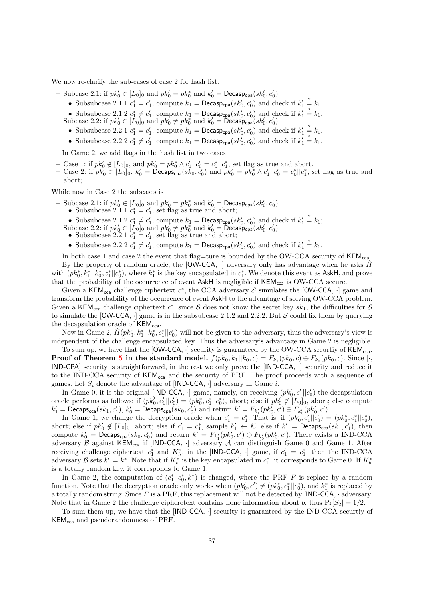We now re-clarify the sub-cases of case 2 for hash list.

- Subcase 2.1: if  $pk'_0 \in [L_0]_0$  and  $pk'_0 = pk_0^*$  and  $k'_0 = \text{Decasp}_{cpa}(sk'_0, c'_0)$ 
	- Subsubcase 2.1.1  $c_1^* = c_1'$ , compute  $k_1 = \text{Decasp}_{cpa}(sk'_0, c'_0)$  and check if  $k'_1 \stackrel{?}{=} k_1$ .
	- Subsubcase 2.1.2  $c_1^* \neq c_1'$ , compute  $k_1 = \text{Decasp}_{cpa}(sk'_0, c'_0)$  and check if  $k'_1 \stackrel{?}{=} k_1$ .
- Subcase 2.2: if  $pk'_0 \in [\dot{L}_0]_0$  and  $pk'_0 \neq pk_0^*$  and  $k'_0 = \widetilde{Decasp}_{cpa}(sk'_0, c'_0)$ 
	- Subsubcase 2.2.1  $c_1^* = c_1'$ , compute  $k_1 = \text{Decasp}_{cpa}(sk'_0, c'_0)$  and check if  $k'_1 \stackrel{?}{=} k_1$ .
	- Subsubcase 2.2.2  $c_1^* \neq c_1'$ , compute  $k_1 = \text{Decasp}_{cpa}(sk_0', c_0')$  and check if  $k_1' \stackrel{?}{=} k_1$ .

In Game 2, we add flags in the hash list in two cases

- − Case 1: if  $pk'_0 \notin [L_0]_0$ , and  $pk'_0 = pk_0^* \wedge c'_1 || c'_0 = c_0^* || c_1^*$ , set flag as true and abort.
- − Case 2: if  $pk_0' \in [L_0]_0$ ,  $k_0' = \text{Decaps}_{\text{cpa}}(sk_0, c_0')$  and  $pk_0' = pk_0^* \wedge c_1'||c_0' = c_0^*||c_1^*$ , set flag as true and abort;

While now in Case 2 the subcases is

- Subcase 2.1: if  $pk'_0 \in [L_0]_0$  and  $pk'_0 = pk_0^*$  and  $k'_0 = \text{Decasp}_{cpa}(sk'_0, c'_0)$ 
	- Subsubcase 2.1.1  $c_1^* = c_1$ , set flag as true and abort;
	- Subsubcase 2.1.2  $c_1^* \neq c_1'$ , compute  $k_1 = \text{Decasp}_{cpa}(sk'_0, c'_0)$  and check if  $k'_1 = k_1$ ;
- Subcase 2.2: if  $pk'_0 \in [\dot{L}_0]_0$  and  $pk'_0 \neq pk_0^*$  and  $k'_0 = \text{Decasp}_{cpa}(sk'_0, c'_0)$ 
	- Subsubcase 2.2.1  $c_1^* = c_1$ , set flag as true and abort;
	- Subsubcase 2.2.2  $c_1^* \neq c_1'$ , compute  $k_1 = \text{Decasp}_{cpa}(sk'_0, c'_0)$  and check if  $k'_1 \stackrel{?}{=} k_1$ .

In both case 1 and case 2 the event that flag=ture is bounded by the OW-CCA security of  $KEM_{cca}$ . By the property of random oracle, the  $[OW-CCA, \cdot]$  adversary only has advantage when he asks  $H^{\bullet}$ with  $(pk_0^*, k_1^* || k_0^*, c_1^* || c_0^*),$  where  $k_1^*$  is the key encapsulated in  $c_1^*$ . We denote this event as AskH, and prove that the probability of the occurrence of event  $\mathsf{AskH}$  is negligible if  $\mathsf{KEM}_{\text{cca}}$  is OW-CCA secure.

Given a KEM<sub>cca</sub> challenge ciphertext  $c^*$ , the CCA adversary S simulates the [OW-CCA,  $\cdot$ ] game and transform the probability of the occurrence of event AskH to the advantage of solving OW-CCA problem. Given a KEM<sub>cca</sub> challenge ciphertext  $c^*$ , since S does not know the secret key  $sk_1$ , the difficulties for S to simulate the  $[OW-CCA, \cdot]$  game is in the subsubcase 2.1.2 and 2.2.2. But S could fix them by querying the decapsulation oracle of  $KEM_{cca}$ .

Now in Game 2,  $\hat{H}(pk_0^*, k_1^*||k_0^*, c_1^*||c_0^*)$  will not be given to the adversary, thus the adversary's view is independent of the challenge encapsulated key. Thus the adversary's advantage in Game 2 is negligible.

To sum up, we have that the  $[OW-CCA, \cdot]$  security is guaranteed by the OW-CCA securtiy of  $KEM_{cca}$ . **Proof of Theorem [5](#page-19-3) in the standard model.**  $f(pk_0, k_1||k_0, c) = F_{k_1}(pk_0, c) \oplus F_{k_0}(pk_0, c)$ . Since [·, IND-CPA] security is straightforward, in the rest we only prove the [IND-CCA, ·] security and reduce it to the IND-CCA security of  $KEM_{cca}$  and the security of PRF. The proof proceeds with a sequence of games. Let  $S_i$  denote the advantage of [IND-CCA,  $\cdot$ ] adversary in Game *i*.

In Game 0, it is the original [IND-CCA,  $\cdot$ ] game, namely, on receiving  $(pk'_0, c'_1 || c'_0)$  the decapsulation oracle performs as follows: if  $(pk'_0, c'_1 || c'_0) = (pk_0^*, c_1^* || c_0^*)$ , abort; else if  $pk'_0 \notin [L_0]_0$ , abort; else compute  $k'_1 = \mathsf{Decaps_{cca}}(sk_1, c'_1), k'_0 = \mathsf{Decaps_{cpa}}(sk_0, c'_0)$  and return  $k' = F_{k'_1}(pk'_0, c') \oplus F_{k'_0}(pk'_0, c').$ 

In Game 1, we change the decryption oracle when  $c'_1 = c_1^*$ . That is: if  $(pk'_0, c'_1 || c'_0) = (pk_0^*, c_1^* || c_0^*),$ abort; else if  $pk'_0 \notin [L_0]_0$ , abort; else if  $c'_1 = c_1^*$ , sample  $k'_1 \leftarrow \mathcal{K}$ ; else if  $k'_1 = \text{Decaps}_{\text{cca}}(sk_1, c'_1)$ , then compute  $k'_0 = \text{Decaps}_{\text{cpa}}(sk_0, c'_0)$  and return  $k' = F_{k'_1}(pk'_0, c') \oplus F_{k'_0}(pk'_0, c')$ . There exists a IND-CCA adversary  $\beta$  against KEM<sub>cca</sub> if [IND-CCA, ·] adversary  $\mathcal A$  can distinguish Game 0 and Game 1. After receiving challenge ciphertext  $c_1^*$  and  $K_b^*$ , in the [IND-CCA, ·] game, if  $c_1' = c_1^*$ , then the IND-CCA adversary  $\mathcal B$  sets  $k_1' = k^*$ . Note that if  $K_b^*$  is the key encapsulated in  $c_1^*$ , it corresponds to Game 0. If  $K_b^*$ is a totally random key, it corresponds to Game 1.

In Game 2, the computation of  $(c_1^*||c_0^*, k^*)$  is changed, where the PRF F is replace by a random function. Note that the decryption oracle only works when  $(pk'_0, c') \neq (pk_0^*, c_1^* || c_0^*)$ , and  $k_1^*$  is replaced by a totally random string. Since  $F$  is a PRF, this replacement will not be detected by [IND-CCA,  $\cdot$  adversary. Note that in Game 2 the challenge cipheretext contains none information about b, thus  $Pr[S_2] = 1/2$ .

To sum them up, we have that the [IND-CCA, ·] security is guaranteed by the IND-CCA securtiy of KEMcca and pseudorandomness of PRF.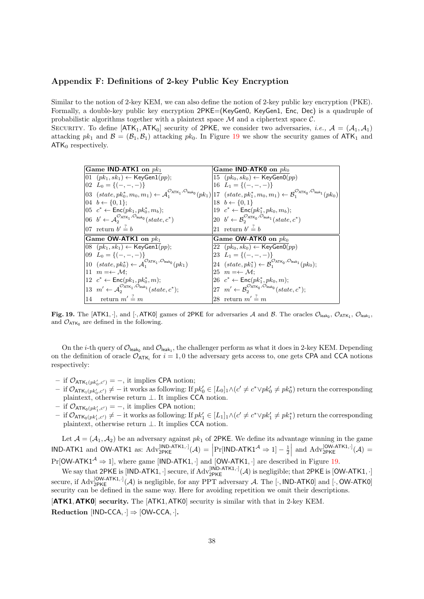# Appendix F: Definitions of 2-key Public Key Encryption

Similar to the notion of 2-key KEM, we can also define the notion of 2-key public key encryption (PKE). Formally, a double-key public key encryption 2PKE=(KeyGen0, KeyGen1, Enc, Dec) is a quadruple of probabilistic algorithms together with a plaintext space  $\mathcal M$  and a ciphertext space  $\mathcal C$ .

SECURITY. To define  $[ATK_1, ATK_0]$  security of 2PKE, we consider two adversaries, *i.e.*,  $\mathcal{A} = (\mathcal{A}_1, \mathcal{A}_1)$ attacking  $pk_1$  and  $\mathcal{B} = (\mathcal{B}_1, \mathcal{B}_1)$  attacking  $pk_0$ . In Figure [19](#page-37-0) we show the security games of  $ATK_1$  and  $ATK<sub>0</sub>$  respectively.

| Game IND-ATK1 on $pk1$ |                                                                                                                                                                                                                                                                                                              | Game IND-ATK0 on $pk_0$ |                                                                                                                |  |
|------------------------|--------------------------------------------------------------------------------------------------------------------------------------------------------------------------------------------------------------------------------------------------------------------------------------------------------------|-------------------------|----------------------------------------------------------------------------------------------------------------|--|
|                        | 01 $(pk_1, sk_1)$ ← KeyGen1(pp);                                                                                                                                                                                                                                                                             |                         | 15 $(pk_0, sk_0) \leftarrow \text{KeyGenO}(pp)$                                                                |  |
|                        | $[02 \ L_0 = \{(-,-,-)\}\]$                                                                                                                                                                                                                                                                                  |                         | 16 $L_1 = \{(-,-,-)\}\$                                                                                        |  |
|                        | $\begin{aligned} \left 03~~(state, pk_0^*, m_0, m_1) \leftarrow \mathcal{A}_1^{\mathcal{O}_{\text{ATK}_1}, \mathcal{O}_{\text{leak}_0}}(pk_1) \right \n\left 17~~(state, pk_1^*, m_0, m_1) \leftarrow \mathcal{B}_1^{\mathcal{O}_{\text{ATK}_0}, \mathcal{O}_{\text{leak}_1}}(pk_0)\n\right \n\end{aligned}$ |                         |                                                                                                                |  |
|                        | $[04 \, b \leftarrow \{0, 1\};$                                                                                                                                                                                                                                                                              |                         | $18 \t b \leftarrow \{0,1\}$                                                                                   |  |
|                        | $[05 \ c^*$ ← Enc $(pk_1, pk_0^*, m_b);$                                                                                                                                                                                                                                                                     |                         | 19 $c^* \leftarrow \textsf{Enc}(pk_1^*, pk_0, m_b);$                                                           |  |
|                        | 06 $b' \leftarrow A_2^{\mathcal{O}_{\text{ATK}_1}, \mathcal{O}_{\text{leak}_0}}(state, c^*)$                                                                                                                                                                                                                 |                         | 20 $b' \leftarrow \mathcal{B}_2^{\mathcal{O}_{\text{ATK}_0}, \mathcal{O}_{\text{leak}_1}}(state, c^*)$         |  |
|                        | 07 return $b' \stackrel{?}{=} b$                                                                                                                                                                                                                                                                             |                         | 21 return $b' \stackrel{?}{=} b$                                                                               |  |
|                        |                                                                                                                                                                                                                                                                                                              |                         |                                                                                                                |  |
|                        | Game OW-ATK1 on $pk_1$                                                                                                                                                                                                                                                                                       |                         | Game OW-ATK0 on $pk_0$                                                                                         |  |
|                        | $ 08 \text{ }(pk_1, sk_1) \leftarrow \textsf{KeyGen1}(pp);$                                                                                                                                                                                                                                                  |                         | 22 $(pk_0, sk_0) \leftarrow \text{KeyGenO}(pp)$                                                                |  |
|                        | $[09 \ L_0 = \{(-,-,-)\}\]$                                                                                                                                                                                                                                                                                  |                         | 23 $L_1 = \{(-,-,-)\}\$                                                                                        |  |
|                        | 10 $(state, pk_0^*) \leftarrow A_1^{\mathcal{O}_{\text{ATK}_1}, \mathcal{O}_{\text{leak}_0}}(pk_1)$                                                                                                                                                                                                          |                         | 24 $(state, pk_1^*) \leftarrow \mathcal{B}_1^{\mathcal{O}_{\text{ATK}_0}, \mathcal{O}_{\text{leak}_1}}(pk_0);$ |  |
|                        | 11 $m = \leftarrow \mathcal{M}$ :                                                                                                                                                                                                                                                                            |                         | 25 $m = \leftarrow \mathcal{M}$ :                                                                              |  |
|                        | 12 $c^*$ ← Enc(pk <sub>1</sub> , pk <sub>0</sub> <sup>*</sup> , m);                                                                                                                                                                                                                                          |                         | 26 $c^* \leftarrow \textsf{Enc}(pk_1^*, pk_0, m);$                                                             |  |
|                        | 13 $m' \leftarrow \mathcal{A}_2^{\mathcal{O}_{\text{ATK}_1}, \mathcal{O}_{\text{leak}_1}}(state, c^*)$ ;                                                                                                                                                                                                     |                         | 27 $m' \leftarrow \mathcal{B}_2^{\mathcal{O}_{\text{ATK}_0}, \mathcal{O}_{\text{leak}_0}}(state, c^*)$ ;       |  |

<span id="page-37-0"></span>**Fig. 19.** The [ATK1,  $\cdot$ ], and [ $\cdot$ , ATK0] games of 2PKE for adversaries A and B. The oracles  $\mathcal{O}_{\mathsf{leak}_0}$ ,  $\mathcal{O}_{\mathsf{ATK}_1}$ ,  $\mathcal{O}_{\mathsf{leak}_1}$ , and  $\mathcal{O}_{\text{ATK}_0}$  are defined in the following.

On the *i*-th query of  $\mathcal{O}_{\mathsf{leak}_0}$  and  $\mathcal{O}_{\mathsf{leak}_1}$ , the challenger perform as what it does in 2-key KEM. Depending on the definition of oracle  $\mathcal{O}_{ATK_i}$  for  $i = 1, 0$  the adversary gets access to, one gets CPA and CCA notions respectively:

- $-$  if  $\mathcal{O}_{\text{ATK}_1(pk'_0,c')} = -$ , it implies CPA notion;
- $-$  if  $\mathcal{O}_{\mathsf{ATK}_1(pk'_0,c')} \neq -$  it works as following: If  $pk'_0 \in [L_0]_1 \wedge (c' \neq c^* \vee pk'_0 \neq pk_0^*)$  return the corresponding plaintext, otherwise return ⊥. It implies CCA notion.
- $-$  if  $\mathcal{O}_{\text{ATK}_0(pk'_1, c')} = -$ , it implies CPA notion;
- $-$  if  $\mathcal{O}_{\mathsf{ATK}_0(pk'_1,c')} \neq -$  it works as following: If  $pk'_1 \in [L_1]_1 \wedge (c' \neq c^* \vee pk'_1 \neq pk'_1)$  return the corresponding plaintext, otherwise return ⊥. It implies CCA notion.

Let  $A = (A_1, A_2)$  be an adversary against  $pk_1$  of 2PKE. We define its advantage winning in the game  $\text{IND-ATK1}$  and OW-ATK1 as:  $\text{Adv}_{2\text{PKE}}^{[\text{IND-ATK1},\cdot]}(\mathcal{A}) = \left| \Pr[\text{IND-ATK1}^{\mathcal{A}} \Rightarrow 1] - \frac{1}{2} \right|$  and  $\text{Adv}_{2\text{PKE}}^{[\text{OW-ATK1},\cdot]}(\mathcal{A}) =$  $Pr[OW-ATK1^{\mathcal{A}} \Rightarrow 1]$ , where game [IND-ATK1, ·] and  $[OW-ATK1, \cdot]$  are described in Figure [19.](#page-37-0)

We say that 2PKE is  $[IND-ATK1, \cdot]$  secure, if  $Adv_{2PKE}^{[IND-ATK1, \cdot]}(\mathcal{A})$  is negligible; that 2PKE is  $[OW-ATK1, \cdot]$ secure, if  $Adv_{2PKE}^{[OW-ATK1,\cdot]}(\mathcal{A})$  is negligible, for any PPT adversary  $\mathcal{A}$ . The [ $\cdot$ , IND-ATK0] and [ $\cdot$ , OW-ATK0] security can be defined in the same way. Here for avoiding repetition we omit their descriptions.

[ATK1, ATK0] security. The [ATK1, ATK0] security is similar with that in 2-key KEM. Reduction  $[IND-CCA,\cdot] \Rightarrow [OW-CCA,\cdot].$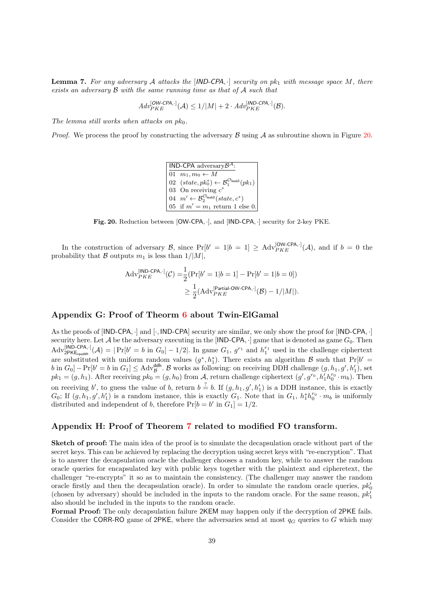**Lemma 7.** For any adversary A attacks the  $|ND-CPA, \cdot|$  security on pk<sub>1</sub> with message space M, there exists an adversary B with the same running time as that of A such that

$$
Adv_{PKE}^{[OW-CPA,\cdot]}(\mathcal{A}) \leq 1/|M| + 2 \cdot Adv_{PKE}^{[MD-CPA,\cdot]}(\mathcal{B}).
$$

The lemma still works when attacks on  $pk_0$ .

*Proof.* We process the proof by constructing the adversary  $\beta$  using  $\lambda$  as subroutine shown in Figure [20.](#page-38-0)

IND-CPA adversary $\mathcal{B}^{\mathcal{A}}$ : 01  $m_1, m_0 \leftarrow M$ 02  $(state, pk_0^*) \leftarrow \mathcal{B}_1^{\mathcal{O}_{\mathsf{leak0}}}(pk_1)$ 03 On receiving  $c^*$ 04  $m' \leftarrow \mathcal{B}_2^{\mathcal{O}_{\mathsf{leak0}}}(state, c^*)$ 05 if  $m' = m_1$  return 1 else 0.

<span id="page-38-0"></span>Fig. 20. Reduction between [OW-CPA, ·], and [IND-CPA, ·] security for 2-key PKE.

In the construction of adversary B, since  $Pr[b' = 1|b = 1] \geq Adv_{PKE}^{[OW-CPA,\cdot]}(\mathcal{A})$ , and if  $b = 0$  the probability that B outputs  $m_1$  is less than  $1/|M|$ ,

$$
Adv_{PKE}^{[IND-CPA,\cdot]}(\mathcal{C}) = \frac{1}{2} (Pr[b'=1|b=1] - Pr[b'=1|b=0])
$$
  
 
$$
\geq \frac{1}{2} (Adv_{PKE}^{[Partial-OW-CPA,\cdot]}(\mathcal{B}) - 1/|M|).
$$

# Appendix G: Proof of Theorm [6](#page-20-2) about Twin-ElGamal

As the proofs of  $[IND-CPA, \cdot]$  and  $[\cdot, IND-CPA]$  security are similar, we only show the proof for  $[IND-CPA, \cdot]$ security here. Let  $A$  be the adversary executing in the [IND-CPA,  $\cdot$ ] game that is denoted as game  $G_0$ . Then  $\text{Adv}_{2\text{PKE}_{\text{cpaddh}}^{[IND-CPA,\cdot]}(\mathcal{A}) = |\Pr[b' = b \text{ in } G_0] - 1/2|$ . In game  $G_1$ ,  $g^{r_1}$  and  $h_1^{r_1}$  used in the challenge ciphertext are substituted with uniform random values  $(g^*, h_1^*)$ . There exists an algorithm B such that  $Pr[b' =$  $b$  in  $G_0$ ] –  $Pr[b' = b$  in  $G_1] \leq$  Adv<sup>ddh</sup>. B works as following: on receiving DDH challenge  $(g, h_1, g', h'_1)$ , set  $pk_1 = (g, h_1)$ . After receiving  $pk_0 = (g, h_0)$  from A, return challenge ciphertext  $(g', g^{r_0}, h'_1 h_0^{r_0} \cdot m_b)$ . Then on receiving b', to guess the value of b, return  $b = b$ . If  $(g, h_1, g', h'_1)$  is a DDH instance, this is exactly  $G_0$ ; If  $(g, h_1, g', h'_1)$  is a random instance, this is exactly  $G_1$ . Note that in  $G_1$ ,  $h_1^* h_0^{r_0} \cdot m_b$  is uniformly distributed and independent of b, therefore  $Pr[b = b' \text{ in } G_1] = 1/2$ .

# Appendix H: Proof of Theorem [7](#page-21-2) related to modified FO transform.

Sketch of proof: The main idea of the proof is to simulate the decapsulation oracle without part of the secret keys. This can be achieved by replacing the decryption using secret keys with "re-encryption". That is to answer the decapsulation oracle the challenger chooses a random key, while to answer the random oracle queries for encapsulated key with public keys together with the plaintext and cipheretext, the challenger "re-encrypts" it so as to maintain the consistency. (The challenger may answer the random oracle firstly and then the decapsulation oracle). In order to simulate the random oracle queries,  $pk_0'$ (chosen by adversary) should be included in the inputs to the random oracle. For the same reason,  $pk_1^l$ also should be included in the inputs to the random oracle.

Formal Proof: The only decapsulation failure 2KEM may happen only if the decryption of 2PKE fails. Consider the CORR-RO game of 2PKE, where the adversaries send at most  $q_G$  queries to G which may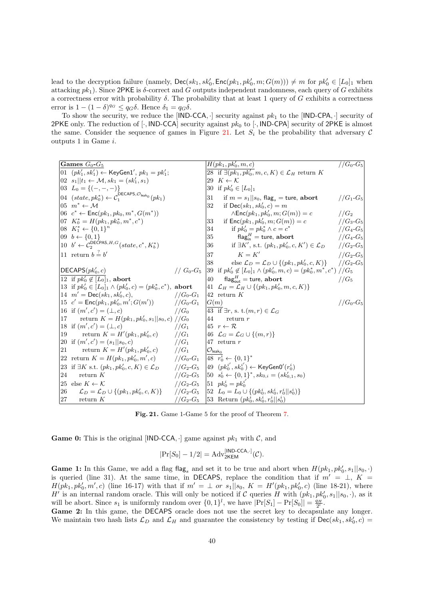lead to the decryption failure (namely,  $\mathsf{Dec}(sk_1, sk'_0, \mathsf{Enc}(pk_1, pk'_0, m; G(m))) \neq m$  for  $pk'_0 \in [L_0]_1$  when attacking  $pk_1$ ). Since 2PKE is  $\delta$ -correct and G outputs independent randomness, each query of G exhibits a correctness error with probability  $\delta$ . The probability that at least 1 query of G exhibits a correctness error is  $1 - (1 - \delta)^{q_G} \leq q_G \delta$ . Hence  $\delta_1 = q_G \delta$ .

To show the security, we reduce the [IND-CCA,  $\cdot$ ] security against  $pk_1$  to the [IND-CPA,  $\cdot$ ] security of 2PKE only. The reduction of [ $\cdot$ , IND-CCA] security against  $pk_0$  to [ $\cdot$ , IND-CPA] security of 2PKE is almost the same. Consider the sequence of games in Figure [21.](#page-39-0) Let  $S_i$  be the probability that adversary C outputs 1 in Game i.

| Games $G_0$ - $G_5$ |                                                                                                                        |                  | $H(pk_1, pk'_0, m, c)$          | $//G_0-G_5$                                                                                         |                  |
|---------------------|------------------------------------------------------------------------------------------------------------------------|------------------|---------------------------------|-----------------------------------------------------------------------------------------------------|------------------|
|                     | 01 (pk' <sub>1</sub> , sk' <sub>1</sub> ) ← KeyGen1', pk <sub>1</sub> = pk' <sub>1</sub> ;                             |                  |                                 | 28 if $\exists (pk_1, pk'_0, m, c, K) \in \mathcal{L}_H$ return K                                   |                  |
|                     | $ 02 s_1   t_1 \leftarrow \mathcal{M}, sk_1 = (sk'_1, s_1)$                                                            |                  |                                 | 29 $K \leftarrow \mathcal{K}$                                                                       |                  |
|                     | $\begin{bmatrix} 03 & L_0 \end{bmatrix} = \{(-,-,-)\}$                                                                 |                  |                                 | 30 if $pk'_0 \in [L_0]_1$                                                                           |                  |
|                     | $\left 04\right\rangle$ (state, $pk_0^*\right\rangle \leftarrow C_1^{\text{DECAPS},\mathcal{O}_{\text{leak}_0}}(pk_1)$ |                  | 31                              | if $m = s_1    s_0$ , flag <sub>s</sub> = ture, abort                                               | $//G_1-G_5$      |
|                     | $ 05 \, m^* \leftarrow \mathcal{M} $                                                                                   |                  | 32                              | if $Dec(sk_1, sk'_0, c) = m$                                                                        |                  |
|                     | $ 06 \ c^* \leftarrow \mathsf{Enc}(pk_1, pk_0, m^*, G(m^*))$                                                           |                  |                                 | $\wedge \mathsf{Enc}(pk_1, pk'_0, m; G(m)) = c$                                                     | //G <sub>2</sub> |
|                     | $[07 \ K_0^* = H(pk_1, pk_0^*, m^*, c^*)$                                                                              |                  | 33                              | if $Enc(pk_1, pk'_0, m; G(m)) = c$                                                                  | $//G_3-G_5$      |
|                     | $[08 \ K_1^* \leftarrow \{0,1\}^n]$                                                                                    |                  |                                 | 34<br>if $pk'_0 = pk_0^* \wedge c = c^*$                                                            | $//G_4-G_5$      |
|                     | $[09 \, b \leftarrow \{0,1\}]$                                                                                         |                  |                                 | flag $_{\rm in}^H=$ ture, ${\bf abort}$<br>35                                                       | $//G_4-G_5$      |
|                     | $\begin{bmatrix} 10 & b' \leftarrow C_2^{\mathsf{DECPAS},H,G}(state, c^*, K_b^*) \end{bmatrix}$                        |                  |                                 | 36 if $\exists K',$ s.t. $(pk_1, pk'_0, c, K') \in \mathcal{L}_D$                                   | $1/G_2-G_5$      |
|                     | 11 return $b = b'$                                                                                                     |                  | 37                              | $K \equiv K'$                                                                                       | $//G_2-G_5$      |
|                     |                                                                                                                        |                  | 38                              | else $\mathcal{L}_D = \mathcal{L}_D \cup \{(pk_1, pk'_0, c, K)\}\$ //G <sub>2</sub> -G <sub>5</sub> |                  |
|                     | $ \mathsf{DECAPS}(pk_0', c) $                                                                                          | // $G_0$ - $G_5$ |                                 | [39 if $pk'_0 \notin [L_0]_1 \wedge (pk'_0, m, c) = (pk_0^*, m^*, c^*) / / G_5$                     |                  |
|                     | 12 if $pk'_0 \notin [L_0]_1$ , abort                                                                                   |                  | 40                              | flag <sub>out</sub> = ture, abort                                                                   | $//G_5$          |
|                     | 13 if $pk'_0 \in [L_0]_1 \wedge (pk'_0, c) = (pk_0^*, c^*)$ , abort                                                    |                  |                                 | 41 $\mathcal{L}_H = \mathcal{L}_H \cup \{(pk_1, pk'_0, m, c, K)\}$                                  |                  |
|                     | $14 \t m' = \textsf{Dec}(sk_1, sk'_0, c),$                                                                             | $/(G_0 - G_1)$   |                                 | $ 42$ return K                                                                                      |                  |
|                     | $ 15 \, c' = \mathsf{Enc}(pk_1, pk'_0, m'; G(m'))$ //G <sub>0</sub> -G <sub>1</sub>                                    |                  | G(m)                            |                                                                                                     | $//G_0-G_5$      |
|                     | 16 if $(m', c') = (\perp, c)$                                                                                          | $//G_0$          |                                 | $\overline{43}$ if $\exists r, s. t.(m,r) \in \mathcal{L}_G$                                        |                  |
|                     | 17 return $K = H(pk_1, pk'_0, s_1    s_0, c) // G_0$                                                                   |                  | 44                              | return r                                                                                            |                  |
|                     | 18 if $(m', c') = (\perp, c)$                                                                                          | $//G_1$          |                                 | $ 45 r \leftarrow \mathcal{R} $                                                                     |                  |
| 19                  | return $K = H'(pk_1, pk'_0, c)$ //G <sub>1</sub>                                                                       |                  |                                 | $ 46 \mathcal{L}_G = \mathcal{L}_G \cup \{(m,r)\}\$                                                 |                  |
|                     | 20 if $(m', c') = (s_1    s_0, c)$                                                                                     | $//G_1$          |                                 | $ 47$ return r                                                                                      |                  |
| 21                  | return $K = H'(pk_1, pk'_0, c)$ //G <sub>1</sub>                                                                       |                  | $ \mathcal{O}_\mathsf{leak}_0 $ |                                                                                                     |                  |
|                     | 22 return $K = H(pk_1, pk'_0, m', c)$ //G <sub>0</sub> -G <sub>1</sub> 48 $r_0^i \leftarrow \{0, 1\}^*$                |                  |                                 |                                                                                                     |                  |
|                     | [23 if $\exists K$ s.t. $(pk_1, pk'_0, c, K) \in \mathcal{L}_D$                                                        | $//G_2-G_5$      |                                 | $ 49 (pk_0^{i'}, sk_0^{i'})$ ← KeyGen0'( $r_0^i$ )                                                  |                  |
| 24                  | return $K$                                                                                                             | $//G_2-G_5$      |                                 | $\begin{bmatrix} 50 & s_0^i \leftarrow \{0,1\}^*, sk_{0,i} = (sk_{0,1}', s_0) \end{bmatrix}$        |                  |
|                     | 25 else $K \leftarrow \mathcal{K}$                                                                                     | $//G_2-G_5$      |                                 | $ 51 \ \ p k_0^i = p k_0^{i'}$                                                                      |                  |
| 26                  | $\mathcal{L}_D = \mathcal{L}_D \cup \{(pk_1, pk'_0, c, K)\}\$                                                          | $//G_2-G_5$      |                                 | $\begin{bmatrix} 52 & L_0 = L_0 \cup \{ (pk_0^i, sk_0^i, r_0^i    s_0^i) \} \end{bmatrix}$          |                  |
| 27                  | return $K$                                                                                                             | $//G_2-G_5$      |                                 | [53 Return $(pk_0^1, sk_0^1, r_0^1    s_0^1)$ ]                                                     |                  |

<span id="page-39-0"></span>Fig. 21. Game 1-Game 5 for the proof of Theorem [7.](#page-21-2)

**Game 0:** This is the original [IND-CCA, $\cdot$ ] game against  $pk_1$  with  $C$ , and

$$
|\Pr[S_0] - 1/2| = \mathrm{Adv}_{2\mathsf{KEM}}^{\text{[IND-CCA,\cdot]}}(\mathcal{C}).
$$

Game 1: In this Game, we add a flag flag<sub>s</sub> and set it to be true and abort when  $H(pk_1, pk'_0, s_1 || s_0, \cdot)$ is queried (line 31). At the same time, in DECAPS, replace the condition that if  $m' = \perp, K =$  $H(pk_1, pk'_0, m', c)$  (line 16-17) with that if  $m' = \perp or s_1 || s_0$ ,  $K = H'(pk_1, pk'_0, c)$  (line 18-21), where H' is an internal random oracle. This will only be noticed if C queries H with  $(pk_1, pk'_0, s_1 || s_0, \cdot)$ , as it will be abort. Since  $s_1$  is uniformly random over  $\{0,1\}^l$ , we have  $|\Pr[S_1] - \Pr[S_0]| = \frac{q_H}{2^l}$ .

Game 2: In this game, the DECAPS oracle does not use the secret key to decapsulate any longer. We maintain two hash lists  $\mathcal{L}_D$  and  $\mathcal{L}_H$  and guarantee the consistency by testing if  $\text{Dec}(sk_1, sk'_0, c)$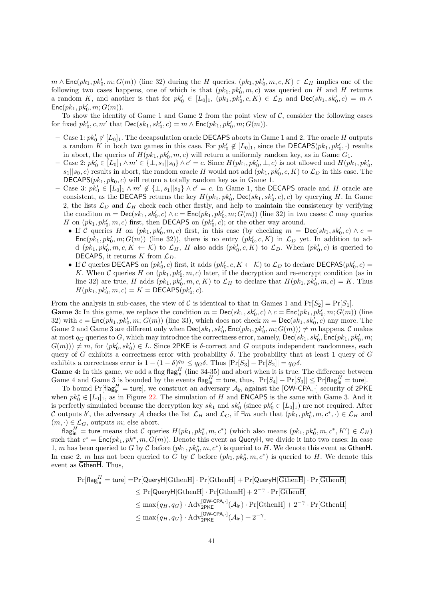$m \wedge \textsf{Enc}(pk_1, pk'_0, m; G(m))$  (line 32) during the H queries.  $(pk_1, pk'_0, m, c, K) \in \mathcal{L}_H$  implies one of the following two cases happens, one of which is that  $(pk_1, pk'_0, m, c)$  was queried on H and H returns a random K, and another is that for  $pk'_0 \in [L_0]_1$ ,  $(pk_1, pk'_0, c, K) \in \mathcal{L}_D$  and  $\mathsf{Dec}(sk_1, sk'_0, c) = m \wedge$  $\mathsf{Enc}(pk_1, pk_0', m; G(m)).$ 

To show the identity of Game 1 and Game 2 from the point view of  $\mathcal{C}$ , consider the following cases for fixed  $pk'_0, c, m'$  that  $\mathsf{Dec}(sk_1, sk'_0, c) = m \wedge \mathsf{Enc}(pk_1, pk'_0, m; G(m)).$ 

- − Case 1:  $pk'_0$  ∉  $[L_0]_1$ . The decapsulation oracle DECAPS aborts in Game 1 and 2. The oracle H outputs a random K in both two games in this case. For  $pk'_0 \notin [L_0]_1$ , since the DECAPS $(pk_1, pk'_0, \cdot)$  results in abort, the queries of  $H(pk_1, pk'_0, m, c)$  will return a uniformly random key, as in Game  $G_1$ .
- $-$  Case 2:  $pk'_0 \in [L_0]_1 \wedge m' \in \{\perp, s_1 | |s_0\} \wedge c' = c$ . Since  $H(pk_1, pk'_0, \perp, c)$  is not allowed and  $H(pk_1, pk'_0, \perp, c')$  $s_1||s_0, c$  results in abort, the random oracle H would not add  $(pk_1, pk'_0, c, K)$  to  $\mathcal{L}_D$  in this case. The DECAPS $(pk_1, pk_0, c)$  will return a totally random key as in Game 1.
- $-$  Case 3:  $pk'_0 \in [L_0]_1 \wedge m' \notin \{\perp, s_1||s_0\} \wedge c' = c$ . In Game 1, the DECAPS oracle and H oracle are consistent, as the DECAPS returns the key  $H(pk_1, pk'_0, Dec(sk_1, sk'_0, c), c)$  by querying H. In Game 2, the lists  $\mathcal{L}_D$  and  $\mathcal{L}_H$  check each other firstly, and help to maintain the consistency by verifying the condition  $m = \textsf{Dec}(sk_1, sk'_0, c) \wedge c = \textsf{Enc}(pk_1, pk'_0, m; G(m))$  (line 32) in two cases:  $\mathcal{C}$  may queries H on  $(pk_1, pk'_0, m, c)$  first, then DECAPS on  $(pk'_0, c)$ ; or the other way around.
	- If C queries H on  $(pk_1, pk'_0, m, c)$  first, in this case (by checking  $m = \text{Dec}(sk_1, sk'_0, c) \wedge c =$  $Enc(pk_1, pk'_0, m; G(m))$  (line 32)), there is no entry  $(pk'_0, c, K)$  in  $\mathcal{L}_D$  yet. In addition to add  $(pk_1, pk'_0, m, c, K \leftarrow K)$  to  $\mathcal{L}_H$ , H also adds  $(pk'_0, c, K)$  to  $\mathcal{L}_D$ . When  $(pk'_0, c)$  is queried to DECAPS, it returns  $K$  from  $\mathcal{L}_D$ .
	- If C queries DECAPS on  $(pk'_0, c)$  first, it adds  $(pk'_0, c, K \leftarrow K)$  to  $\mathcal{L}_D$  to declare DECPAS $(pk'_0, c)$  = K. When C queries H on  $(pk_1, pk'_0, m, c)$  later, if the decryption and re-encrypt condition (as in line 32) are true, H adds  $(pk_1, pk'_0, m, c, K)$  to  $\mathcal{L}_H$  to declare that  $H(pk_1, pk'_0, m, c) = K$ . Thus  $H(pk_1, pk'_0, m, c) = K = \mathsf{DECAPS}(pk'_0, c).$

From the analysis in sub-cases, the view of C is identical to that in Games 1 and  $Pr[S_2] = Pr[S_1]$ . **Game 3:** In this game, we replace the condition  $m = \text{Dec}(sk_1, sk'_0, c) \wedge c = \text{Enc}(pk_1, pk'_0, m; G(m))$  (line 32) with  $c = \text{Enc}(pk_1, pk'_0, m; G(m))$  (line 33), which does not check  $m = \text{Dec}(sk_1, sk'_0, c)$  any more. The Game 2 and Game 3 are different only when  $\mathsf{Dec}(sk_1, sk'_0, \mathsf{Enc}(pk_1, pk'_0, m; G(m))) \neq m$  happens. C makes at most  $q_G$  queries to G, which may introduce the correctness error, namely,  $\mathsf{Dec}(sk_1, sk'_0, \mathsf{Enc}(pk_1, pk'_0, m;$  $G(m)) \neq m$ , for  $(pk'_0, sk'_0) \in L$ . Since 2PKE is  $\delta$ -correct and G outputs independent randomness, each query of G exhibits a correctness error with probability  $\delta$ . The probability that at least 1 query of G exhibits a correctness error is  $1 - (1 - \delta)^{q_G} \leq q_G \delta$ . Thus  $|\Pr[S_3] - \Pr[S_2]| = q_G \delta$ .

Game 4: In this game, we add a flag flag<sup>H</sup> (line 34-35) and abort when it is true. The difference between Game 4 and Game 3 is bounded by the events  $\text{flag}_{\text{in}}^H = \text{ture}$ , thus,  $|\Pr[S_4] - \Pr[S_3]| \leq \Pr[\text{flag}_{\text{in}}^H = \text{ture}].$ 

To bound Pr[flag $_{in}^H$  = ture], we construct an adversary  $A_{in}$  against the [OW-CPA, ·] security of 2PKE when  $pk_0^* \in [L_0]_1$ , as in Figure [22.](#page-41-0) The simulation of H and **ENCAPS** is the same with Game 3. And it is perfectly simulated because the decryption key  $sk_1$  and  $sk'_0$  (since  $pk'_0 \in [L_0]_1$ ) are not required. After C outputs b', the adversary A checks the list  $\mathcal{L}_H$  and  $\mathcal{L}_G$ , if  $\exists m$  such that  $(pk_1, pk_0^*, m, c^*, \cdot) \in \mathcal{L}_H$  and  $(m, \cdot) \in \mathcal{L}_G$ , outputs m; else abort.

 $\textsf{flag}_{\textsf{in}}^H = \textsf{ture}$  means that C queries  $H(pk_1, pk_0^*, m, c^*)$  (which also means  $(pk_1, pk_0^*, m, c^*, K') \in \mathcal{L}_H$ ) such that  $c^* = \text{Enc}(pk_1, pk^*, m, G(m))$ . Denote this event as QueryH, we divide it into two cases: In case 1, m has been queried to G by C before  $(pk_1, pk_0^*, m, c^*)$  is queried to H. We denote this event as GthenH. In case 2, m has not been queried to G by C before  $(pk_1, pk_0^*, m, c^*)$  is queried to H. We denote this event as GthenH. Thus,

$$
\begin{aligned} \Pr[\mathsf{flag}^H_{\mathsf{in}} = \mathsf{ture}] = & \Pr[\mathsf{QueryH}|\mathsf{GthenH}] \cdot \Pr[\mathsf{GthenH}] + \Pr[\mathsf{QueryH}|\overline{\mathsf{GthenH}}] \cdot \Pr[\overline{\mathsf{GthenH}}] \\ & \leq \Pr[\mathsf{QueryH}|\mathsf{GthenH}] \cdot \Pr[\mathsf{GthenH}] + 2^{-\gamma} \cdot \Pr[\overline{\mathsf{GthenH}}] \\ & \leq \max\{q_H, q_G\} \cdot \mathrm{Adv}_{\mathsf{2PKE}}^{[\mathsf{OW-CPA},\cdot]}(\mathcal{A}_{\mathsf{in}}) \cdot \Pr[\mathsf{GthenH}] + 2^{-\gamma} \cdot \Pr[\overline{\mathsf{GthenH}}] \\ & \leq \max\{q_H, q_G\} \cdot \mathrm{Adv}_{\mathsf{2PKE}}^{[\mathsf{OW-CPA},\cdot]}(\mathcal{A}_{\mathsf{in}}) + 2^{-\gamma}. \end{aligned}
$$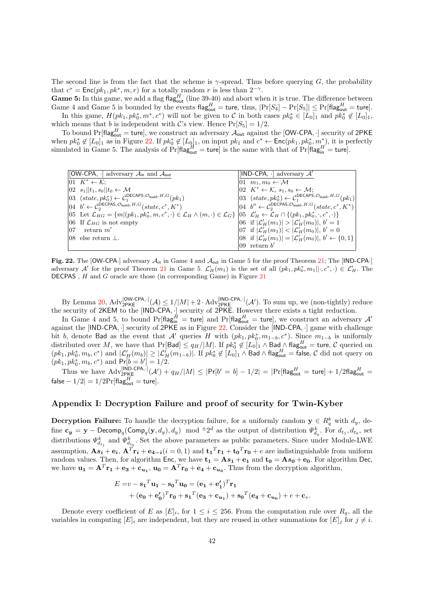The second line is from the fact that the scheme is  $\gamma$ -spread. Thus before querying G, the probability that  $c^* = \text{Enc}(pk_1, pk^*, m, r)$  for a totally random r is less than  $2^{-\gamma}$ .

Game 5: In this game, we add a flag flag<sub>out</sub> (line 39-40) and abort when it is true. The difference between Game 4 and Game 5 is bounded by the events  $\text{flag}_{\text{out}}^H = \text{ture}$ , thus,  $|\Pr[S_4] - \Pr[S_5]| \leq \Pr[\text{flag}_{\text{out}}^H = \text{ture}].$ In this game,  $H(pk_1, pk_0^*, m^*, c^*)$  will not be given to C in both cases  $pk_0^* \in [L_0]_1$  and  $pk_0^* \notin [L_0]_1$ , which means that b is independent with C's view. Hence  $Pr[S_5] = 1/2$ .

To bound Pr[flag $_{out}^H$  = ture], we construct an adversary  $\mathcal{A}_{out}$  against the [OW-CPA,  $\cdot$ ] security of 2PKE when  $pk_0^* \notin [L_0]_1$  as in Figure [22.](#page-41-0) If  $pk_0^* \notin [L_0]_1$ , on input  $pk_1$  and  $c^* \leftarrow \text{Enc}(pk_1, pk_0^*, m_{rr}^*)$ , it is perfectly simulated in Game 5. The analysis of  $Pr[\text{flag}_{\text{out}}^H = \text{ture}]$  is the same with that of  $Pr[\text{flag}_{\text{in}}^H = \text{ture}]$ .

| $[OW-CPA, \cdot]$ adversary $\mathcal{A}_{in}$ and $\mathcal{A}_{out}$                                                                                                                                                   | [IND-CPA, $\cdot$ ] adversary $\mathcal{A}'$                                                                                             |
|--------------------------------------------------------------------------------------------------------------------------------------------------------------------------------------------------------------------------|------------------------------------------------------------------------------------------------------------------------------------------|
| $ 01 K^* \leftarrow \mathcal{K}$ :                                                                                                                                                                                       | $[01 \quad m_1, m_0 \leftarrow M]$                                                                                                       |
| $ 02 s_1  t_1, s_0  t_0 \leftarrow \mathcal{M}$                                                                                                                                                                          | $[02 \ K^* \leftarrow \mathcal{K}, s_1, s_0 \leftarrow \mathcal{M};$                                                                     |
| $ 03 \text{ (state, } pk_0^*) \leftarrow C_1^{\text{DECAPS}, \mathcal{O}_{\text{leak0}}, H, G}(pk_1)$                                                                                                                    | $ 03 \text{ (state, } pk_0^*) \leftarrow C_1^{\text{DECAPS}, \mathcal{O}_{\text{leak0}}, H, G}(pk_1)$                                    |
| $\begin{aligned} 0.4 \quad b' \leftarrow C_2^{\text{DECPAS}, \mathcal{O}_{\text{leak0}}, H, G}(state, c^*, K^*) \end{aligned}$                                                                                           | $\begin{bmatrix} 04 & b'' \leftarrow & \mathcal{C}^{\mathsf{DECPAS}, \mathcal{O}_{\mathsf{leak0}}, H, G}(state, c^*, K^*) \end{bmatrix}$ |
| $ 05 \text{ Let } \mathcal{L}_{HG} = \{m (pk_1, pk_0^*, m, c^*, \cdot) \in \mathcal{L}_H \wedge (m, \cdot) \in \mathcal{L}_G \}  05 \mathcal{L}'_H \leftarrow \mathcal{L}_H \cap \{(pk_1, pk_0^*, \cdot, c^*, \cdot)\}\$ |                                                                                                                                          |
| $ 06 \text{ If } \mathcal{L}_{HG} \text{ is not empty}$                                                                                                                                                                  | 06 if $ \mathcal{L}'_H(m_1)  >  \mathcal{L}'_H(m_0) , b' = 1$                                                                            |
| $ 07\rangle$<br>return $m'$                                                                                                                                                                                              | 07 if $ \mathcal{L}'_H(m_1)  <  \mathcal{L}'_H(m_0) $ , $b' = 0$                                                                         |
| $ 08\rangle$ else return $\perp$ .                                                                                                                                                                                       | $ 08 \text{ if }  \mathcal{L}'_H(m_1)  =  \mathcal{L}'_H(m_0) , b' \leftarrow \{0,1\}$                                                   |
|                                                                                                                                                                                                                          | 09 return $b'$                                                                                                                           |

<span id="page-41-0"></span>Fig. 22. The [OW-CPA·] adversary  $\mathcal{A}_{\text{in}}$  in Game 4 and  $\mathcal{A}_{\text{out}}$  in Game 5 for the proof Theorem [21;](#page-39-0) The [IND-CPA·] adversary  $\mathcal{A}'$  for the proof Theorem [21](#page-39-0) in Game 5.  $\mathcal{L}'_H(m_1)$  is the set of all  $(pk_1, pk_0^*, m_1 ||, c^*, \cdot) \in \mathcal{L}'_H$ . The DECPAS , H and G oracle are those (in corresponding Game) in Figure [21](#page-39-0)

By Lemma [20,](#page-38-0)  $\text{Adv}_{2\text{PKE}}^{[\text{OW-CPA},.]}(\mathcal{A}) \le 1/|\mathcal{M}| + 2 \cdot \text{Adv}_{2\text{PKE}}^{[\text{IND-CPA},.]}(\mathcal{A}')$ . To sum up, we (non-tightly) reduce the security of 2KEM to the [IND-CPA, ·] security of 2PKE. However there exists a tight reduction.

In Game 4 and 5, to bound  $\Pr[\mathsf{flag}^H_{\mathsf{in}} = \mathsf{ture}]$  and  $\Pr[\mathsf{flag}^H_{\mathsf{out}} = \mathsf{ture}]$ , we construct an adversary  $\mathcal{A}'$ against the [IND-CPA, ·] security of 2PKE as in Figure [22.](#page-41-0) Consider the [IND-CPA, ·] game with challenge bit b, denote Bad as the event that A' queries H with  $(pk_1, pk_0^*, m_{1-b}, c^*)$ . Since  $m_{1-b}$  is uniformly distributed over M, we have that  $Pr[Bad] \le q_H/|M|$ . If  $pk_0^* \notin [L_0]_1 \wedge Bad_{\mathcal{M}} \wedge flag_{out}^H =$  ture, C queried on  $(pk_1, pk_0^*, m_b, c^*)$  and  $|\mathcal{L}_H'(m_b)| \geq |\mathcal{L}_H'(m_{1-b})|$ . If  $pk_0^* \notin [L_0]_1 \wedge$  Bad  $\wedge$  flag<sub>out</sub> = false, C did not query on  $(pk_1, pk_0^*, m_b, c^*)$  and  $Pr[\bar{b} = b'] = 1/2$ .

Thus we have  $\text{Adv}_{2\text{PKE}}^{[\text{IND-CPA},.]}(\mathcal{A}') + q_H/|M| \leq |\text{Pr}[b' = b] - 1/2| = |\text{Pr}[\text{flag}_{\text{out}}^H = \text{ture}] + 1/2\text{flag}_{\text{out}}^H =$  $\mathsf{false} - 1/2| = 1/2 \mathrm{Pr}[\mathsf{flag}_{\mathsf{out}}^H = \mathsf{ture}].$ 

# Appendix I: Decryption Failure and proof of security for Twin-Kyber

**Decryption Failure:** To handle the decryption failure, for a uniformly random  $y \in R_q^k$  with  $d_y$ , define  $\mathbf{c}_y = \mathbf{y} - \mathsf{Decomp}_q(\mathsf{Comp}_q(\mathbf{y}, d_y), d_y) \mod \pm 2^d$  as the output of distribution  $\varPsi_{d_y}^k$ . For  $d_{t_1}, d_{t_0},$  set distributions  $\Psi_{d_{t_1}}^k$  and  $\Psi_{d_{t_0}}^k$ . Set the above parameters as public parameters. Since under Module-LWE assumption,  $\mathbf{A} s_i + \mathbf{e}_i$ ,  $\mathbf{A}^T \mathbf{r_i} + \mathbf{e_4} - i(i = 0, 1)$  and  $\mathbf{t_1}^T \mathbf{r_1} + \mathbf{t_0}^T \mathbf{r_0} + e$  are indistinguishable from uniform random values. Then, for algorithm Enc, we have  $t_1 = As_1 + e_1$  and  $t_0 = As_0 + e_0$ . For algorithm Dec, we have  $\mathbf{u_1} = \mathbf{A}^T \mathbf{r_1} + \mathbf{e_3} + \mathbf{c_{u_1}}$ ,  $\mathbf{u_0} = \mathbf{A}^T \mathbf{r_0} + \mathbf{e_4} + \mathbf{c_{u_0}}$ . Thus from the decryption algorithm,

$$
E = v - s_1^T u_1 - s_0^T u_0 = (\mathbf{e}_1 + \mathbf{e}'_1)^T \mathbf{r}_1
$$
  
+ 
$$
(\mathbf{e}_0 + \mathbf{e}'_0)^T \mathbf{r}_0 + \mathbf{s}_1^T (\mathbf{e}_3 + \mathbf{c}_{u_1}) + \mathbf{s}_0^T (\mathbf{e}_4 + \mathbf{c}_{u_0}) + e + \mathbf{c}_v.
$$

Denote every coefficient of E as  $[E]_i$ , for  $1 \leq i \leq 256$ . From the computation rule over  $R_q$ , all the variables in computing  $[E]_i$  are independent, but they are reused in other summations for  $[E]_i$  for  $j \neq i$ .